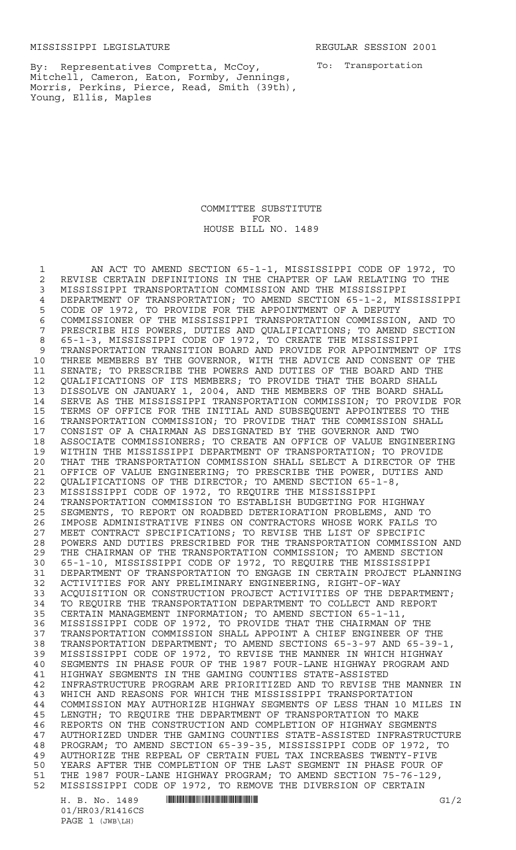To: Transportation

By: Representatives Compretta, McCoy, Mitchell, Cameron, Eaton, Formby, Jennings, Morris, Perkins, Pierce, Read, Smith (39th), Young, Ellis, Maples

> COMMITTEE SUBSTITUTE FOR HOUSE BILL NO. 1489

H. B. No. 1489 \*HR03/R1416CS\* G1/2 AN ACT TO AMEND SECTION 65-1-1, MISSISSIPPI CODE OF 1972, TO 2 REVISE CERTAIN DEFINITIONS IN THE CHAPTER OF LAW RELATING TO THE 3 MISSISSIPPI TRANSPORTATION COMMISSION AND THE MISSISSIPPI MISSISSIPPI TRANSPORTATION COMMISSION AND THE MISSISSIPPI DEPARTMENT OF TRANSPORTATION; TO AMEND SECTION 65-1-2, MISSISSIPPI CODE OF 1972, TO PROVIDE FOR THE APPOINTMENT OF A DEPUTY 6 COMMISSIONER OF THE MISSISSIPPI TRANSPORTATION COMMISSION, AND TO<br>7 PRESCRIBE HIS POWERS, DUTIES AND QUALIFICATIONS; TO AMEND SECTION PRESCRIBE HIS POWERS, DUTIES AND QUALIFICATIONS; TO AMEND SECTION 65-1-3, MISSISSIPPI CODE OF 1972, TO CREATE THE MISSISSIPPI TRANSPORTATION TRANSITION BOARD AND PROVIDE FOR APPOINTMENT OF ITS THREE MEMBERS BY THE GOVERNOR, WITH THE ADVICE AND CONSENT OF THE SENATE; TO PRESCRIBE THE POWERS AND DUTIES OF THE BOARD AND THE QUALIFICATIONS OF ITS MEMBERS; TO PROVIDE THAT THE BOARD SHALL DISSOLVE ON JANUARY 1, 2004, AND THE MEMBERS OF THE BOARD SHALL SERVE AS THE MISSISSIPPI TRANSPORTATION COMMISSION; TO PROVIDE FOR TERMS OF OFFICE FOR THE INITIAL AND SUBSEQUENT APPOINTEES TO THE TRANSPORTATION COMMISSION; TO PROVIDE THAT THE COMMISSION SHALL CONSIST OF A CHAIRMAN AS DESIGNATED BY THE GOVERNOR AND TWO ASSOCIATE COMMISSIONERS; TO CREATE AN OFFICE OF VALUE ENGINEERING WITHIN THE MISSISSIPPI DEPARTMENT OF TRANSPORTATION; TO PROVIDE THAT THE TRANSPORTATION COMMISSION SHALL SELECT A DIRECTOR OF THE OFFICE OF VALUE ENGINEERING; TO PRESCRIBE THE POWER, DUTIES AND QUALIFICATIONS OF THE DIRECTOR; TO AMEND SECTION 65-1-8, MISSISSIPPI CODE OF 1972, TO REQUIRE THE MISSISSIPPI TRANSPORTATION COMMISSION TO ESTABLISH BUDGETING FOR HIGHWAY SEGMENTS, TO REPORT ON ROADBED DETERIORATION PROBLEMS, AND TO IMPOSE ADMINISTRATIVE FINES ON CONTRACTORS WHOSE WORK FAILS TO MEET CONTRACT SPECIFICATIONS; TO REVISE THE LIST OF SPECIFIC POWERS AND DUTIES PRESCRIBED FOR THE TRANSPORTATION COMMISSION AND THE CHAIRMAN OF THE TRANSPORTATION COMMISSION; TO AMEND SECTION 65-1-10, MISSISSIPPI CODE OF 1972, TO REQUIRE THE MISSISSIPPI DEPARTMENT OF TRANSPORTATION TO ENGAGE IN CERTAIN PROJECT PLANNING 32 ACTIVITIES FOR ANY PRELIMINARY ENGINEERING, RIGHT-OF-WAY<br>33 ACOUISITION OR CONSTRUCTION PROJECT ACTIVITIES OF THE DE ACQUISITION OR CONSTRUCTION PROJECT ACTIVITIES OF THE DEPARTMENT; TO REQUIRE THE TRANSPORTATION DEPARTMENT TO COLLECT AND REPORT CERTAIN MANAGEMENT INFORMATION; TO AMEND SECTION 65-1-11, MISSISSIPPI CODE OF 1972, TO PROVIDE THAT THE CHAIRMAN OF THE TRANSPORTATION COMMISSION SHALL APPOINT A CHIEF ENGINEER OF THE TRANSPORTATION DEPARTMENT; TO AMEND SECTIONS 65-3-97 AND 65-39-1, MISSISSIPPI CODE OF 1972, TO REVISE THE MANNER IN WHICH HIGHWAY SEGMENTS IN PHASE FOUR OF THE 1987 FOUR-LANE HIGHWAY PROGRAM AND HIGHWAY SEGMENTS IN THE GAMING COUNTIES STATE-ASSISTED INFRASTRUCTURE PROGRAM ARE PRIORITIZED AND TO REVISE THE MANNER IN WHICH AND REASONS FOR WHICH THE MISSISSIPPI TRANSPORTATION 44 COMMISSION MAY AUTHORIZE HIGHWAY SEGMENTS OF LESS THAN 10 MILES IN<br>45 LENGTH: TO REOUIRE THE DEPARTMENT OF TRANSPORTATION TO MAKE LENGTH; TO REQUIRE THE DEPARTMENT OF TRANSPORTATION TO MAKE REPORTS ON THE CONSTRUCTION AND COMPLETION OF HIGHWAY SEGMENTS AUTHORIZED UNDER THE GAMING COUNTIES STATE-ASSISTED INFRASTRUCTURE 48 PROGRAM; TO AMEND SECTION 65-39-35, MISSISSIPPI CODE OF 1972, TO<br>49 AUTHORIZE THE REPEAL OF CERTAIN FUEL TAX INCREASES TWENTY-FIVE AUTHORIZE THE REPEAL OF CERTAIN FUEL TAX INCREASES TWENTY-FIVE YEARS AFTER THE COMPLETION OF THE LAST SEGMENT IN PHASE FOUR OF THE 1987 FOUR-LANE HIGHWAY PROGRAM; TO AMEND SECTION 75-76-129, MISSISSIPPI CODE OF 1972, TO REMOVE THE DIVERSION OF CERTAIN

01/HR03/R1416CS PAGE 1 (JWB\LH)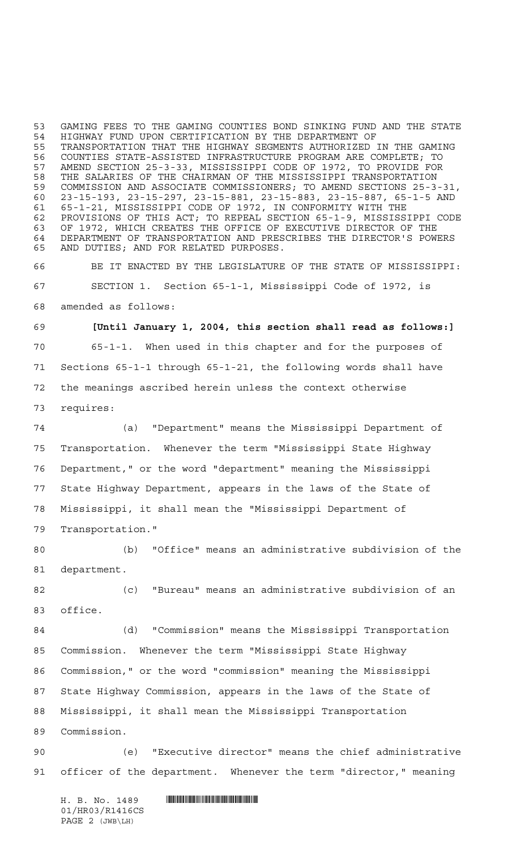GAMING FEES TO THE GAMING COUNTIES BOND SINKING FUND AND THE STATE HIGHWAY FUND UPON CERTIFICATION BY THE DEPARTMENT OF 55 TRANSPORTATION THAT THE HIGHWAY SEGMENTS AUTHORIZED IN THE GAMING<br>56 COUNTIES STATE-ASSISTED INFRASTRUCTURE PROGRAM ARE COMPLETE; TO COUNTIES STATE-ASSISTED INFRASTRUCTURE PROGRAM ARE COMPLETE; TO AMEND SECTION 25-3-33, MISSISSIPPI CODE OF 1972, TO PROVIDE FOR THE SALARIES OF THE CHAIRMAN OF THE MISSISSIPPI TRANSPORTATION COMMISSION AND ASSOCIATE COMMISSIONERS; TO AMEND SECTIONS 25-3-31, 23-15-193, 23-15-297, 23-15-881, 23-15-883, 23-15-887, 65-1-5 AND 65-1-21, MISSISSIPPI CODE OF 1972, IN CONFORMITY WITH THE PROVISIONS OF THIS ACT; TO REPEAL SECTION 65-1-9, MISSISSIPPI CODE OF 1972, WHICH CREATES THE OFFICE OF EXECUTIVE DIRECTOR OF THE DEPARTMENT OF TRANSPORTATION AND PRESCRIBES THE DIRECTOR'S POWERS AND DUTIES; AND FOR RELATED PURPOSES.

 BE IT ENACTED BY THE LEGISLATURE OF THE STATE OF MISSISSIPPI: SECTION 1. Section 65-1-1, Mississippi Code of 1972, is amended as follows:

 **[Until January 1, 2004, this section shall read as follows:]** 65-1-1. When used in this chapter and for the purposes of Sections 65-1-1 through 65-1-21, the following words shall have the meanings ascribed herein unless the context otherwise requires:

 (a) "Department" means the Mississippi Department of Transportation. Whenever the term "Mississippi State Highway Department," or the word "department" meaning the Mississippi State Highway Department, appears in the laws of the State of Mississippi, it shall mean the "Mississippi Department of Transportation."

 (b) "Office" means an administrative subdivision of the department.

 (c) "Bureau" means an administrative subdivision of an office.

 (d) "Commission" means the Mississippi Transportation Commission. Whenever the term "Mississippi State Highway Commission," or the word "commission" meaning the Mississippi State Highway Commission, appears in the laws of the State of Mississippi, it shall mean the Mississippi Transportation Commission.

 (e) "Executive director" means the chief administrative officer of the department. Whenever the term "director," meaning

 $H. \quad B. \quad NO. \quad 1489$  . HIROSHIPART IN THE ROSE OF A LABOR. 01/HR03/R1416CS PAGE 2 (JWB\LH)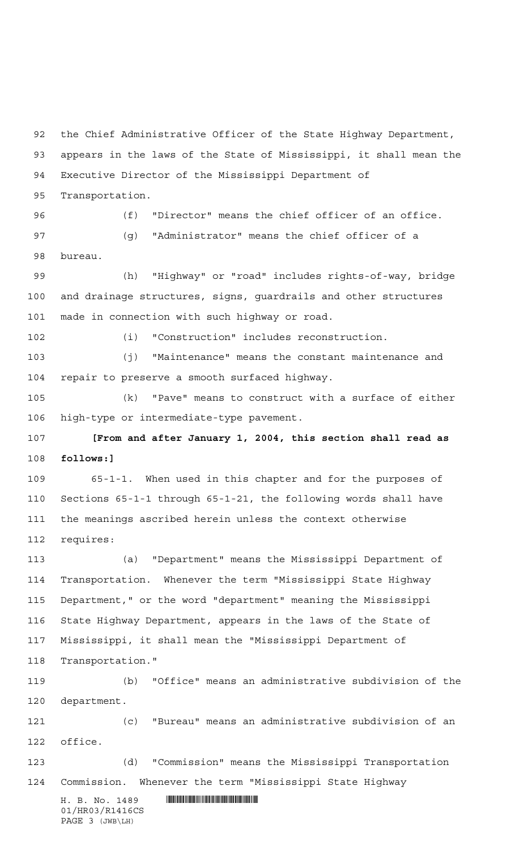appears in the laws of the State of Mississippi, it shall mean the Executive Director of the Mississippi Department of Transportation. (f) "Director" means the chief officer of an office. (g) "Administrator" means the chief officer of a bureau. (h) "Highway" or "road" includes rights-of-way, bridge and drainage structures, signs, guardrails and other structures made in connection with such highway or road. (i) "Construction" includes reconstruction. (j) "Maintenance" means the constant maintenance and repair to preserve a smooth surfaced highway. (k) "Pave" means to construct with a surface of either high-type or intermediate-type pavement. **[From and after January 1, 2004, this section shall read as follows:]** 65-1-1. When used in this chapter and for the purposes of

the Chief Administrative Officer of the State Highway Department,

 Sections 65-1-1 through 65-1-21, the following words shall have the meanings ascribed herein unless the context otherwise requires:

 (a) "Department" means the Mississippi Department of Transportation. Whenever the term "Mississippi State Highway Department," or the word "department" meaning the Mississippi State Highway Department, appears in the laws of the State of Mississippi, it shall mean the "Mississippi Department of Transportation."

 (b) "Office" means an administrative subdivision of the department.

 (c) "Bureau" means an administrative subdivision of an office.

 (d) "Commission" means the Mississippi Transportation Commission. Whenever the term "Mississippi State Highway

 $H. B. No. 1489$  . HENROICE THE SET OF A SET OF A SET OF A SET OF A SET OF A SET OF A SET OF A SET OF A SET OF A SET OF A SET OF A SET OF A SET OF A SET OF A SET OF A SET OF A SET OF A SET OF A SET OF A SET OF A SET OF A SET 01/HR03/R1416CS PAGE 3 (JWB\LH)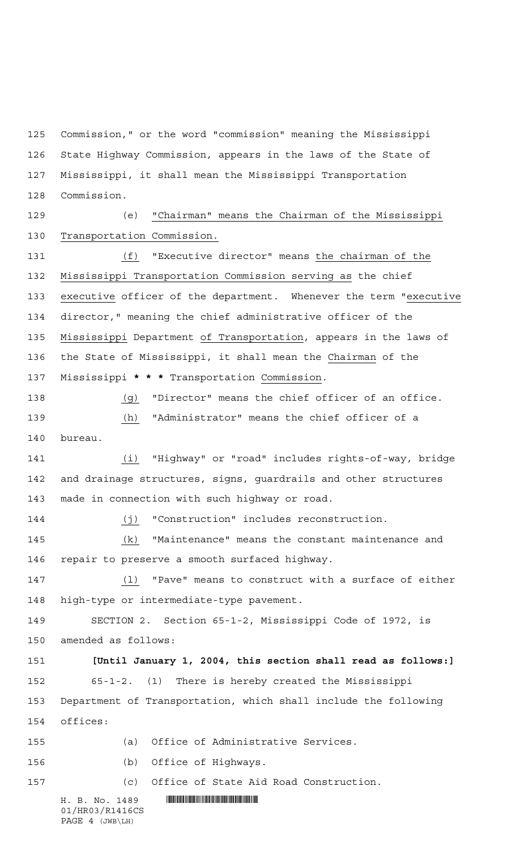Commission," or the word "commission" meaning the Mississippi State Highway Commission, appears in the laws of the State of Mississippi, it shall mean the Mississippi Transportation Commission.

 (e) "Chairman" means the Chairman of the Mississippi Transportation Commission.

 (f) "Executive director" means the chairman of the Mississippi Transportation Commission serving as the chief executive officer of the department. Whenever the term "executive director," meaning the chief administrative officer of the Mississippi Department of Transportation, appears in the laws of the State of Mississippi, it shall mean the Chairman of the Mississippi **\*\*\*** Transportation Commission.

 (g) "Director" means the chief officer of an office. (h) "Administrator" means the chief officer of a bureau.

 (i) "Highway" or "road" includes rights-of-way, bridge and drainage structures, signs, guardrails and other structures made in connection with such highway or road.

 (j) "Construction" includes reconstruction. (k) "Maintenance" means the constant maintenance and repair to preserve a smooth surfaced highway.

 (l) "Pave" means to construct with a surface of either high-type or intermediate-type pavement.

 SECTION 2. Section 65-1-2, Mississippi Code of 1972, is amended as follows:

 **[Until January 1, 2004, this section shall read as follows:]** 65-1-2. (1) There is hereby created the Mississippi Department of Transportation, which shall include the following offices:

(a) Office of Administrative Services.

(b) Office of Highways.

(c) Office of State Aid Road Construction.

 $H. B. No. 1489$  . HENDIFFERENTIAL SERVICE SERVICE SERVICE SERVICE SERVICE SERVICE SERVICE SERVICE SERVICE SERVICE SERVICE SERVICE SERVICE SERVICE SERVICE SERVICE SERVICE SERVICE SERVICE SERVICE SERVICE SERVICE SERVICE SERVI 01/HR03/R1416CS PAGE 4 (JWB\LH)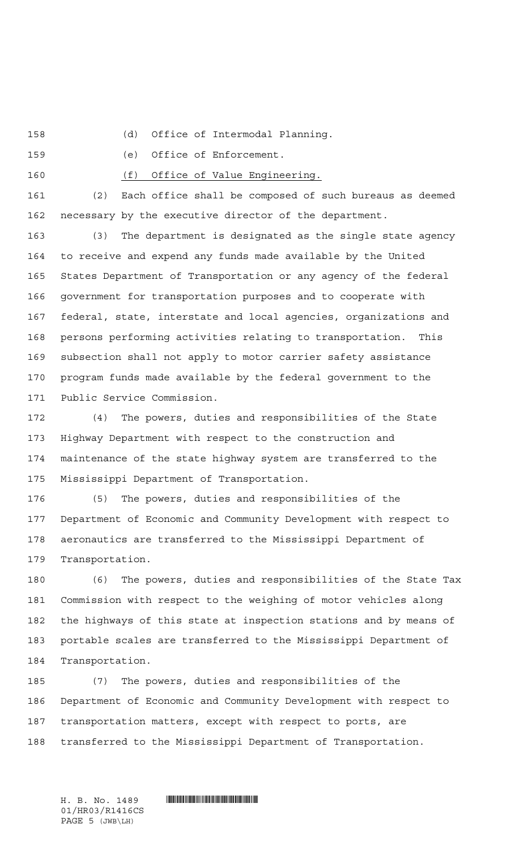(d) Office of Intermodal Planning.

(e) Office of Enforcement.

(f) Office of Value Engineering.

 (2) Each office shall be composed of such bureaus as deemed necessary by the executive director of the department.

 (3) The department is designated as the single state agency to receive and expend any funds made available by the United States Department of Transportation or any agency of the federal government for transportation purposes and to cooperate with federal, state, interstate and local agencies, organizations and persons performing activities relating to transportation. This subsection shall not apply to motor carrier safety assistance program funds made available by the federal government to the Public Service Commission.

 (4) The powers, duties and responsibilities of the State Highway Department with respect to the construction and maintenance of the state highway system are transferred to the Mississippi Department of Transportation.

 (5) The powers, duties and responsibilities of the Department of Economic and Community Development with respect to aeronautics are transferred to the Mississippi Department of Transportation.

 (6) The powers, duties and responsibilities of the State Tax Commission with respect to the weighing of motor vehicles along the highways of this state at inspection stations and by means of portable scales are transferred to the Mississippi Department of Transportation.

 (7) The powers, duties and responsibilities of the Department of Economic and Community Development with respect to transportation matters, except with respect to ports, are transferred to the Mississippi Department of Transportation.

01/HR03/R1416CS PAGE 5 (JWB\LH)

H. B. No. 1489 **HELLAND SERVICE SERVICE SERVICE SERVICE SERVICE SERVICE SERVICE SERVICE SERVICE SERVICE SERVICE SERVICE SERVICE SERVICE SERVICE SERVICE SERVICE SERVICE SERVICE SERVICE SERVICE SERVICE SERVICE SERVICE SERVIC**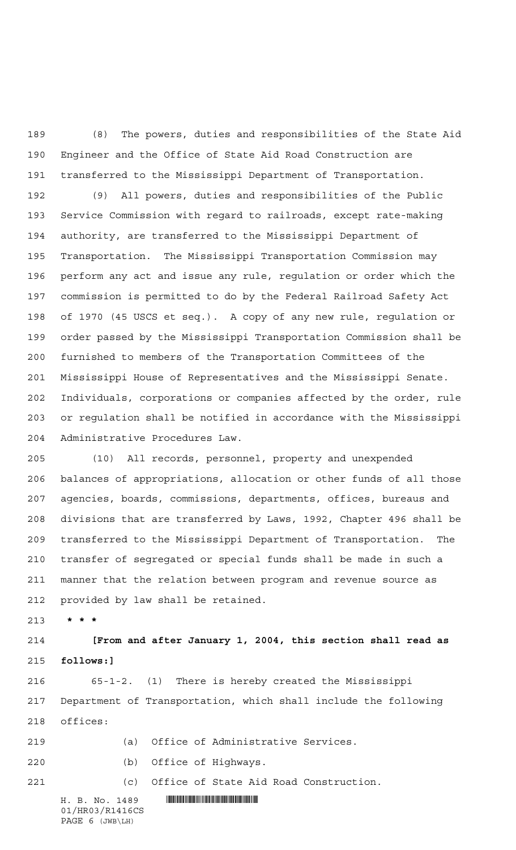(8) The powers, duties and responsibilities of the State Aid Engineer and the Office of State Aid Road Construction are transferred to the Mississippi Department of Transportation.

 (9) All powers, duties and responsibilities of the Public Service Commission with regard to railroads, except rate-making authority, are transferred to the Mississippi Department of Transportation. The Mississippi Transportation Commission may perform any act and issue any rule, regulation or order which the commission is permitted to do by the Federal Railroad Safety Act of 1970 (45 USCS et seq.). A copy of any new rule, regulation or order passed by the Mississippi Transportation Commission shall be furnished to members of the Transportation Committees of the Mississippi House of Representatives and the Mississippi Senate. Individuals, corporations or companies affected by the order, rule or regulation shall be notified in accordance with the Mississippi Administrative Procedures Law.

 (10) All records, personnel, property and unexpended balances of appropriations, allocation or other funds of all those agencies, boards, commissions, departments, offices, bureaus and divisions that are transferred by Laws, 1992, Chapter 496 shall be transferred to the Mississippi Department of Transportation. The transfer of segregated or special funds shall be made in such a manner that the relation between program and revenue source as provided by law shall be retained.

**\*\*\***

 **[From and after January 1, 2004, this section shall read as follows:]**

 65-1-2. (1) There is hereby created the Mississippi Department of Transportation, which shall include the following offices:

- (a) Office of Administrative Services.
- 

(b) Office of Highways.

(c) Office of State Aid Road Construction.

01/HR03/R1416CS PAGE 6 (JWB\LH)

 $H. B. No. 1489$  . HENDER THE SET OF STATE SET OF STATE SET OF STATE SET OF STATE SET OF STATE SET OF STATE SET OF STATE SET OF STATE SET OF STATE SET OF STATE SET OF STATE SET OF STATE SET OF STATE SET OF STATE SET OF STATE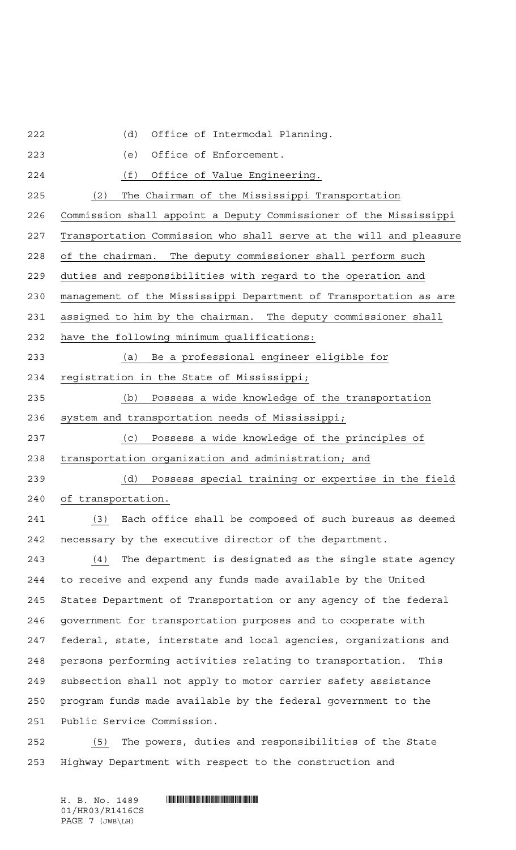(d) Office of Intermodal Planning.

 (e) Office of Enforcement. (f) Office of Value Engineering. (2) The Chairman of the Mississippi Transportation Commission shall appoint a Deputy Commissioner of the Mississippi Transportation Commission who shall serve at the will and pleasure of the chairman. The deputy commissioner shall perform such duties and responsibilities with regard to the operation and management of the Mississippi Department of Transportation as are 231 assigned to him by the chairman. The deputy commissioner shall have the following minimum qualifications: (a) Be a professional engineer eligible for registration in the State of Mississippi; (b) Possess a wide knowledge of the transportation system and transportation needs of Mississippi; (c) Possess a wide knowledge of the principles of transportation organization and administration; and (d) Possess special training or expertise in the field of transportation. (3) Each office shall be composed of such bureaus as deemed necessary by the executive director of the department.  $(4)$  The department is designated as the single state agency to receive and expend any funds made available by the United States Department of Transportation or any agency of the federal government for transportation purposes and to cooperate with federal, state, interstate and local agencies, organizations and persons performing activities relating to transportation. This subsection shall not apply to motor carrier safety assistance program funds made available by the federal government to the Public Service Commission. (5) The powers, duties and responsibilities of the State

Highway Department with respect to the construction and

 $H. B. No. 1489$  . HENDIFFERENTIAL SERVICE SERVICE SERVICE SERVICE SERVICE SERVICE SERVICE SERVICE SERVICE SERVICE SERVICE SERVICE SERVICE SERVICE SERVICE SERVICE SERVICE SERVICE SERVICE SERVICE SERVICE SERVICE SERVICE SERVI 01/HR03/R1416CS PAGE 7 (JWB\LH)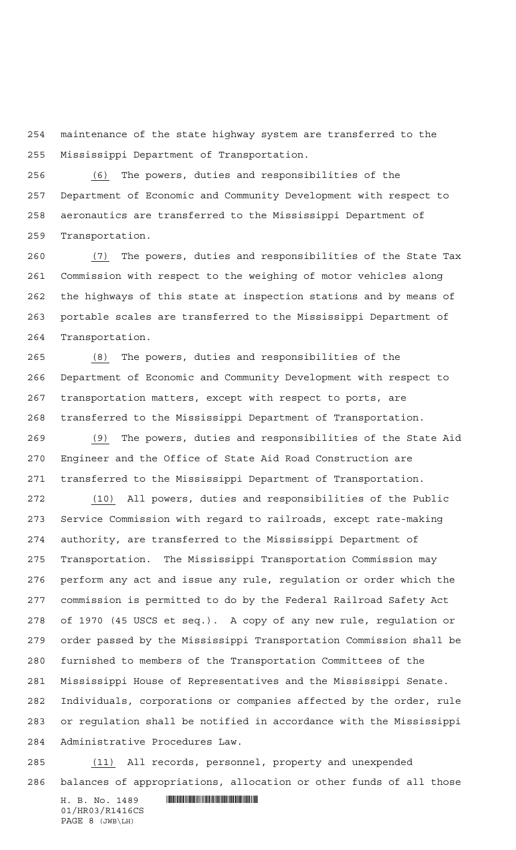maintenance of the state highway system are transferred to the Mississippi Department of Transportation.

 (6) The powers, duties and responsibilities of the Department of Economic and Community Development with respect to aeronautics are transferred to the Mississippi Department of Transportation.

 (7) The powers, duties and responsibilities of the State Tax Commission with respect to the weighing of motor vehicles along the highways of this state at inspection stations and by means of portable scales are transferred to the Mississippi Department of Transportation.

 (8) The powers, duties and responsibilities of the Department of Economic and Community Development with respect to transportation matters, except with respect to ports, are transferred to the Mississippi Department of Transportation.

 (9) The powers, duties and responsibilities of the State Aid Engineer and the Office of State Aid Road Construction are transferred to the Mississippi Department of Transportation.

 (10) All powers, duties and responsibilities of the Public Service Commission with regard to railroads, except rate-making authority, are transferred to the Mississippi Department of Transportation. The Mississippi Transportation Commission may perform any act and issue any rule, regulation or order which the commission is permitted to do by the Federal Railroad Safety Act of 1970 (45 USCS et seq.). A copy of any new rule, regulation or order passed by the Mississippi Transportation Commission shall be furnished to members of the Transportation Committees of the Mississippi House of Representatives and the Mississippi Senate. Individuals, corporations or companies affected by the order, rule or regulation shall be notified in accordance with the Mississippi Administrative Procedures Law.

 (11) All records, personnel, property and unexpended balances of appropriations, allocation or other funds of all those

 $H. B. No. 1489$  . HENDER THE SET OF A SET OF A SET OF A SET OF A SET OF A SET OF A SET OF A SET OF A SET OF A SET OF A SET OF A SET OF A SET OF A SET OF A SET OF A SET OF A SET OF A SET OF A SET OF A SET OF A SET OF A SET O 01/HR03/R1416CS PAGE 8 (JWB\LH)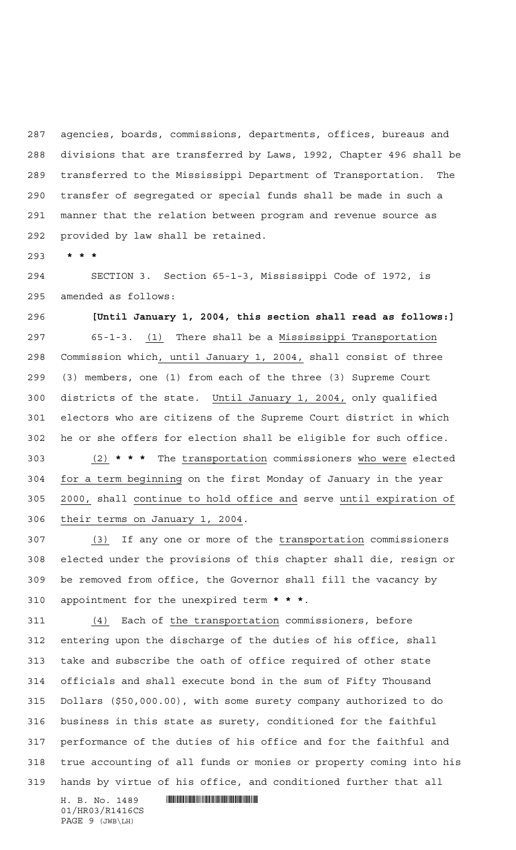agencies, boards, commissions, departments, offices, bureaus and divisions that are transferred by Laws, 1992, Chapter 496 shall be transferred to the Mississippi Department of Transportation. The transfer of segregated or special funds shall be made in such a manner that the relation between program and revenue source as provided by law shall be retained.

**\*\*\***

 SECTION 3. Section 65-1-3, Mississippi Code of 1972, is amended as follows:

 **[Until January 1, 2004, this section shall read as follows:]** 65-1-3. (1) There shall be a Mississippi Transportation Commission which, until January 1, 2004, shall consist of three (3) members, one (1) from each of the three (3) Supreme Court districts of the state. Until January 1, 2004, only qualified electors who are citizens of the Supreme Court district in which he or she offers for election shall be eligible for such office. (2) **\*\*\*** The transportation commissioners who were elected for a term beginning on the first Monday of January in the year 2000, shall continue to hold office and serve until expiration of their terms on January 1, 2004.

 (3) If any one or more of the transportation commissioners elected under the provisions of this chapter shall die, resign or be removed from office, the Governor shall fill the vacancy by appointment for the unexpired term **\*\*\***.

311 (4) Each of the transportation commissioners, before entering upon the discharge of the duties of his office, shall take and subscribe the oath of office required of other state officials and shall execute bond in the sum of Fifty Thousand Dollars (\$50,000.00), with some surety company authorized to do business in this state as surety, conditioned for the faithful performance of the duties of his office and for the faithful and true accounting of all funds or monies or property coming into his hands by virtue of his office, and conditioned further that all

01/HR03/R1416CS PAGE 9 (JWB\LH)

 $H. B. No. 1489$  . HENDER THE SET OF STATE SET OF STATE SET OF STATE SET OF STATE SET OF STATE SET OF STATE SET OF STATE SET OF STATE SET OF STATE SET OF STATE SET OF STATE SET OF STATE SET OF STATE SET OF STATE SET OF STATE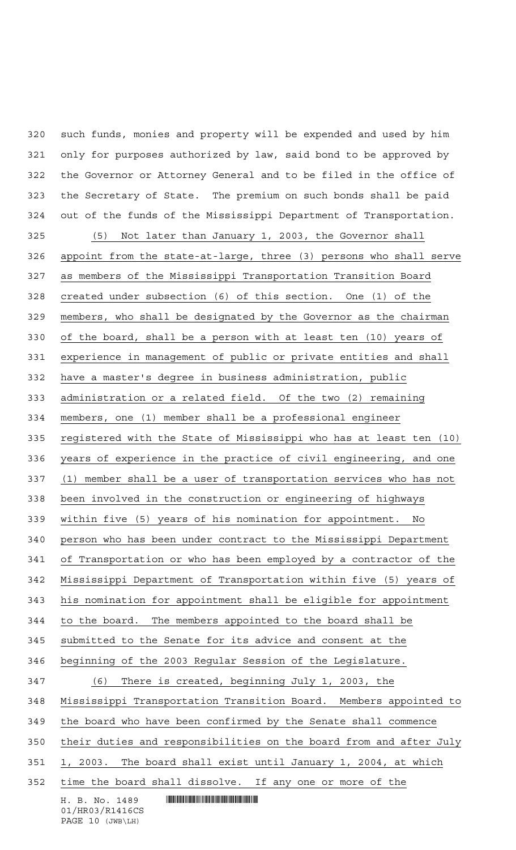such funds, monies and property will be expended and used by him only for purposes authorized by law, said bond to be approved by the Governor or Attorney General and to be filed in the office of the Secretary of State. The premium on such bonds shall be paid out of the funds of the Mississippi Department of Transportation.

 $H. B. No. 1489$  . HENDER THE SET OF STATE SET OF STATE SET OF STATE SET OF STATE SET OF STATE SET OF STATE SET OF STATE SET OF STATE SET OF STATE SET OF STATE SET OF STATE SET OF STATE SET OF STATE SET OF STATE SET OF STATE 01/HR03/R1416CS (5) Not later than January 1, 2003, the Governor shall appoint from the state-at-large, three (3) persons who shall serve as members of the Mississippi Transportation Transition Board created under subsection (6) of this section. One (1) of the members, who shall be designated by the Governor as the chairman of the board, shall be a person with at least ten (10) years of experience in management of public or private entities and shall have a master's degree in business administration, public administration or a related field. Of the two (2) remaining members, one (1) member shall be a professional engineer registered with the State of Mississippi who has at least ten (10) years of experience in the practice of civil engineering, and one (1) member shall be a user of transportation services who has not been involved in the construction or engineering of highways within five (5) years of his nomination for appointment. No person who has been under contract to the Mississippi Department of Transportation or who has been employed by a contractor of the Mississippi Department of Transportation within five (5) years of his nomination for appointment shall be eligible for appointment to the board. The members appointed to the board shall be submitted to the Senate for its advice and consent at the beginning of the 2003 Regular Session of the Legislature. (6) There is created, beginning July 1, 2003, the Mississippi Transportation Transition Board. Members appointed to the board who have been confirmed by the Senate shall commence their duties and responsibilities on the board from and after July 1, 2003. The board shall exist until January 1, 2004, at which time the board shall dissolve. If any one or more of the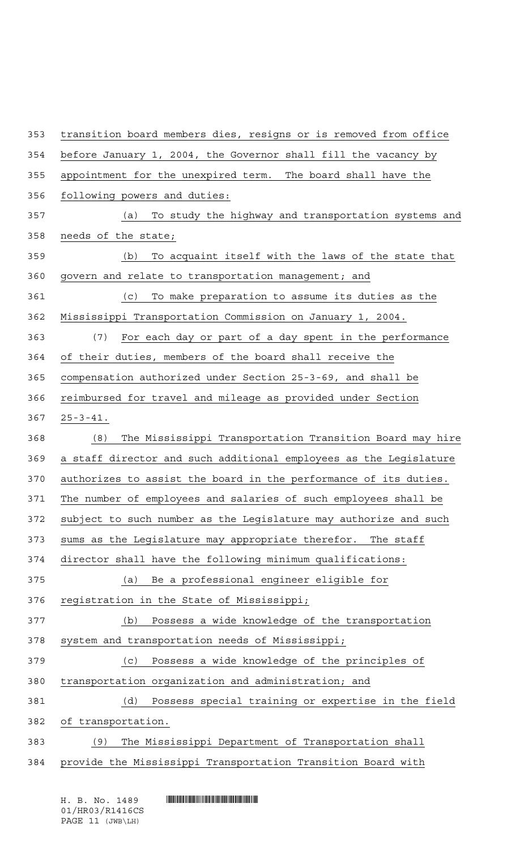transition board members dies, resigns or is removed from office before January 1, 2004, the Governor shall fill the vacancy by appointment for the unexpired term. The board shall have the following powers and duties: (a) To study the highway and transportation systems and needs of the state; (b) To acquaint itself with the laws of the state that govern and relate to transportation management; and (c) To make preparation to assume its duties as the Mississippi Transportation Commission on January 1, 2004. (7) For each day or part of a day spent in the performance of their duties, members of the board shall receive the compensation authorized under Section 25-3-69, and shall be reimbursed for travel and mileage as provided under Section 25-3-41. (8) The Mississippi Transportation Transition Board may hire a staff director and such additional employees as the Legislature authorizes to assist the board in the performance of its duties. The number of employees and salaries of such employees shall be subject to such number as the Legislature may authorize and such 373 sums as the Legislature may appropriate therefor. The staff director shall have the following minimum qualifications: (a) Be a professional engineer eligible for registration in the State of Mississippi; (b) Possess a wide knowledge of the transportation system and transportation needs of Mississippi; (c) Possess a wide knowledge of the principles of transportation organization and administration; and (d) Possess special training or expertise in the field of transportation. (9) The Mississippi Department of Transportation shall provide the Mississippi Transportation Transition Board with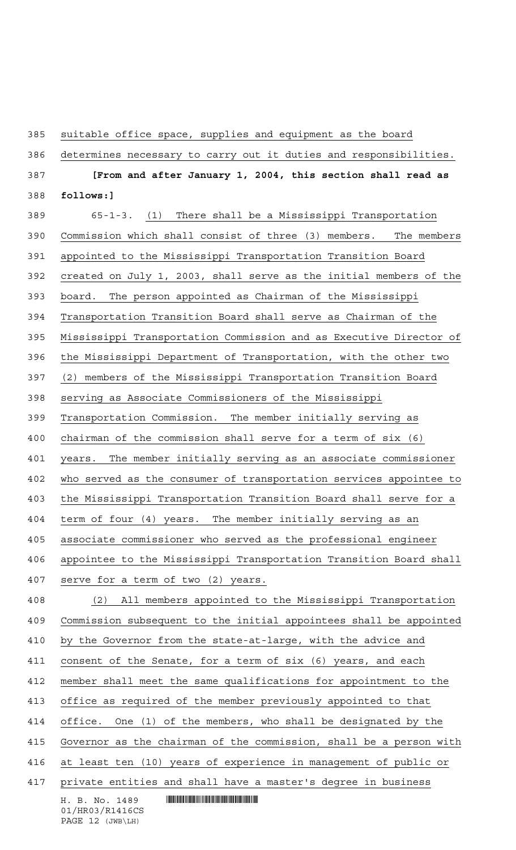suitable office space, supplies and equipment as the board

determines necessary to carry out it duties and responsibilities.

 **[From and after January 1, 2004, this section shall read as follows:]**

 $H. B. No. 1489$  . HENDER THE SET OF STATE SET OF STATE SET OF STATE SET OF STATE SET OF STATE SET OF STATE SET OF STATE SET OF STATE SET OF STATE SET OF STATE SET OF STATE SET OF STATE SET OF STATE SET OF STATE SET OF STATE 01/HR03/R1416CS 65-1-3. (1) There shall be a Mississippi Transportation Commission which shall consist of three (3) members. The members appointed to the Mississippi Transportation Transition Board created on July 1, 2003, shall serve as the initial members of the board. The person appointed as Chairman of the Mississippi Transportation Transition Board shall serve as Chairman of the Mississippi Transportation Commission and as Executive Director of the Mississippi Department of Transportation, with the other two (2) members of the Mississippi Transportation Transition Board serving as Associate Commissioners of the Mississippi Transportation Commission. The member initially serving as chairman of the commission shall serve for a term of six (6) years. The member initially serving as an associate commissioner who served as the consumer of transportation services appointee to the Mississippi Transportation Transition Board shall serve for a 404 term of four (4) years. The member initially serving as an associate commissioner who served as the professional engineer appointee to the Mississippi Transportation Transition Board shall serve for a term of two (2) years. (2) All members appointed to the Mississippi Transportation Commission subsequent to the initial appointees shall be appointed by the Governor from the state-at-large, with the advice and consent of the Senate, for a term of six (6) years, and each member shall meet the same qualifications for appointment to the office as required of the member previously appointed to that office. One (1) of the members, who shall be designated by the Governor as the chairman of the commission, shall be a person with at least ten (10) years of experience in management of public or private entities and shall have a master's degree in business

PAGE 12 (JWB\LH)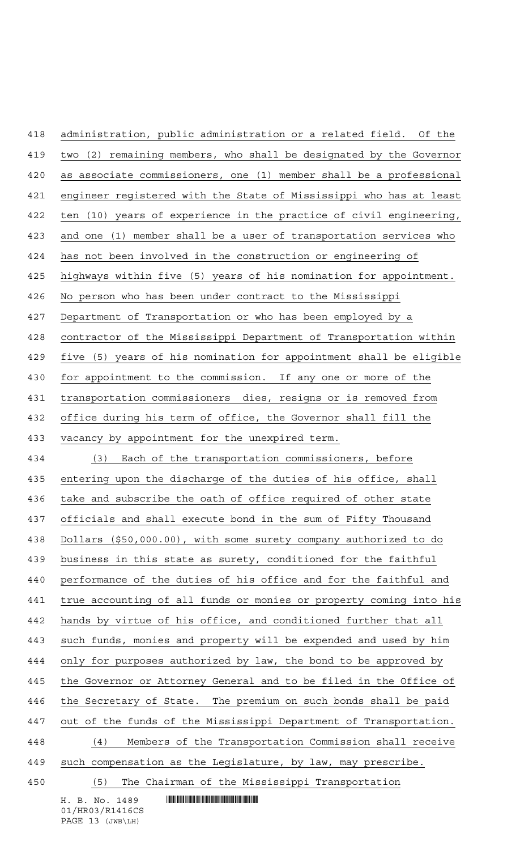$H. B. No. 1489$  . HENDER THE SET OF STATE SET OF STATE SET OF STATE SET OF STATE SET OF STATE SET OF STATE SET OF STATE SET OF STATE SET OF STATE SET OF STATE SET OF STATE SET OF STATE SET OF STATE SET OF STATE SET OF STATE administration, public administration or a related field. Of the two (2) remaining members, who shall be designated by the Governor as associate commissioners, one (1) member shall be a professional engineer registered with the State of Mississippi who has at least ten (10) years of experience in the practice of civil engineering, and one (1) member shall be a user of transportation services who has not been involved in the construction or engineering of highways within five (5) years of his nomination for appointment. No person who has been under contract to the Mississippi Department of Transportation or who has been employed by a contractor of the Mississippi Department of Transportation within five (5) years of his nomination for appointment shall be eligible for appointment to the commission. If any one or more of the transportation commissioners dies, resigns or is removed from 432 office during his term of office, the Governor shall fill the vacancy by appointment for the unexpired term. (3) Each of the transportation commissioners, before entering upon the discharge of the duties of his office, shall take and subscribe the oath of office required of other state officials and shall execute bond in the sum of Fifty Thousand Dollars (\$50,000.00), with some surety company authorized to do business in this state as surety, conditioned for the faithful performance of the duties of his office and for the faithful and true accounting of all funds or monies or property coming into his hands by virtue of his office, and conditioned further that all such funds, monies and property will be expended and used by him only for purposes authorized by law, the bond to be approved by the Governor or Attorney General and to be filed in the Office of 446 the Secretary of State. The premium on such bonds shall be paid out of the funds of the Mississippi Department of Transportation. (4) Members of the Transportation Commission shall receive such compensation as the Legislature, by law, may prescribe. (5) The Chairman of the Mississippi Transportation

01/HR03/R1416CS PAGE 13 (JWB\LH)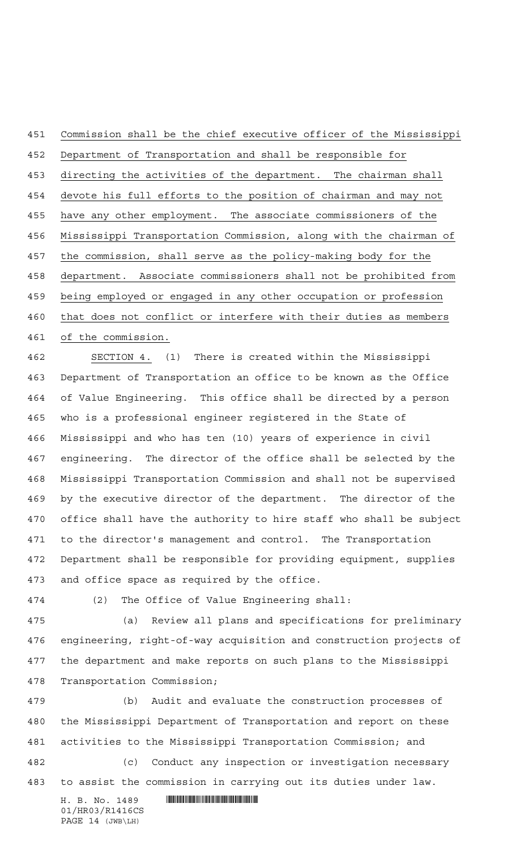Commission shall be the chief executive officer of the Mississippi Department of Transportation and shall be responsible for 453 directing the activities of the department. The chairman shall devote his full efforts to the position of chairman and may not have any other employment. The associate commissioners of the Mississippi Transportation Commission, along with the chairman of the commission, shall serve as the policy-making body for the department. Associate commissioners shall not be prohibited from being employed or engaged in any other occupation or profession 460 that does not conflict or interfere with their duties as members of the commission.

 SECTION 4. (1) There is created within the Mississippi Department of Transportation an office to be known as the Office of Value Engineering. This office shall be directed by a person who is a professional engineer registered in the State of Mississippi and who has ten (10) years of experience in civil engineering. The director of the office shall be selected by the Mississippi Transportation Commission and shall not be supervised by the executive director of the department. The director of the office shall have the authority to hire staff who shall be subject to the director's management and control. The Transportation Department shall be responsible for providing equipment, supplies and office space as required by the office.

(2) The Office of Value Engineering shall:

 (a) Review all plans and specifications for preliminary engineering, right-of-way acquisition and construction projects of the department and make reports on such plans to the Mississippi Transportation Commission;

 (b) Audit and evaluate the construction processes of the Mississippi Department of Transportation and report on these activities to the Mississippi Transportation Commission; and

 (c) Conduct any inspection or investigation necessary to assist the commission in carrying out its duties under law.

 $H. B. No. 1489$  . HENDER THE SET OF STATE SET OF STATE SET OF STATE SET OF STATE SET OF STATE SET OF STATE SET OF STATE SET OF STATE SET OF STATE SET OF STATE SET OF STATE SET OF STATE SET OF STATE SET OF STATE SET OF STATE 01/HR03/R1416CS PAGE 14 (JWB\LH)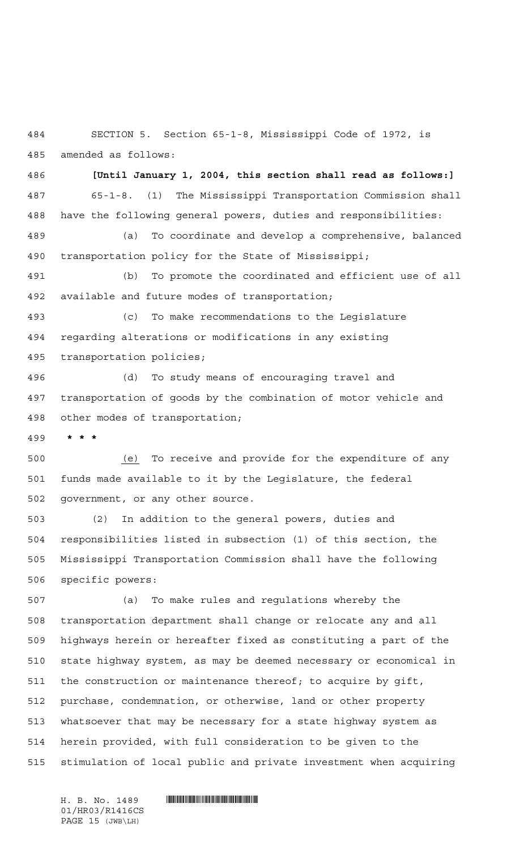SECTION 5. Section 65-1-8, Mississippi Code of 1972, is amended as follows:

 **[Until January 1, 2004, this section shall read as follows:]** 65-1-8. (1) The Mississippi Transportation Commission shall have the following general powers, duties and responsibilities:

 (a) To coordinate and develop a comprehensive, balanced transportation policy for the State of Mississippi;

 (b) To promote the coordinated and efficient use of all available and future modes of transportation;

 (c) To make recommendations to the Legislature regarding alterations or modifications in any existing transportation policies;

 (d) To study means of encouraging travel and transportation of goods by the combination of motor vehicle and other modes of transportation;

**\*\*\***

 (e) To receive and provide for the expenditure of any funds made available to it by the Legislature, the federal government, or any other source.

 (2) In addition to the general powers, duties and responsibilities listed in subsection (1) of this section, the Mississippi Transportation Commission shall have the following specific powers:

 (a) To make rules and regulations whereby the transportation department shall change or relocate any and all highways herein or hereafter fixed as constituting a part of the state highway system, as may be deemed necessary or economical in the construction or maintenance thereof; to acquire by gift, purchase, condemnation, or otherwise, land or other property whatsoever that may be necessary for a state highway system as herein provided, with full consideration to be given to the stimulation of local public and private investment when acquiring

01/HR03/R1416CS PAGE 15 (JWB\LH)

H. B. No. 1489 **HELLAND SERVICE SERVICE SERVICE SERVICE SERVICE SERVICE SERVICE SERVICE SERVICE SERVICE SERVICE SERVICE SERVICE SERVICE SERVICE SERVICE SERVICE SERVICE SERVICE SERVICE SERVICE SERVICE SERVICE SERVICE SERVIC**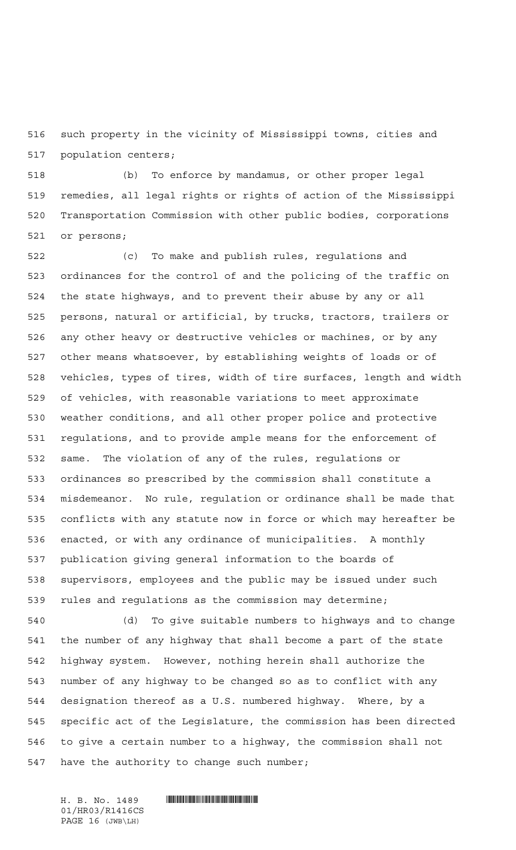such property in the vicinity of Mississippi towns, cities and population centers;

 (b) To enforce by mandamus, or other proper legal remedies, all legal rights or rights of action of the Mississippi Transportation Commission with other public bodies, corporations or persons;

 (c) To make and publish rules, regulations and ordinances for the control of and the policing of the traffic on the state highways, and to prevent their abuse by any or all persons, natural or artificial, by trucks, tractors, trailers or any other heavy or destructive vehicles or machines, or by any other means whatsoever, by establishing weights of loads or of vehicles, types of tires, width of tire surfaces, length and width of vehicles, with reasonable variations to meet approximate weather conditions, and all other proper police and protective regulations, and to provide ample means for the enforcement of same. The violation of any of the rules, regulations or ordinances so prescribed by the commission shall constitute a misdemeanor. No rule, regulation or ordinance shall be made that conflicts with any statute now in force or which may hereafter be enacted, or with any ordinance of municipalities. A monthly publication giving general information to the boards of supervisors, employees and the public may be issued under such rules and regulations as the commission may determine;

 (d) To give suitable numbers to highways and to change the number of any highway that shall become a part of the state highway system. However, nothing herein shall authorize the number of any highway to be changed so as to conflict with any designation thereof as a U.S. numbered highway. Where, by a specific act of the Legislature, the commission has been directed to give a certain number to a highway, the commission shall not have the authority to change such number;

01/HR03/R1416CS PAGE 16 (JWB\LH)

 $H. B. No. 1489$  . HENDER THE SET OF A SET OF A SET OF A SET OF A SET OF A SET OF A SET OF A SET OF A SET OF A SET OF A SET OF A SET OF A SET OF A SET OF A SET OF A SET OF A SET OF A SET OF A SET OF A SET OF A SET OF A SET O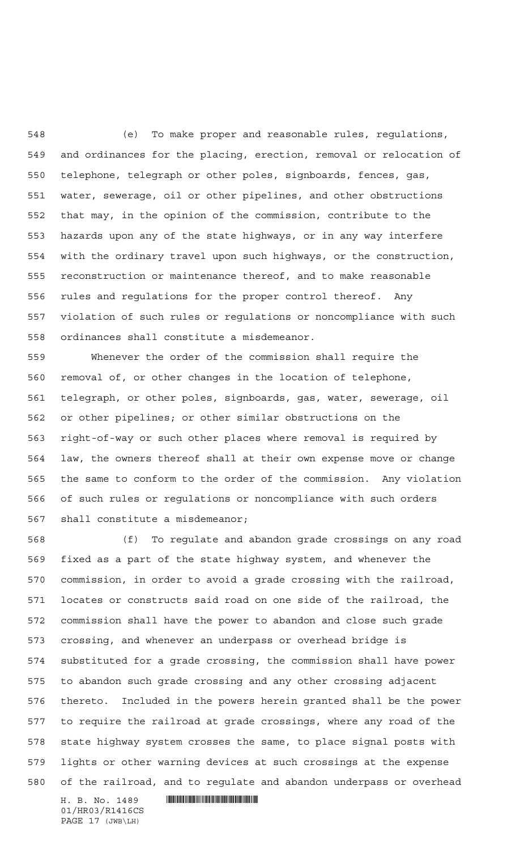(e) To make proper and reasonable rules, regulations, and ordinances for the placing, erection, removal or relocation of telephone, telegraph or other poles, signboards, fences, gas, water, sewerage, oil or other pipelines, and other obstructions that may, in the opinion of the commission, contribute to the hazards upon any of the state highways, or in any way interfere with the ordinary travel upon such highways, or the construction, reconstruction or maintenance thereof, and to make reasonable rules and regulations for the proper control thereof. Any violation of such rules or regulations or noncompliance with such ordinances shall constitute a misdemeanor.

 Whenever the order of the commission shall require the removal of, or other changes in the location of telephone, telegraph, or other poles, signboards, gas, water, sewerage, oil or other pipelines; or other similar obstructions on the right-of-way or such other places where removal is required by law, the owners thereof shall at their own expense move or change the same to conform to the order of the commission. Any violation of such rules or regulations or noncompliance with such orders shall constitute a misdemeanor;

 (f) To regulate and abandon grade crossings on any road fixed as a part of the state highway system, and whenever the commission, in order to avoid a grade crossing with the railroad, locates or constructs said road on one side of the railroad, the commission shall have the power to abandon and close such grade crossing, and whenever an underpass or overhead bridge is substituted for a grade crossing, the commission shall have power to abandon such grade crossing and any other crossing adjacent thereto. Included in the powers herein granted shall be the power to require the railroad at grade crossings, where any road of the state highway system crosses the same, to place signal posts with lights or other warning devices at such crossings at the expense of the railroad, and to regulate and abandon underpass or overhead

 $H. B. No. 1489$  . HENDIFFERENTIAL SERVICE SERVICE SERVICE SERVICE SERVICE SERVICE SERVICE SERVICE SERVICE SERVICE SERVICE SERVICE SERVICE SERVICE SERVICE SERVICE SERVICE SERVICE SERVICE SERVICE SERVICE SERVICE SERVICE SERVI 01/HR03/R1416CS PAGE 17 (JWB\LH)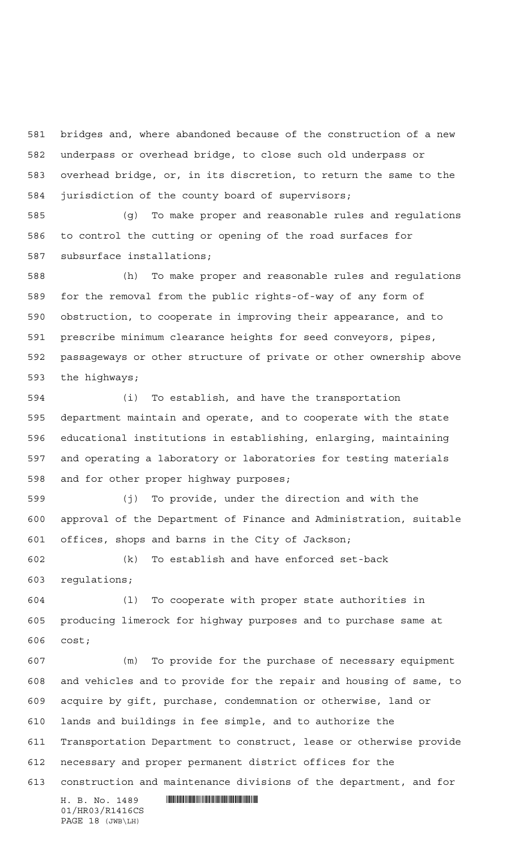bridges and, where abandoned because of the construction of a new underpass or overhead bridge, to close such old underpass or overhead bridge, or, in its discretion, to return the same to the jurisdiction of the county board of supervisors;

 (g) To make proper and reasonable rules and regulations to control the cutting or opening of the road surfaces for subsurface installations;

 (h) To make proper and reasonable rules and regulations for the removal from the public rights-of-way of any form of obstruction, to cooperate in improving their appearance, and to prescribe minimum clearance heights for seed conveyors, pipes, passageways or other structure of private or other ownership above the highways;

 (i) To establish, and have the transportation department maintain and operate, and to cooperate with the state educational institutions in establishing, enlarging, maintaining and operating a laboratory or laboratories for testing materials and for other proper highway purposes;

 (j) To provide, under the direction and with the approval of the Department of Finance and Administration, suitable offices, shops and barns in the City of Jackson;

 (k) To establish and have enforced set-back regulations;

 (l) To cooperate with proper state authorities in producing limerock for highway purposes and to purchase same at cost;

 $H. B. No. 1489$  . HENDER THE SET OF STATE SET OF STATE SET OF STATE SET OF STATE SET OF STATE SET OF STATE SET OF STATE SET OF STATE SET OF STATE SET OF STATE SET OF STATE SET OF STATE SET OF STATE SET OF STATE SET OF STATE (m) To provide for the purchase of necessary equipment and vehicles and to provide for the repair and housing of same, to acquire by gift, purchase, condemnation or otherwise, land or lands and buildings in fee simple, and to authorize the Transportation Department to construct, lease or otherwise provide necessary and proper permanent district offices for the construction and maintenance divisions of the department, and for

01/HR03/R1416CS PAGE 18 (JWB\LH)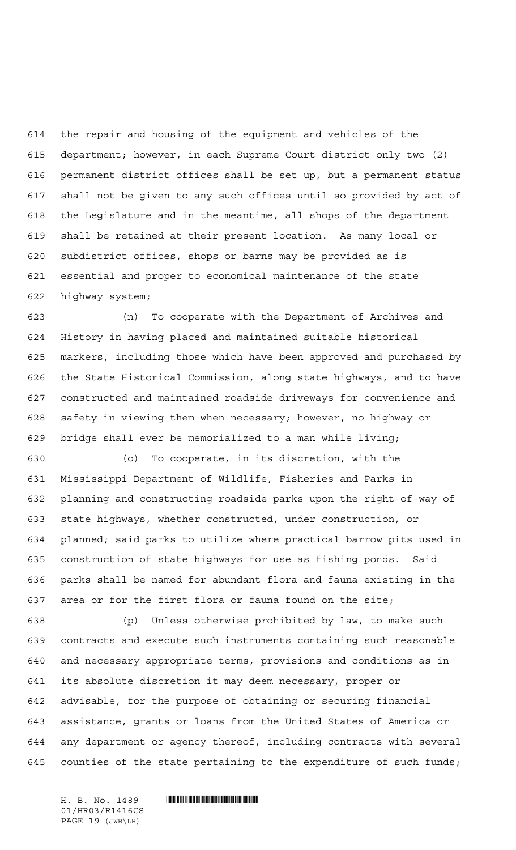the repair and housing of the equipment and vehicles of the department; however, in each Supreme Court district only two (2) permanent district offices shall be set up, but a permanent status shall not be given to any such offices until so provided by act of the Legislature and in the meantime, all shops of the department shall be retained at their present location. As many local or subdistrict offices, shops or barns may be provided as is essential and proper to economical maintenance of the state highway system;

 (n) To cooperate with the Department of Archives and History in having placed and maintained suitable historical markers, including those which have been approved and purchased by the State Historical Commission, along state highways, and to have constructed and maintained roadside driveways for convenience and safety in viewing them when necessary; however, no highway or bridge shall ever be memorialized to a man while living;

 (o) To cooperate, in its discretion, with the Mississippi Department of Wildlife, Fisheries and Parks in planning and constructing roadside parks upon the right-of-way of state highways, whether constructed, under construction, or planned; said parks to utilize where practical barrow pits used in construction of state highways for use as fishing ponds. Said parks shall be named for abundant flora and fauna existing in the area or for the first flora or fauna found on the site;

 (p) Unless otherwise prohibited by law, to make such contracts and execute such instruments containing such reasonable and necessary appropriate terms, provisions and conditions as in its absolute discretion it may deem necessary, proper or advisable, for the purpose of obtaining or securing financial assistance, grants or loans from the United States of America or any department or agency thereof, including contracts with several counties of the state pertaining to the expenditure of such funds;

01/HR03/R1416CS PAGE 19 (JWB\LH)

 $H. B. No. 1489$  . HENDER THE SET OF A SET OF A SET OF A SET OF A SET OF A SET OF A SET OF A SET OF A SET OF A SET OF A SET OF A SET OF A SET OF A SET OF A SET OF A SET OF A SET OF A SET OF A SET OF A SET OF A SET OF A SET O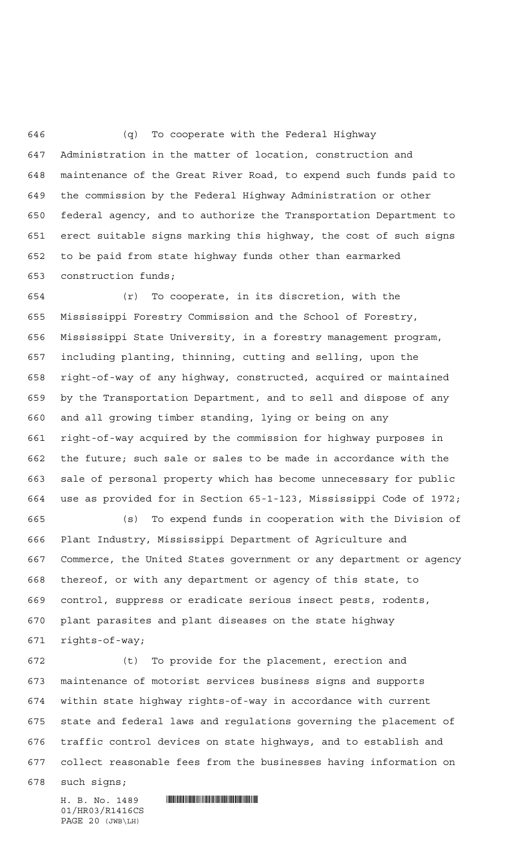(q) To cooperate with the Federal Highway Administration in the matter of location, construction and maintenance of the Great River Road, to expend such funds paid to the commission by the Federal Highway Administration or other federal agency, and to authorize the Transportation Department to erect suitable signs marking this highway, the cost of such signs to be paid from state highway funds other than earmarked construction funds;

 (r) To cooperate, in its discretion, with the Mississippi Forestry Commission and the School of Forestry, Mississippi State University, in a forestry management program, including planting, thinning, cutting and selling, upon the right-of-way of any highway, constructed, acquired or maintained by the Transportation Department, and to sell and dispose of any and all growing timber standing, lying or being on any right-of-way acquired by the commission for highway purposes in the future; such sale or sales to be made in accordance with the sale of personal property which has become unnecessary for public use as provided for in Section 65-1-123, Mississippi Code of 1972;

 (s) To expend funds in cooperation with the Division of Plant Industry, Mississippi Department of Agriculture and Commerce, the United States government or any department or agency thereof, or with any department or agency of this state, to control, suppress or eradicate serious insect pests, rodents, plant parasites and plant diseases on the state highway rights-of-way;

 (t) To provide for the placement, erection and maintenance of motorist services business signs and supports within state highway rights-of-way in accordance with current state and federal laws and regulations governing the placement of traffic control devices on state highways, and to establish and collect reasonable fees from the businesses having information on

such signs;

01/HR03/R1416CS PAGE 20 (JWB\LH)

H. B. No. 1489 **HELLAND SERVICE SERVICE SERVICE SERVICE SERVICE SERVICE SERVICE SERVICE SERVICE SERVICE SERVICE SERVICE SERVICE SERVICE SERVICE SERVICE SERVICE SERVICE SERVICE SERVICE SERVICE SERVICE SERVICE SERVICE SERVIC**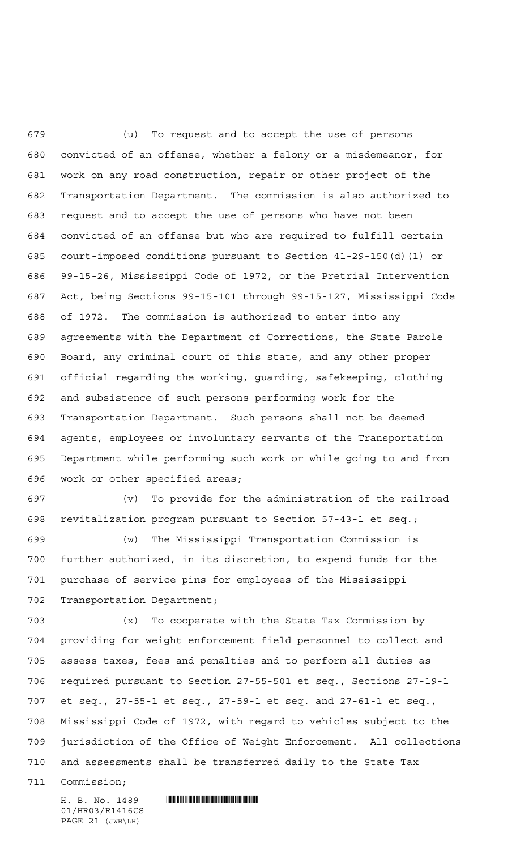(u) To request and to accept the use of persons convicted of an offense, whether a felony or a misdemeanor, for work on any road construction, repair or other project of the Transportation Department. The commission is also authorized to request and to accept the use of persons who have not been convicted of an offense but who are required to fulfill certain court-imposed conditions pursuant to Section 41-29-150(d)(1) or 99-15-26, Mississippi Code of 1972, or the Pretrial Intervention Act, being Sections 99-15-101 through 99-15-127, Mississippi Code of 1972. The commission is authorized to enter into any agreements with the Department of Corrections, the State Parole Board, any criminal court of this state, and any other proper official regarding the working, guarding, safekeeping, clothing and subsistence of such persons performing work for the Transportation Department. Such persons shall not be deemed agents, employees or involuntary servants of the Transportation Department while performing such work or while going to and from work or other specified areas;

 (v) To provide for the administration of the railroad revitalization program pursuant to Section 57-43-1 et seq.;

 (w) The Mississippi Transportation Commission is further authorized, in its discretion, to expend funds for the purchase of service pins for employees of the Mississippi Transportation Department;

 (x) To cooperate with the State Tax Commission by providing for weight enforcement field personnel to collect and assess taxes, fees and penalties and to perform all duties as required pursuant to Section 27-55-501 et seq., Sections 27-19-1 et seq., 27-55-1 et seq., 27-59-1 et seq. and 27-61-1 et seq., Mississippi Code of 1972, with regard to vehicles subject to the jurisdiction of the Office of Weight Enforcement. All collections and assessments shall be transferred daily to the State Tax

Commission;

 $H. B. No. 1489$  . HENROICE THE SET OF A SET OF A SET OF A SET OF A SET OF A SET OF A SET OF A SET OF A SET OF A SET OF A SET OF A SET OF A SET OF A SET OF A SET OF A SET OF A SET OF A SET OF A SET OF A SET OF A SET OF A SET

01/HR03/R1416CS PAGE 21 (JWB\LH)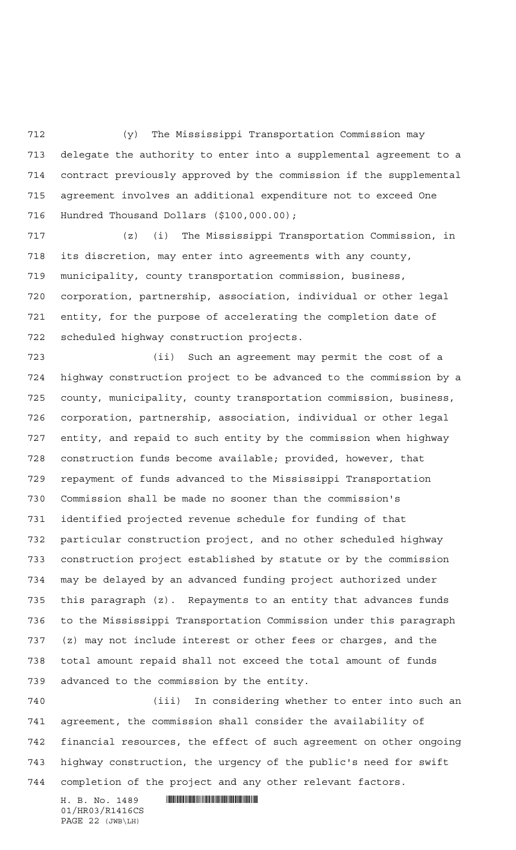(y) The Mississippi Transportation Commission may delegate the authority to enter into a supplemental agreement to a contract previously approved by the commission if the supplemental agreement involves an additional expenditure not to exceed One Hundred Thousand Dollars (\$100,000.00);

 (z) (i) The Mississippi Transportation Commission, in its discretion, may enter into agreements with any county, municipality, county transportation commission, business, corporation, partnership, association, individual or other legal entity, for the purpose of accelerating the completion date of scheduled highway construction projects.

 (ii) Such an agreement may permit the cost of a highway construction project to be advanced to the commission by a county, municipality, county transportation commission, business, corporation, partnership, association, individual or other legal entity, and repaid to such entity by the commission when highway construction funds become available; provided, however, that repayment of funds advanced to the Mississippi Transportation Commission shall be made no sooner than the commission's identified projected revenue schedule for funding of that particular construction project, and no other scheduled highway construction project established by statute or by the commission may be delayed by an advanced funding project authorized under this paragraph (z). Repayments to an entity that advances funds to the Mississippi Transportation Commission under this paragraph (z) may not include interest or other fees or charges, and the total amount repaid shall not exceed the total amount of funds advanced to the commission by the entity.

 (iii) In considering whether to enter into such an agreement, the commission shall consider the availability of financial resources, the effect of such agreement on other ongoing highway construction, the urgency of the public's need for swift completion of the project and any other relevant factors.

01/HR03/R1416CS PAGE 22 (JWB\LH)

 $H. B. No. 1489$  . HENDER THE SET OF STATE SET OF STATE SET OF STATE SET OF STATE SET OF STATE SET OF STATE SET OF STATE SET OF STATE SET OF STATE SET OF STATE SET OF STATE SET OF STATE SET OF STATE SET OF STATE SET OF STATE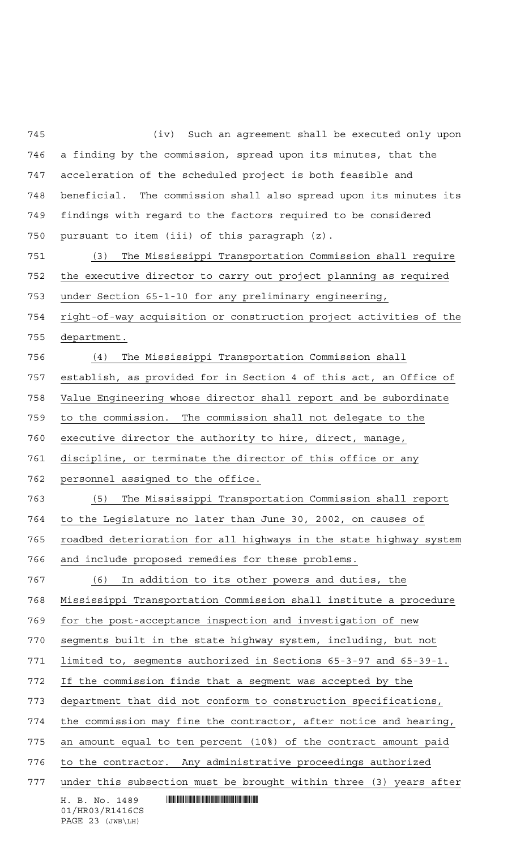$H. B. No. 1489$  . HENDER THE SET OF STATE SET OF STATE SET OF STATE SET OF STATE SET OF STATE SET OF STATE SET OF STATE SET OF STATE SET OF STATE SET OF STATE SET OF STATE SET OF STATE SET OF STATE SET OF STATE SET OF STATE 01/HR03/R1416CS (iv) Such an agreement shall be executed only upon a finding by the commission, spread upon its minutes, that the acceleration of the scheduled project is both feasible and beneficial. The commission shall also spread upon its minutes its findings with regard to the factors required to be considered pursuant to item (iii) of this paragraph (z). (3) The Mississippi Transportation Commission shall require the executive director to carry out project planning as required under Section 65-1-10 for any preliminary engineering, right-of-way acquisition or construction project activities of the department. (4) The Mississippi Transportation Commission shall establish, as provided for in Section 4 of this act, an Office of Value Engineering whose director shall report and be subordinate to the commission. The commission shall not delegate to the executive director the authority to hire, direct, manage, discipline, or terminate the director of this office or any personnel assigned to the office. (5) The Mississippi Transportation Commission shall report to the Legislature no later than June 30, 2002, on causes of roadbed deterioration for all highways in the state highway system and include proposed remedies for these problems. (6) In addition to its other powers and duties, the Mississippi Transportation Commission shall institute a procedure for the post-acceptance inspection and investigation of new segments built in the state highway system, including, but not limited to, segments authorized in Sections 65-3-97 and 65-39-1. If the commission finds that a segment was accepted by the department that did not conform to construction specifications, the commission may fine the contractor, after notice and hearing, an amount equal to ten percent (10%) of the contract amount paid to the contractor. Any administrative proceedings authorized under this subsection must be brought within three (3) years after

PAGE 23 (JWB\LH)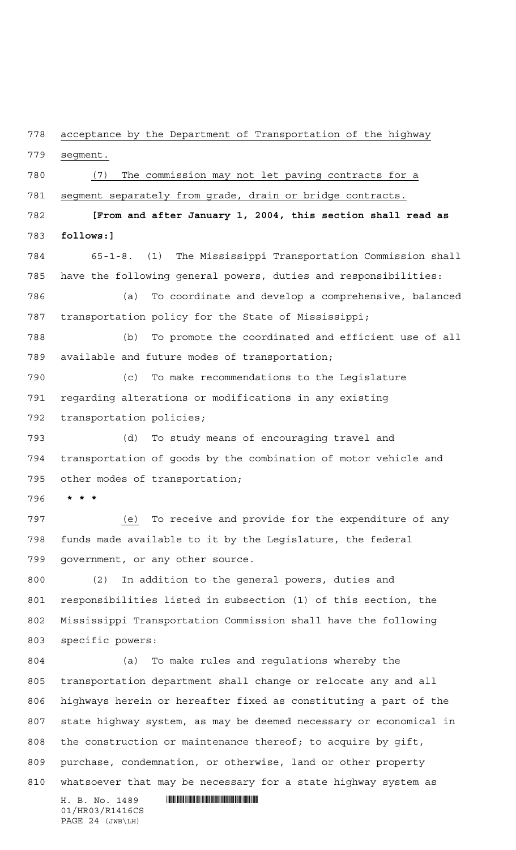acceptance by the Department of Transportation of the highway

segment.

 (7) The commission may not let paving contracts for a segment separately from grade, drain or bridge contracts. **[From and after January 1, 2004, this section shall read as follows:]** 65-1-8. (1) The Mississippi Transportation Commission shall have the following general powers, duties and responsibilities: (a) To coordinate and develop a comprehensive, balanced transportation policy for the State of Mississippi; (b) To promote the coordinated and efficient use of all available and future modes of transportation; (c) To make recommendations to the Legislature regarding alterations or modifications in any existing

transportation policies;

 (d) To study means of encouraging travel and transportation of goods by the combination of motor vehicle and other modes of transportation;

**\*\*\***

 (e) To receive and provide for the expenditure of any funds made available to it by the Legislature, the federal government, or any other source.

 (2) In addition to the general powers, duties and responsibilities listed in subsection (1) of this section, the Mississippi Transportation Commission shall have the following specific powers:

 (a) To make rules and regulations whereby the transportation department shall change or relocate any and all highways herein or hereafter fixed as constituting a part of the state highway system, as may be deemed necessary or economical in the construction or maintenance thereof; to acquire by gift, purchase, condemnation, or otherwise, land or other property whatsoever that may be necessary for a state highway system as

 $H. B. No. 1489$  . HENDIFFERENTIAL SERVICE SERVICE SERVICE SERVICE SERVICE SERVICE SERVICE SERVICE SERVICE SERVICE SERVICE SERVICE SERVICE SERVICE SERVICE SERVICE SERVICE SERVICE SERVICE SERVICE SERVICE SERVICE SERVICE SERVI 01/HR03/R1416CS PAGE 24 (JWB\LH)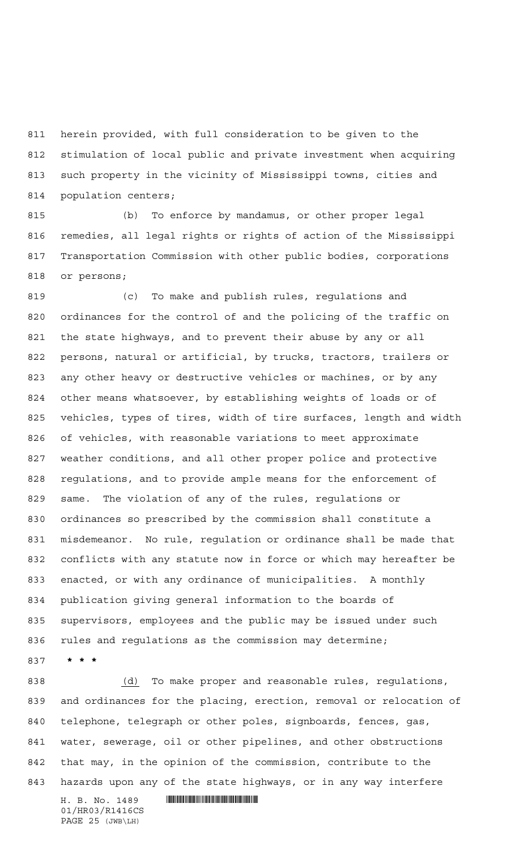herein provided, with full consideration to be given to the stimulation of local public and private investment when acquiring such property in the vicinity of Mississippi towns, cities and population centers;

 (b) To enforce by mandamus, or other proper legal remedies, all legal rights or rights of action of the Mississippi Transportation Commission with other public bodies, corporations or persons;

 (c) To make and publish rules, regulations and ordinances for the control of and the policing of the traffic on the state highways, and to prevent their abuse by any or all persons, natural or artificial, by trucks, tractors, trailers or any other heavy or destructive vehicles or machines, or by any other means whatsoever, by establishing weights of loads or of vehicles, types of tires, width of tire surfaces, length and width of vehicles, with reasonable variations to meet approximate weather conditions, and all other proper police and protective regulations, and to provide ample means for the enforcement of same. The violation of any of the rules, regulations or ordinances so prescribed by the commission shall constitute a misdemeanor. No rule, regulation or ordinance shall be made that conflicts with any statute now in force or which may hereafter be enacted, or with any ordinance of municipalities. A monthly publication giving general information to the boards of supervisors, employees and the public may be issued under such rules and regulations as the commission may determine;

**\*\*\***

 $H. B. No. 1489$  . HENDER THE SET OF STATE SET OF STATE SET OF STATE SET OF STATE SET OF STATE SET OF STATE SET OF STATE SET OF STATE SET OF STATE SET OF STATE SET OF STATE SET OF STATE SET OF STATE SET OF STATE SET OF STATE (d) To make proper and reasonable rules, regulations, and ordinances for the placing, erection, removal or relocation of telephone, telegraph or other poles, signboards, fences, gas, water, sewerage, oil or other pipelines, and other obstructions that may, in the opinion of the commission, contribute to the hazards upon any of the state highways, or in any way interfere

01/HR03/R1416CS PAGE 25 (JWB\LH)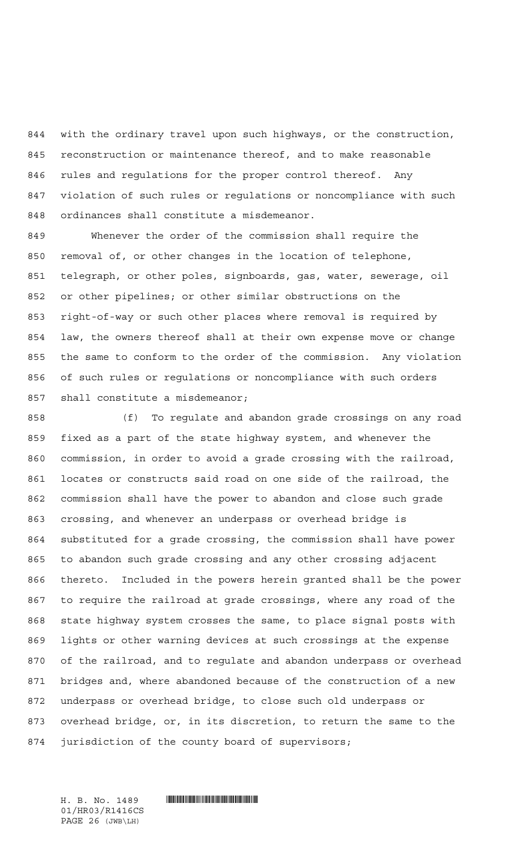with the ordinary travel upon such highways, or the construction, reconstruction or maintenance thereof, and to make reasonable rules and regulations for the proper control thereof. Any violation of such rules or regulations or noncompliance with such ordinances shall constitute a misdemeanor.

 Whenever the order of the commission shall require the removal of, or other changes in the location of telephone, telegraph, or other poles, signboards, gas, water, sewerage, oil or other pipelines; or other similar obstructions on the right-of-way or such other places where removal is required by law, the owners thereof shall at their own expense move or change the same to conform to the order of the commission. Any violation of such rules or regulations or noncompliance with such orders shall constitute a misdemeanor;

 (f) To regulate and abandon grade crossings on any road fixed as a part of the state highway system, and whenever the commission, in order to avoid a grade crossing with the railroad, locates or constructs said road on one side of the railroad, the commission shall have the power to abandon and close such grade crossing, and whenever an underpass or overhead bridge is substituted for a grade crossing, the commission shall have power to abandon such grade crossing and any other crossing adjacent thereto. Included in the powers herein granted shall be the power to require the railroad at grade crossings, where any road of the state highway system crosses the same, to place signal posts with lights or other warning devices at such crossings at the expense of the railroad, and to regulate and abandon underpass or overhead bridges and, where abandoned because of the construction of a new underpass or overhead bridge, to close such old underpass or overhead bridge, or, in its discretion, to return the same to the jurisdiction of the county board of supervisors;

01/HR03/R1416CS PAGE 26 (JWB\LH)

 $H. B. No. 1489$  . HENDER THE SET OF A SET OF A SET OF A SET OF A SET OF A SET OF A SET OF A SET OF A SET OF A SET OF A SET OF A SET OF A SET OF A SET OF A SET OF A SET OF A SET OF A SET OF A SET OF A SET OF A SET OF A SET O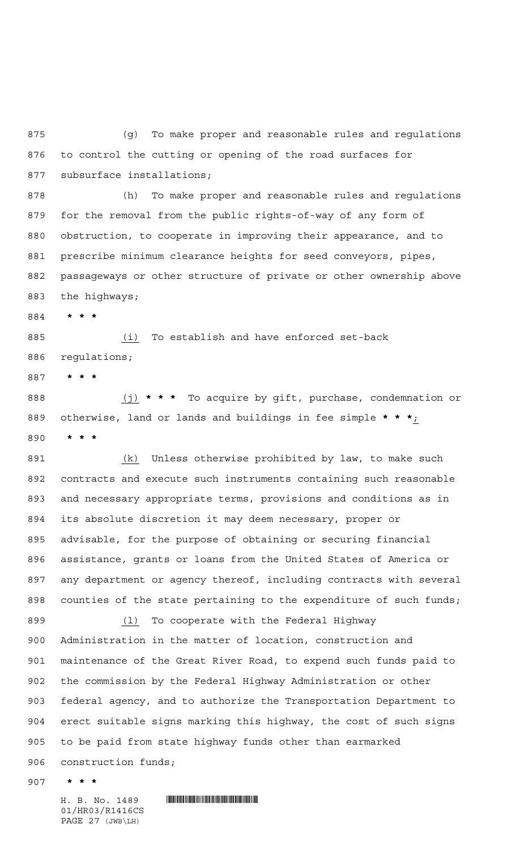(g) To make proper and reasonable rules and regulations to control the cutting or opening of the road surfaces for subsurface installations;

 (h) To make proper and reasonable rules and regulations for the removal from the public rights-of-way of any form of obstruction, to cooperate in improving their appearance, and to prescribe minimum clearance heights for seed conveyors, pipes, passageways or other structure of private or other ownership above the highways;

**\*\*\***

 (i) To establish and have enforced set-back regulations;

**\*\*\***

 (j) **\*\*\*** To acquire by gift, purchase, condemnation or otherwise, land or lands and buildings in fee simple **\*\*\***; **\*\*\***

 (k) Unless otherwise prohibited by law, to make such contracts and execute such instruments containing such reasonable and necessary appropriate terms, provisions and conditions as in its absolute discretion it may deem necessary, proper or advisable, for the purpose of obtaining or securing financial assistance, grants or loans from the United States of America or any department or agency thereof, including contracts with several counties of the state pertaining to the expenditure of such funds; (l) To cooperate with the Federal Highway Administration in the matter of location, construction and maintenance of the Great River Road, to expend such funds paid to the commission by the Federal Highway Administration or other federal agency, and to authorize the Transportation Department to erect suitable signs marking this highway, the cost of such signs to be paid from state highway funds other than earmarked construction funds;

**\*\*\***

01/HR03/R1416CS PAGE 27 (JWB\LH)

H. B. No. 1489 **HELLAND SERVICE SERVICE SERVICE SERVICE SERVICE SERVICE SERVICE SERVICE SERVICE SERVICE SERVICE SERVICE SERVICE SERVICE SERVICE SERVICE SERVICE SERVICE SERVICE SERVICE SERVICE SERVICE SERVICE SERVICE SERVIC**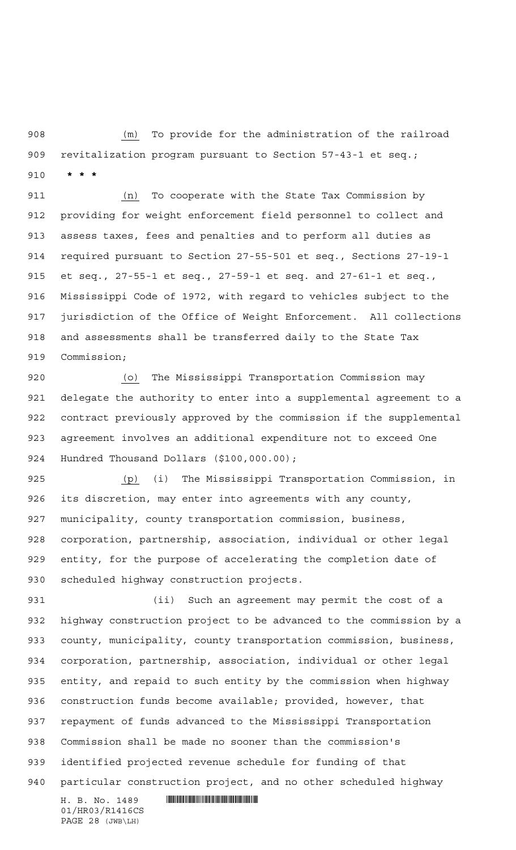(m) To provide for the administration of the railroad revitalization program pursuant to Section 57-43-1 et seq.; **\*\*\***

 (n) To cooperate with the State Tax Commission by providing for weight enforcement field personnel to collect and assess taxes, fees and penalties and to perform all duties as required pursuant to Section 27-55-501 et seq., Sections 27-19-1 et seq., 27-55-1 et seq., 27-59-1 et seq. and 27-61-1 et seq., Mississippi Code of 1972, with regard to vehicles subject to the jurisdiction of the Office of Weight Enforcement. All collections and assessments shall be transferred daily to the State Tax Commission;

 (o) The Mississippi Transportation Commission may delegate the authority to enter into a supplemental agreement to a contract previously approved by the commission if the supplemental agreement involves an additional expenditure not to exceed One Hundred Thousand Dollars (\$100,000.00);

 (p) (i) The Mississippi Transportation Commission, in its discretion, may enter into agreements with any county, municipality, county transportation commission, business, corporation, partnership, association, individual or other legal entity, for the purpose of accelerating the completion date of scheduled highway construction projects.

 (ii) Such an agreement may permit the cost of a highway construction project to be advanced to the commission by a county, municipality, county transportation commission, business, corporation, partnership, association, individual or other legal entity, and repaid to such entity by the commission when highway construction funds become available; provided, however, that repayment of funds advanced to the Mississippi Transportation Commission shall be made no sooner than the commission's identified projected revenue schedule for funding of that particular construction project, and no other scheduled highway

 $H. B. No. 1489$  . HENDIFFERENTIAL SERVICE SERVICE SERVICE SERVICE SERVICE SERVICE SERVICE SERVICE SERVICE SERVICE SERVICE SERVICE SERVICE SERVICE SERVICE SERVICE SERVICE SERVICE SERVICE SERVICE SERVICE SERVICE SERVICE SERVI 01/HR03/R1416CS PAGE 28 (JWB\LH)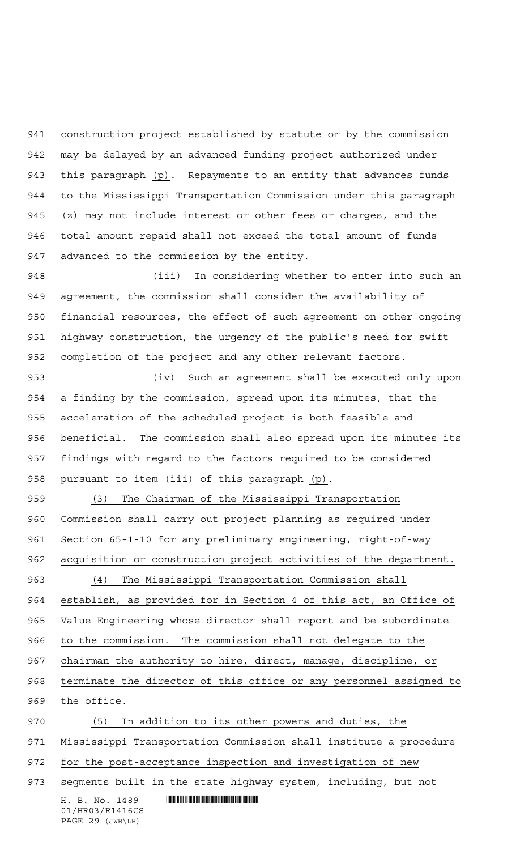construction project established by statute or by the commission may be delayed by an advanced funding project authorized under this paragraph (p). Repayments to an entity that advances funds to the Mississippi Transportation Commission under this paragraph (z) may not include interest or other fees or charges, and the total amount repaid shall not exceed the total amount of funds advanced to the commission by the entity.

 (iii) In considering whether to enter into such an agreement, the commission shall consider the availability of financial resources, the effect of such agreement on other ongoing highway construction, the urgency of the public's need for swift completion of the project and any other relevant factors.

 (iv) Such an agreement shall be executed only upon a finding by the commission, spread upon its minutes, that the acceleration of the scheduled project is both feasible and beneficial. The commission shall also spread upon its minutes its findings with regard to the factors required to be considered pursuant to item (iii) of this paragraph (p).

 (3) The Chairman of the Mississippi Transportation Commission shall carry out project planning as required under 961 Section 65-1-10 for any preliminary engineering, right-of-way acquisition or construction project activities of the department. (4) The Mississippi Transportation Commission shall 964 establish, as provided for in Section 4 of this act, an Office of Value Engineering whose director shall report and be subordinate to the commission. The commission shall not delegate to the

chairman the authority to hire, direct, manage, discipline, or

terminate the director of this office or any personnel assigned to

the office.

 $H. B. No. 1489$  . HENDER THE SET OF STATE SET OF STATE SET OF STATE SET OF STATE SET OF STATE SET OF STATE SET OF STATE SET OF STATE SET OF STATE SET OF STATE SET OF STATE SET OF STATE SET OF STATE SET OF STATE SET OF STATE (5) In addition to its other powers and duties, the Mississippi Transportation Commission shall institute a procedure 972 for the post-acceptance inspection and investigation of new 973 segments built in the state highway system, including, but not

01/HR03/R1416CS PAGE 29 (JWB\LH)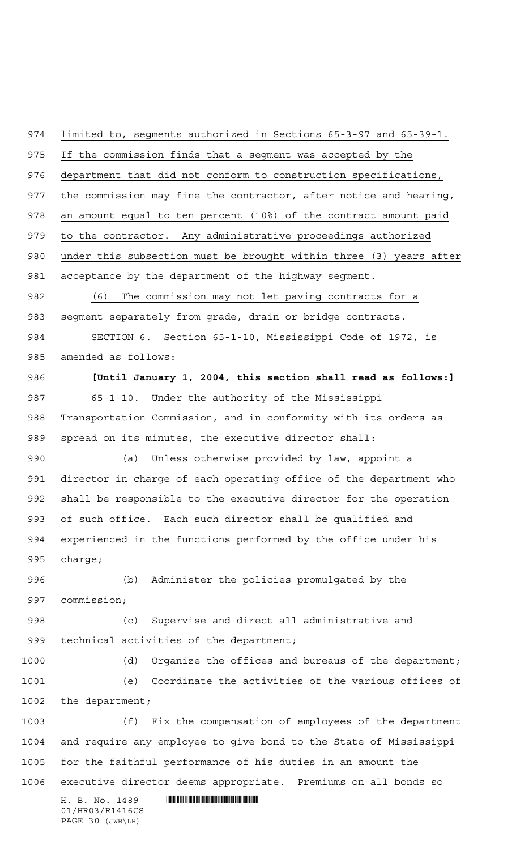$H. B. No. 1489$  . HENDER THE SET OF A SET OF A SET OF A SET OF A SET OF A SET OF A SET OF A SET OF A SET OF A SET OF A SET OF A SET OF A SET OF A SET OF A SET OF A SET OF A SET OF A SET OF A SET OF A SET OF A SET OF A SET O 01/HR03/R1416CS PAGE 30 (JWB\LH) limited to, segments authorized in Sections 65-3-97 and 65-39-1. If the commission finds that a segment was accepted by the department that did not conform to construction specifications, 977 the commission may fine the contractor, after notice and hearing, an amount equal to ten percent (10%) of the contract amount paid to the contractor. Any administrative proceedings authorized under this subsection must be brought within three (3) years after acceptance by the department of the highway segment. (6) The commission may not let paving contracts for a segment separately from grade, drain or bridge contracts. SECTION 6. Section 65-1-10, Mississippi Code of 1972, is amended as follows: **[Until January 1, 2004, this section shall read as follows:]** 65-1-10. Under the authority of the Mississippi Transportation Commission, and in conformity with its orders as spread on its minutes, the executive director shall: (a) Unless otherwise provided by law, appoint a director in charge of each operating office of the department who shall be responsible to the executive director for the operation of such office. Each such director shall be qualified and experienced in the functions performed by the office under his charge; (b) Administer the policies promulgated by the commission; (c) Supervise and direct all administrative and 999 technical activities of the department; (d) Organize the offices and bureaus of the department; (e) Coordinate the activities of the various offices of the department; (f) Fix the compensation of employees of the department and require any employee to give bond to the State of Mississippi for the faithful performance of his duties in an amount the executive director deems appropriate. Premiums on all bonds so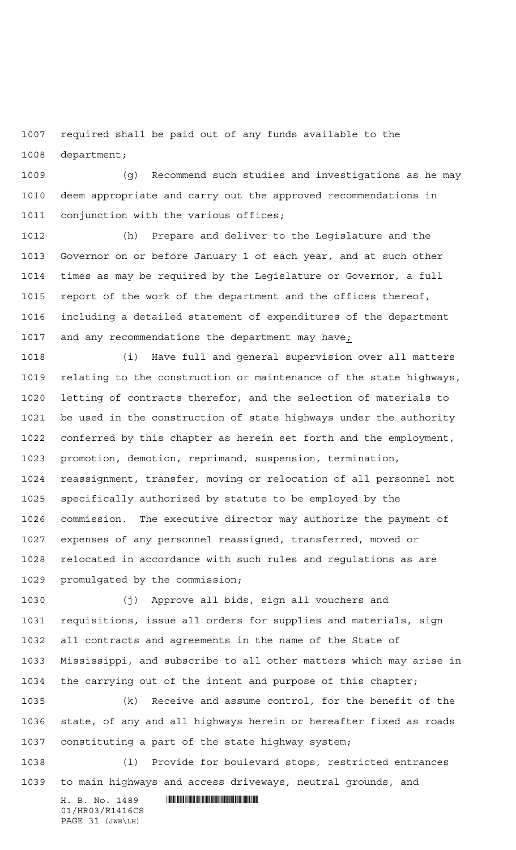required shall be paid out of any funds available to the department;

 (g) Recommend such studies and investigations as he may deem appropriate and carry out the approved recommendations in 1011 conjunction with the various offices;

 (h) Prepare and deliver to the Legislature and the Governor on or before January 1 of each year, and at such other times as may be required by the Legislature or Governor, a full report of the work of the department and the offices thereof, including a detailed statement of expenditures of the department and any recommendations the department may have;

 (i) Have full and general supervision over all matters relating to the construction or maintenance of the state highways, letting of contracts therefor, and the selection of materials to be used in the construction of state highways under the authority conferred by this chapter as herein set forth and the employment, promotion, demotion, reprimand, suspension, termination, reassignment, transfer, moving or relocation of all personnel not specifically authorized by statute to be employed by the commission. The executive director may authorize the payment of expenses of any personnel reassigned, transferred, moved or relocated in accordance with such rules and regulations as are promulgated by the commission;

 (j) Approve all bids, sign all vouchers and requisitions, issue all orders for supplies and materials, sign all contracts and agreements in the name of the State of Mississippi, and subscribe to all other matters which may arise in the carrying out of the intent and purpose of this chapter;

 (k) Receive and assume control, for the benefit of the state, of any and all highways herein or hereafter fixed as roads constituting a part of the state highway system;

 (l) Provide for boulevard stops, restricted entrances to main highways and access driveways, neutral grounds, and

 $H. B. No. 1489$  . HENROICE THE SET OF A SET OF A SET OF A SET OF A SET OF A SET OF A SET OF A SET OF A SET OF A SET OF A SET OF A SET OF A SET OF A SET OF A SET OF A SET OF A SET OF A SET OF A SET OF A SET OF A SET OF A SET 01/HR03/R1416CS PAGE 31 (JWB\LH)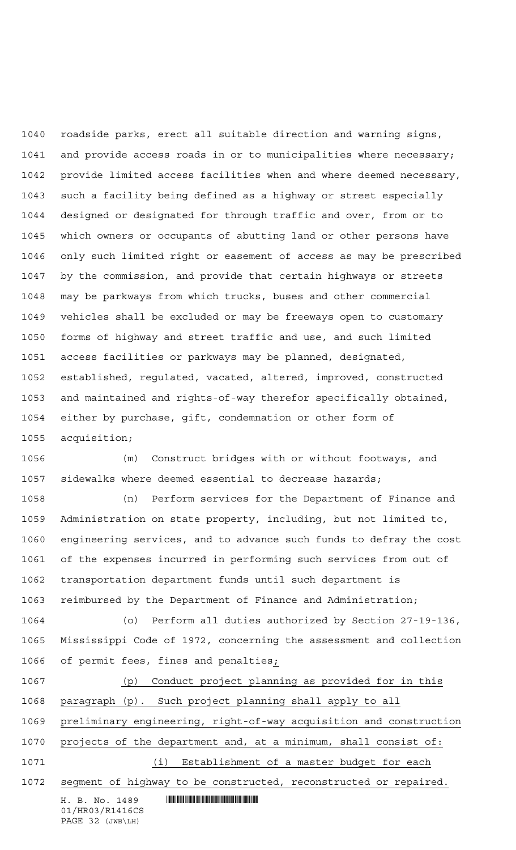roadside parks, erect all suitable direction and warning signs, and provide access roads in or to municipalities where necessary; provide limited access facilities when and where deemed necessary, such a facility being defined as a highway or street especially designed or designated for through traffic and over, from or to which owners or occupants of abutting land or other persons have only such limited right or easement of access as may be prescribed by the commission, and provide that certain highways or streets may be parkways from which trucks, buses and other commercial vehicles shall be excluded or may be freeways open to customary forms of highway and street traffic and use, and such limited access facilities or parkways may be planned, designated, established, regulated, vacated, altered, improved, constructed and maintained and rights-of-way therefor specifically obtained, either by purchase, gift, condemnation or other form of acquisition;

 (m) Construct bridges with or without footways, and sidewalks where deemed essential to decrease hazards;

 (n) Perform services for the Department of Finance and Administration on state property, including, but not limited to, engineering services, and to advance such funds to defray the cost of the expenses incurred in performing such services from out of transportation department funds until such department is reimbursed by the Department of Finance and Administration;

 (o) Perform all duties authorized by Section 27-19-136, Mississippi Code of 1972, concerning the assessment and collection of permit fees, fines and penalties;

 $H. B. No. 1489$  . HENDER THE SET OF STATE SET OF STATE SET OF STATE SET OF STATE SET OF STATE SET OF STATE SET OF STATE SET OF STATE SET OF STATE SET OF STATE SET OF STATE SET OF STATE SET OF STATE SET OF STATE SET OF STATE 01/HR03/R1416CS (p) Conduct project planning as provided for in this paragraph (p). Such project planning shall apply to all preliminary engineering, right-of-way acquisition and construction projects of the department and, at a minimum, shall consist of: (i) Establishment of a master budget for each segment of highway to be constructed, reconstructed or repaired.

PAGE 32 (JWB\LH)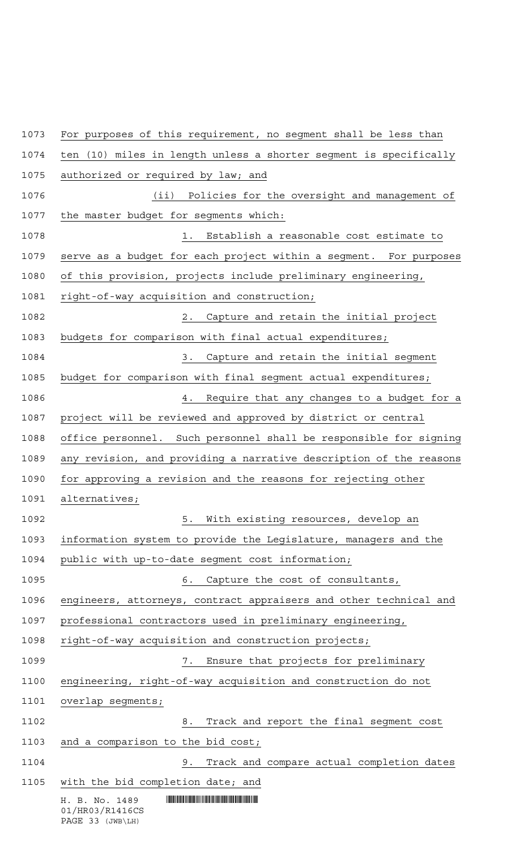| 1073 | For purposes of this requirement, no segment shall be less than      |
|------|----------------------------------------------------------------------|
| 1074 | (10) miles in length unless a shorter segment is specifically<br>ten |
| 1075 | authorized or required by law; and                                   |
| 1076 | (iii)<br>Policies for the oversight and management of                |
| 1077 | the master budget for segments which:                                |
| 1078 | 1. Establish a reasonable cost estimate to                           |
| 1079 | serve as a budget for each project within a segment. For purposes    |
| 1080 | of this provision, projects include preliminary engineering,         |
| 1081 | right-of-way acquisition and construction;                           |
| 1082 | Capture and retain the initial project<br>$2$ .                      |
| 1083 | budgets for comparison with final actual expenditures;               |
| 1084 | Capture and retain the initial segment<br>3.                         |
| 1085 | budget for comparison with final segment actual expenditures;        |
| 1086 | Require that any changes to a budget for a<br>4.                     |
| 1087 | project will be reviewed and approved by district or central         |
| 1088 | office personnel. Such personnel shall be responsible for signing    |
| 1089 | any revision, and providing a narrative description of the reasons   |
| 1090 | for approving a revision and the reasons for rejecting other         |
| 1091 | alternatives;                                                        |
| 1092 | 5.<br>With existing resources, develop an                            |
| 1093 | information system to provide the Legislature, managers and the      |
| 1094 | public with up-to-date segment cost information;                     |
| 1095 | Capture the cost of consultants,<br>6.                               |
| 1096 | engineers, attorneys, contract appraisers and other technical and    |
| 1097 | professional contractors used in preliminary engineering,            |
| 1098 | right-of-way acquisition and construction projects;                  |
| 1099 | Ensure that projects for preliminary<br>7.                           |
| 1100 | engineering, right-of-way acquisition and construction do not        |
| 1101 | overlap segments;                                                    |
| 1102 | Track and report the final segment cost<br>8.                        |
| 1103 | and a comparison to the bid cost;                                    |
| 1104 | Track and compare actual completion dates<br>9.                      |
| 1105 | with the bid completion date; and                                    |
|      | H. B. No. 1489<br>01/HR03/R1416CS<br>PAGE 33 (JWB\LH)                |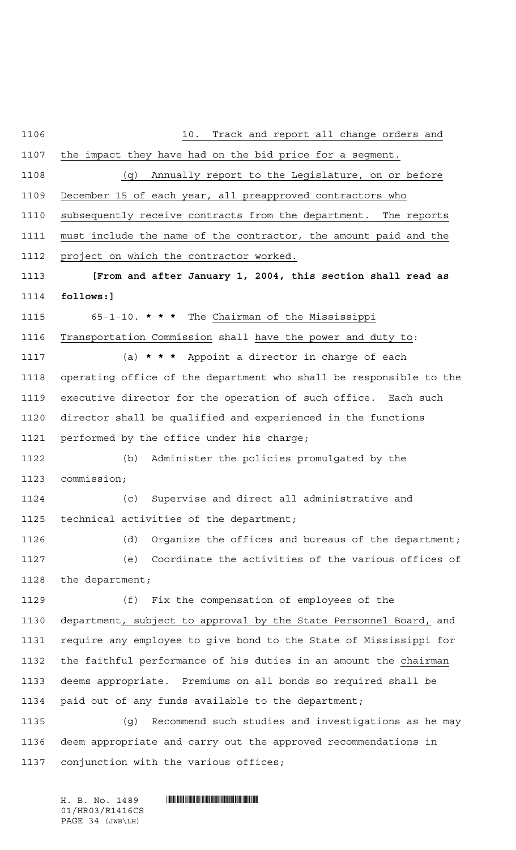10. Track and report all change orders and the impact they have had on the bid price for a segment. (q) Annually report to the Legislature, on or before December 15 of each year, all preapproved contractors who subsequently receive contracts from the department. The reports must include the name of the contractor, the amount paid and the project on which the contractor worked. **[From and after January 1, 2004, this section shall read as follows:]** 65-1-10. **\*\*\*** The Chairman of the Mississippi Transportation Commission shall have the power and duty to: (a) **\*\*\*** Appoint a director in charge of each operating office of the department who shall be responsible to the executive director for the operation of such office. Each such director shall be qualified and experienced in the functions performed by the office under his charge; (b) Administer the policies promulgated by the commission; (c) Supervise and direct all administrative and technical activities of the department; (d) Organize the offices and bureaus of the department; (e) Coordinate the activities of the various offices of the department; (f) Fix the compensation of employees of the department, subject to approval by the State Personnel Board, and require any employee to give bond to the State of Mississippi for the faithful performance of his duties in an amount the chairman deems appropriate. Premiums on all bonds so required shall be paid out of any funds available to the department; (g) Recommend such studies and investigations as he may deem appropriate and carry out the approved recommendations in conjunction with the various offices;

 $H. B. No. 1489$  . HENDER THE SET OF A SET OF A SET OF A SET OF A SET OF A SET OF A SET OF A SET OF A SET OF A SET OF A SET OF A SET OF A SET OF A SET OF A SET OF A SET OF A SET OF A SET OF A SET OF A SET OF A SET OF A SET O 01/HR03/R1416CS PAGE 34 (JWB\LH)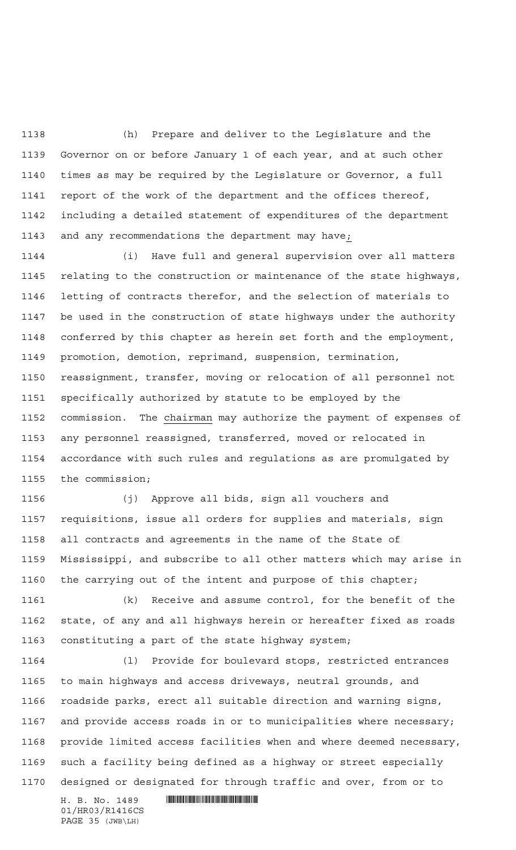(h) Prepare and deliver to the Legislature and the Governor on or before January 1 of each year, and at such other times as may be required by the Legislature or Governor, a full report of the work of the department and the offices thereof, including a detailed statement of expenditures of the department and any recommendations the department may have;

 (i) Have full and general supervision over all matters relating to the construction or maintenance of the state highways, letting of contracts therefor, and the selection of materials to be used in the construction of state highways under the authority conferred by this chapter as herein set forth and the employment, promotion, demotion, reprimand, suspension, termination, reassignment, transfer, moving or relocation of all personnel not specifically authorized by statute to be employed by the commission. The chairman may authorize the payment of expenses of any personnel reassigned, transferred, moved or relocated in accordance with such rules and regulations as are promulgated by the commission;

 (j) Approve all bids, sign all vouchers and requisitions, issue all orders for supplies and materials, sign all contracts and agreements in the name of the State of Mississippi, and subscribe to all other matters which may arise in the carrying out of the intent and purpose of this chapter;

 (k) Receive and assume control, for the benefit of the state, of any and all highways herein or hereafter fixed as roads constituting a part of the state highway system;

 (l) Provide for boulevard stops, restricted entrances to main highways and access driveways, neutral grounds, and roadside parks, erect all suitable direction and warning signs, and provide access roads in or to municipalities where necessary; provide limited access facilities when and where deemed necessary, such a facility being defined as a highway or street especially designed or designated for through traffic and over, from or to

01/HR03/R1416CS PAGE 35 (JWB\LH)

H. B. No. 1489 **HELLAND SERVICE SERVICE SERVICE SERVICE SERVICE SERVICE SERVICE SERVICE SERVICE SERVICE SERVICE SERVICE SERVICE SERVICE SERVICE SERVICE SERVICE SERVICE SERVICE SERVICE SERVICE SERVICE SERVICE SERVICE SERVIC**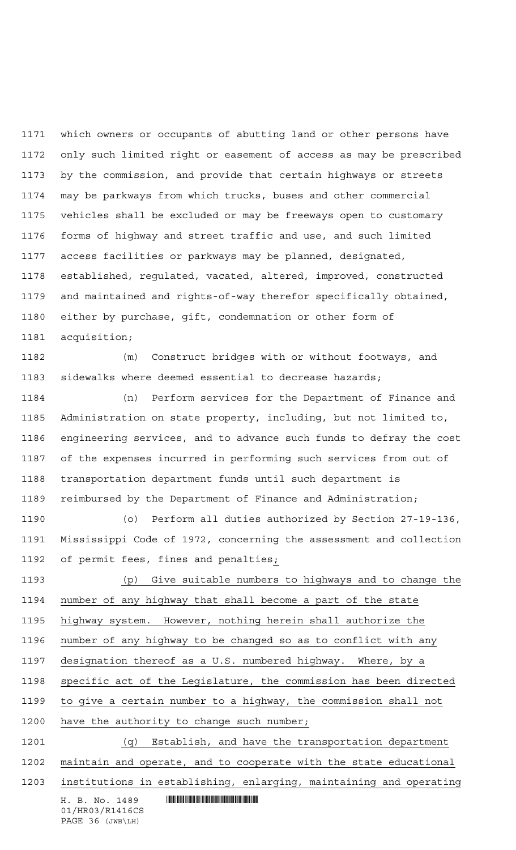which owners or occupants of abutting land or other persons have only such limited right or easement of access as may be prescribed by the commission, and provide that certain highways or streets may be parkways from which trucks, buses and other commercial vehicles shall be excluded or may be freeways open to customary forms of highway and street traffic and use, and such limited access facilities or parkways may be planned, designated, established, regulated, vacated, altered, improved, constructed and maintained and rights-of-way therefor specifically obtained, either by purchase, gift, condemnation or other form of acquisition;

 (m) Construct bridges with or without footways, and sidewalks where deemed essential to decrease hazards;

 (n) Perform services for the Department of Finance and Administration on state property, including, but not limited to, engineering services, and to advance such funds to defray the cost of the expenses incurred in performing such services from out of transportation department funds until such department is reimbursed by the Department of Finance and Administration;

 (o) Perform all duties authorized by Section 27-19-136, Mississippi Code of 1972, concerning the assessment and collection of permit fees, fines and penalties;

 (p) Give suitable numbers to highways and to change the number of any highway that shall become a part of the state highway system. However, nothing herein shall authorize the number of any highway to be changed so as to conflict with any designation thereof as a U.S. numbered highway. Where, by a specific act of the Legislature, the commission has been directed to give a certain number to a highway, the commission shall not have the authority to change such number; (q) Establish, and have the transportation department maintain and operate, and to cooperate with the state educational

institutions in establishing, enlarging, maintaining and operating

 $H. B. No. 1489$  . HENDER THE SET OF STATE SET OF STATE SET OF STATE SET OF STATE SET OF STATE SET OF STATE SET OF STATE SET OF STATE SET OF STATE SET OF STATE SET OF STATE SET OF STATE SET OF STATE SET OF STATE SET OF STATE

01/HR03/R1416CS PAGE 36 (JWB\LH)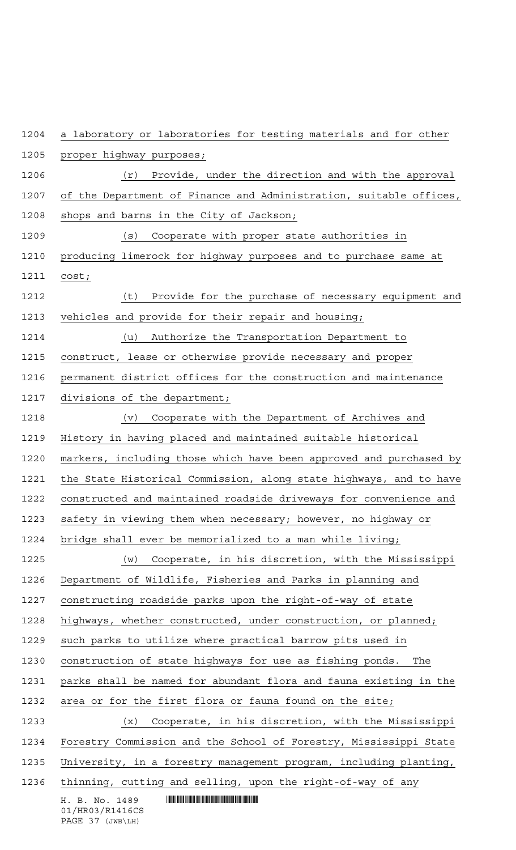| 1204 | a laboratory or laboratories for testing materials and for other     |
|------|----------------------------------------------------------------------|
| 1205 | proper highway purposes;                                             |
| 1206 | Provide, under the direction and with the approval<br>(r)            |
| 1207 | of the Department of Finance and Administration, suitable offices,   |
| 1208 | shops and barns in the City of Jackson;                              |
| 1209 | (s)<br>Cooperate with proper state authorities in                    |
| 1210 | producing limerock for highway purposes and to purchase same at      |
| 1211 | cost;                                                                |
| 1212 | (t)<br>Provide for the purchase of necessary equipment and           |
| 1213 | vehicles and provide for their repair and housing;                   |
| 1214 | Authorize the Transportation Department to<br>(u)                    |
| 1215 | construct, lease or otherwise provide necessary and proper           |
| 1216 | permanent district offices for the construction and maintenance      |
| 1217 | divisions of the department;                                         |
| 1218 | Cooperate with the Department of Archives and<br>(v)                 |
| 1219 | History in having placed and maintained suitable historical          |
| 1220 | markers, including those which have been approved and purchased by   |
| 1221 | the State Historical Commission, along state highways, and to have   |
| 1222 | constructed and maintained roadside driveways for convenience and    |
| 1223 | safety in viewing them when necessary; however, no highway or        |
| 1224 | bridge shall ever be memorialized to a man while living;             |
| 1225 | Cooperate, in his discretion, with the Mississippi<br>(w)            |
| 1226 | Department of Wildlife, Fisheries and Parks in planning and          |
| 1227 | constructing roadside parks upon the right-of-way of state           |
| 1228 | highways, whether constructed, under construction, or planned;       |
| 1229 | such parks to utilize where practical barrow pits used in            |
| 1230 | construction of state highways for use as fishing ponds.<br>The      |
| 1231 | parks shall be named for abundant flora and fauna existing in the    |
| 1232 | area or for the first flora or fauna found on the site;              |
| 1233 | Cooperate, in his discretion, with the Mississippi<br>$(\mathbf{x})$ |
| 1234 | Forestry Commission and the School of Forestry, Mississippi State    |
| 1235 | University, in a forestry management program, including planting,    |
| 1236 | thinning, cutting and selling, upon the right-of-way of any          |
|      | H. B. No. 1489<br>01/HR03/R1416CS                                    |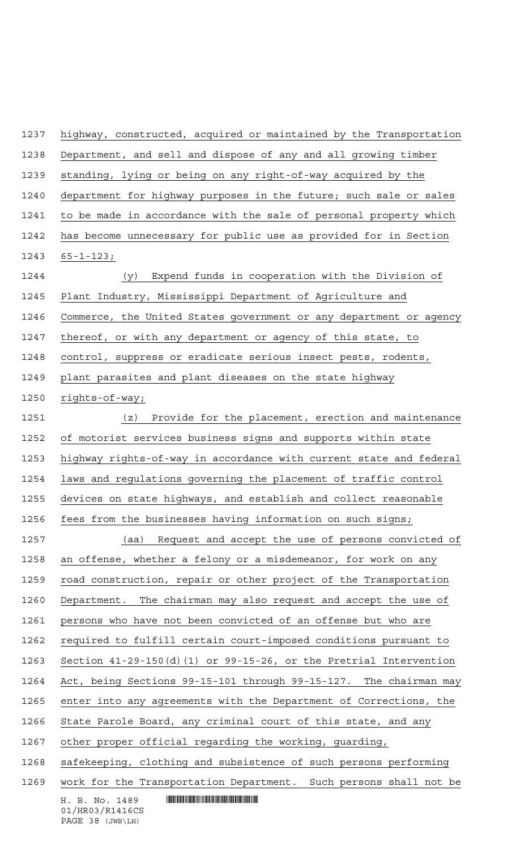$H. B. No. 1489$  . HENDIFFERENTIAL SERVICE SERVICE SERVICE SERVICE SERVICE SERVICE SERVICE SERVICE SERVICE SERVICE SERVICE SERVICE SERVICE SERVICE SERVICE SERVICE SERVICE SERVICE SERVICE SERVICE SERVICE SERVICE SERVICE SERVI 01/HR03/R1416CS highway, constructed, acquired or maintained by the Transportation Department, and sell and dispose of any and all growing timber standing, lying or being on any right-of-way acquired by the department for highway purposes in the future; such sale or sales to be made in accordance with the sale of personal property which has become unnecessary for public use as provided for in Section 65-1-123; (y) Expend funds in cooperation with the Division of Plant Industry, Mississippi Department of Agriculture and Commerce, the United States government or any department or agency 1247 thereof, or with any department or agency of this state, to control, suppress or eradicate serious insect pests, rodents, plant parasites and plant diseases on the state highway rights-of-way; (z) Provide for the placement, erection and maintenance of motorist services business signs and supports within state highway rights-of-way in accordance with current state and federal laws and regulations governing the placement of traffic control devices on state highways, and establish and collect reasonable fees from the businesses having information on such signs; (aa) Request and accept the use of persons convicted of an offense, whether a felony or a misdemeanor, for work on any road construction, repair or other project of the Transportation Department. The chairman may also request and accept the use of persons who have not been convicted of an offense but who are required to fulfill certain court-imposed conditions pursuant to Section 41-29-150(d)(1) or 99-15-26, or the Pretrial Intervention Act, being Sections 99-15-101 through 99-15-127. The chairman may enter into any agreements with the Department of Corrections, the State Parole Board, any criminal court of this state, and any other proper official regarding the working, guarding, 1268 safekeeping, clothing and subsistence of such persons performing work for the Transportation Department. Such persons shall not be

# PAGE 38 (JWB\LH)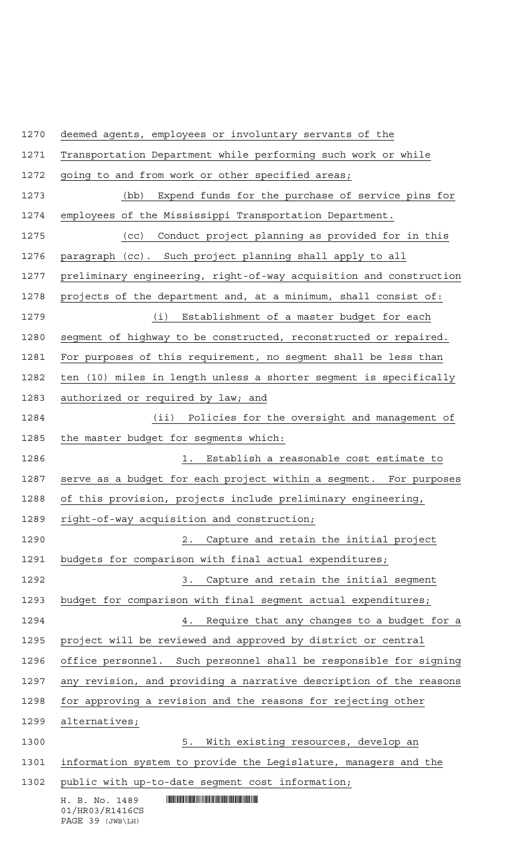deemed agents, employees or involuntary servants of the

| 1271 | Transportation Department while performing such work or while      |
|------|--------------------------------------------------------------------|
| 1272 | going to and from work or other specified areas;                   |
| 1273 | Expend funds for the purchase of service pins for<br>(bb)          |
| 1274 | employees of the Mississippi Transportation Department.            |
| 1275 | Conduct project planning as provided for in this<br>(cc)           |
| 1276 | paragraph (cc). Such project planning shall apply to all           |
| 1277 | preliminary engineering, right-of-way acquisition and construction |
| 1278 | projects of the department and, at a minimum, shall consist of:    |
| 1279 | (i) Establishment of a master budget for each                      |
| 1280 | segment of highway to be constructed, reconstructed or repaired.   |
| 1281 | For purposes of this requirement, no seqment shall be less than    |
| 1282 | ten (10) miles in length unless a shorter segment is specifically  |
| 1283 | authorized or required by law; and                                 |
| 1284 | Policies for the oversight and management of<br>(ii)               |
| 1285 | the master budget for segments which:                              |
| 1286 | Establish a reasonable cost estimate to<br>1. .                    |
| 1287 | serve as a budget for each project within a segment. For purposes  |
| 1288 | of this provision, projects include preliminary engineering,       |
| 1289 | right-of-way acquisition and construction;                         |
| 1290 | Capture and retain the initial project<br>2.                       |
| 1291 | budgets for comparison with final actual expenditures;             |
| 1292 | Capture and retain the initial segment<br>3.                       |
| 1293 | budget for comparison with final segment actual expenditures;      |
| 1294 | Require that any changes to a budget for a<br>4.                   |
| 1295 | project will be reviewed and approved by district or central       |
| 1296 | office personnel. Such personnel shall be responsible for signing  |
| 1297 | any revision, and providing a narrative description of the reasons |
| 1298 | for approving a revision and the reasons for rejecting other       |
| 1299 | alternatives;                                                      |
| 1300 | With existing resources, develop an<br>5.                          |
| 1301 | information system to provide the Legislature, managers and the    |
| 1302 | public with up-to-date segment cost information;                   |
|      | H. B. No. 1489<br>01/HR03/R1416CS<br>PAGE 39 (JWB\LH)              |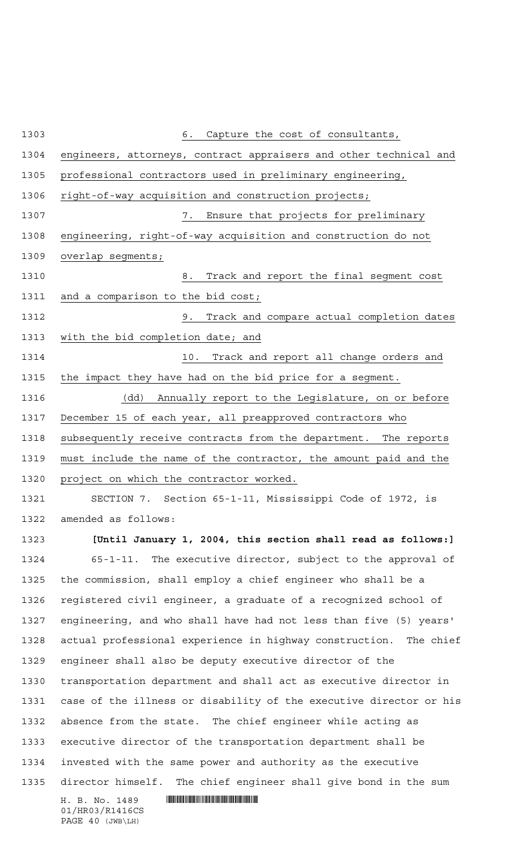$H. B. No. 1489$  . HENDER THE SET OF STATE SET OF STATE SET OF STATE SET OF STATE SET OF STATE SET OF STATE SET OF STATE SET OF STATE SET OF STATE SET OF STATE SET OF STATE SET OF STATE SET OF STATE SET OF STATE SET OF STATE 01/HR03/R1416CS PAGE 40 (JWB\LH) 6. Capture the cost of consultants, engineers, attorneys, contract appraisers and other technical and professional contractors used in preliminary engineering, right-of-way acquisition and construction projects; 7. Ensure that projects for preliminary engineering, right-of-way acquisition and construction do not overlap segments; 8. Track and report the final segment cost and a comparison to the bid cost; 9. Track and compare actual completion dates with the bid completion date; and 10. Track and report all change orders and the impact they have had on the bid price for a segment. (dd) Annually report to the Legislature, on or before December 15 of each year, all preapproved contractors who subsequently receive contracts from the department. The reports must include the name of the contractor, the amount paid and the 1320 project on which the contractor worked. SECTION 7. Section 65-1-11, Mississippi Code of 1972, is amended as follows: **[Until January 1, 2004, this section shall read as follows:]** 65-1-11. The executive director, subject to the approval of the commission, shall employ a chief engineer who shall be a registered civil engineer, a graduate of a recognized school of engineering, and who shall have had not less than five (5) years' actual professional experience in highway construction. The chief engineer shall also be deputy executive director of the transportation department and shall act as executive director in case of the illness or disability of the executive director or his absence from the state. The chief engineer while acting as executive director of the transportation department shall be invested with the same power and authority as the executive director himself. The chief engineer shall give bond in the sum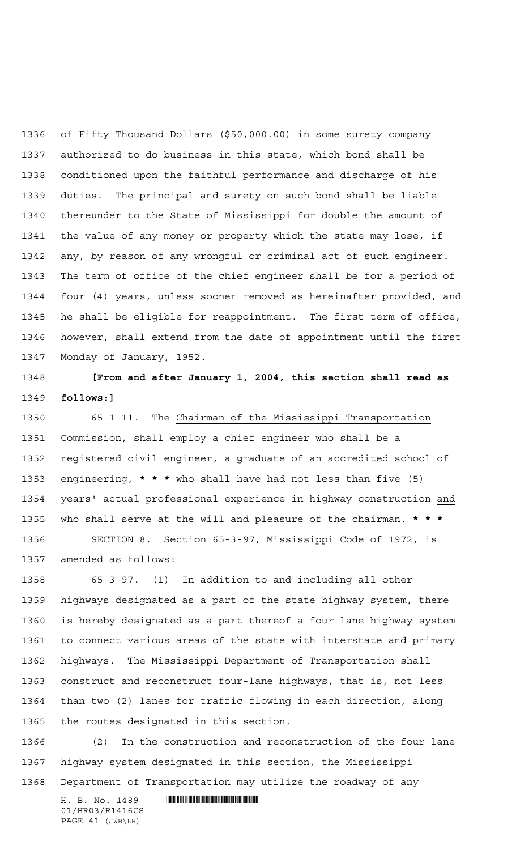of Fifty Thousand Dollars (\$50,000.00) in some surety company authorized to do business in this state, which bond shall be conditioned upon the faithful performance and discharge of his duties. The principal and surety on such bond shall be liable thereunder to the State of Mississippi for double the amount of the value of any money or property which the state may lose, if any, by reason of any wrongful or criminal act of such engineer. The term of office of the chief engineer shall be for a period of four (4) years, unless sooner removed as hereinafter provided, and he shall be eligible for reappointment. The first term of office, however, shall extend from the date of appointment until the first Monday of January, 1952.

 **[From and after January 1, 2004, this section shall read as follows:]**

 65-1-11. The Chairman of the Mississippi Transportation Commission, shall employ a chief engineer who shall be a registered civil engineer, a graduate of an accredited school of engineering, **\*\*\*** who shall have had not less than five (5) years' actual professional experience in highway construction and who shall serve at the will and pleasure of the chairman. **\*\*\***

 SECTION 8. Section 65-3-97, Mississippi Code of 1972, is amended as follows:

 65-3-97. (1) In addition to and including all other highways designated as a part of the state highway system, there is hereby designated as a part thereof a four-lane highway system to connect various areas of the state with interstate and primary highways. The Mississippi Department of Transportation shall construct and reconstruct four-lane highways, that is, not less than two (2) lanes for traffic flowing in each direction, along the routes designated in this section.

 (2) In the construction and reconstruction of the four-lane highway system designated in this section, the Mississippi Department of Transportation may utilize the roadway of any

01/HR03/R1416CS PAGE 41 (JWB\LH)

 $H. B. No. 1489$  . HENDER THE SET OF STATE  $H. B. N \odot$ .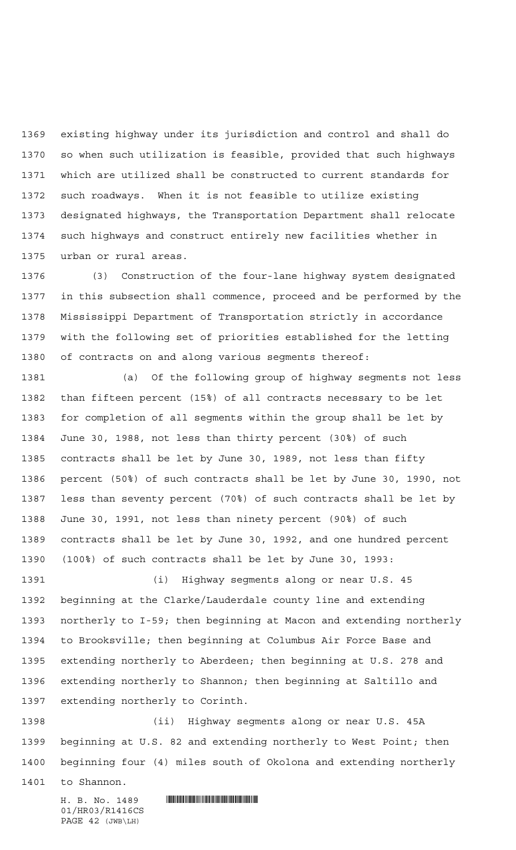existing highway under its jurisdiction and control and shall do so when such utilization is feasible, provided that such highways which are utilized shall be constructed to current standards for such roadways. When it is not feasible to utilize existing designated highways, the Transportation Department shall relocate such highways and construct entirely new facilities whether in urban or rural areas.

 (3) Construction of the four-lane highway system designated in this subsection shall commence, proceed and be performed by the Mississippi Department of Transportation strictly in accordance with the following set of priorities established for the letting of contracts on and along various segments thereof:

 (a) Of the following group of highway segments not less than fifteen percent (15%) of all contracts necessary to be let for completion of all segments within the group shall be let by June 30, 1988, not less than thirty percent (30%) of such contracts shall be let by June 30, 1989, not less than fifty percent (50%) of such contracts shall be let by June 30, 1990, not less than seventy percent (70%) of such contracts shall be let by June 30, 1991, not less than ninety percent (90%) of such contracts shall be let by June 30, 1992, and one hundred percent (100%) of such contracts shall be let by June 30, 1993:

 (i) Highway segments along or near U.S. 45 beginning at the Clarke/Lauderdale county line and extending northerly to I-59; then beginning at Macon and extending northerly to Brooksville; then beginning at Columbus Air Force Base and extending northerly to Aberdeen; then beginning at U.S. 278 and extending northerly to Shannon; then beginning at Saltillo and extending northerly to Corinth.

 (ii) Highway segments along or near U.S. 45A beginning at U.S. 82 and extending northerly to West Point; then beginning four (4) miles south of Okolona and extending northerly

to Shannon.

01/HR03/R1416CS PAGE 42 (JWB\LH)

 $H. B. No. 1489$  . HENROICE THE SET OF A SET OF A SET OF A SET OF A SET OF A SET OF A SET OF A SET OF A SET OF A SET OF A SET OF A SET OF A SET OF A SET OF A SET OF A SET OF A SET OF A SET OF A SET OF A SET OF A SET OF A SET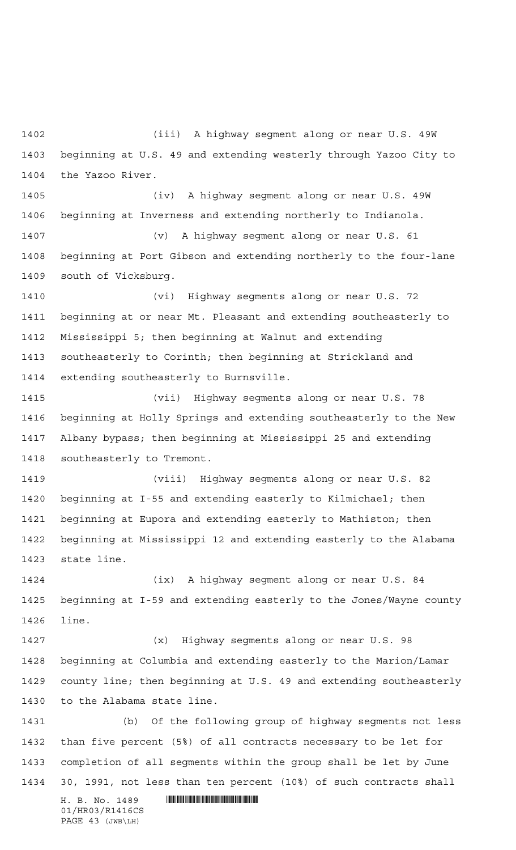(iii) A highway segment along or near U.S. 49W beginning at U.S. 49 and extending westerly through Yazoo City to the Yazoo River.

 (iv) A highway segment along or near U.S. 49W beginning at Inverness and extending northerly to Indianola.

 (v) A highway segment along or near U.S. 61 beginning at Port Gibson and extending northerly to the four-lane south of Vicksburg.

 (vi) Highway segments along or near U.S. 72 beginning at or near Mt. Pleasant and extending southeasterly to Mississippi 5; then beginning at Walnut and extending southeasterly to Corinth; then beginning at Strickland and extending southeasterly to Burnsville.

 (vii) Highway segments along or near U.S. 78 beginning at Holly Springs and extending southeasterly to the New Albany bypass; then beginning at Mississippi 25 and extending southeasterly to Tremont.

 (viii) Highway segments along or near U.S. 82 beginning at I-55 and extending easterly to Kilmichael; then beginning at Eupora and extending easterly to Mathiston; then beginning at Mississippi 12 and extending easterly to the Alabama state line.

 (ix) A highway segment along or near U.S. 84 beginning at I-59 and extending easterly to the Jones/Wayne county line.

 (x) Highway segments along or near U.S. 98 beginning at Columbia and extending easterly to the Marion/Lamar county line; then beginning at U.S. 49 and extending southeasterly to the Alabama state line.

 (b) Of the following group of highway segments not less than five percent (5%) of all contracts necessary to be let for completion of all segments within the group shall be let by June 30, 1991, not less than ten percent (10%) of such contracts shall

01/HR03/R1416CS PAGE 43 (JWB\LH)

 $H. B. No. 1489$  . HENDER THE SET OF STATE  $H. B. N \odot$ .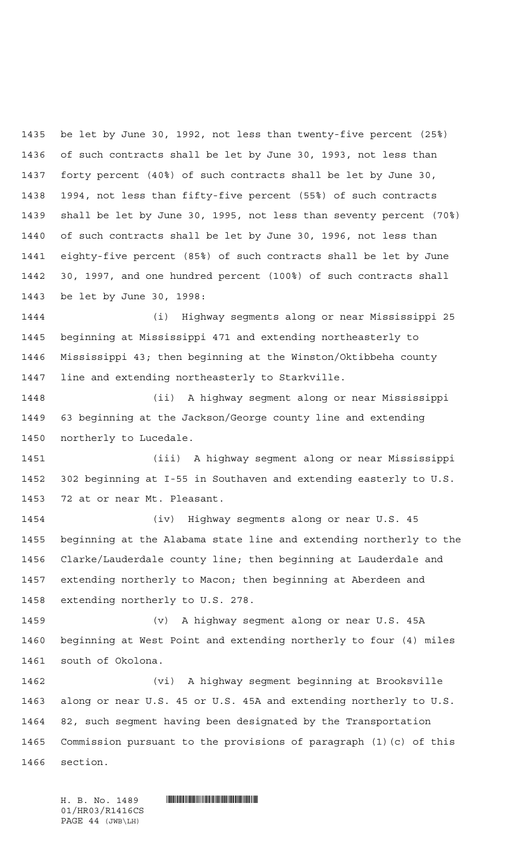be let by June 30, 1992, not less than twenty-five percent (25%) of such contracts shall be let by June 30, 1993, not less than forty percent (40%) of such contracts shall be let by June 30, 1994, not less than fifty-five percent (55%) of such contracts shall be let by June 30, 1995, not less than seventy percent (70%) of such contracts shall be let by June 30, 1996, not less than eighty-five percent (85%) of such contracts shall be let by June 30, 1997, and one hundred percent (100%) of such contracts shall be let by June 30, 1998:

 (i) Highway segments along or near Mississippi 25 beginning at Mississippi 471 and extending northeasterly to Mississippi 43; then beginning at the Winston/Oktibbeha county line and extending northeasterly to Starkville.

 (ii) A highway segment along or near Mississippi 63 beginning at the Jackson/George county line and extending northerly to Lucedale.

 (iii) A highway segment along or near Mississippi 302 beginning at I-55 in Southaven and extending easterly to U.S. 72 at or near Mt. Pleasant.

 (iv) Highway segments along or near U.S. 45 beginning at the Alabama state line and extending northerly to the Clarke/Lauderdale county line; then beginning at Lauderdale and extending northerly to Macon; then beginning at Aberdeen and extending northerly to U.S. 278.

 (v) A highway segment along or near U.S. 45A beginning at West Point and extending northerly to four (4) miles south of Okolona.

 (vi) A highway segment beginning at Brooksville along or near U.S. 45 or U.S. 45A and extending northerly to U.S. 82, such segment having been designated by the Transportation Commission pursuant to the provisions of paragraph (1)(c) of this section.

01/HR03/R1416CS PAGE 44 (JWB\LH)

 $H. B. No. 1489$  . HENDER THE SET OF STATE  $H. B. N \odot$ .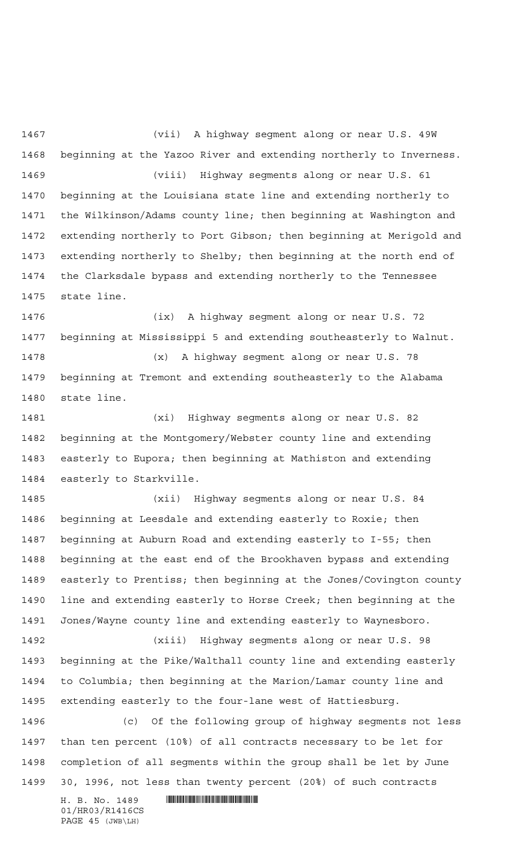(vii) A highway segment along or near U.S. 49W beginning at the Yazoo River and extending northerly to Inverness. (viii) Highway segments along or near U.S. 61 beginning at the Louisiana state line and extending northerly to the Wilkinson/Adams county line; then beginning at Washington and extending northerly to Port Gibson; then beginning at Merigold and extending northerly to Shelby; then beginning at the north end of the Clarksdale bypass and extending northerly to the Tennessee state line.

 (ix) A highway segment along or near U.S. 72 beginning at Mississippi 5 and extending southeasterly to Walnut. (x) A highway segment along or near U.S. 78

 beginning at Tremont and extending southeasterly to the Alabama state line.

 (xi) Highway segments along or near U.S. 82 beginning at the Montgomery/Webster county line and extending easterly to Eupora; then beginning at Mathiston and extending easterly to Starkville.

 (xii) Highway segments along or near U.S. 84 beginning at Leesdale and extending easterly to Roxie; then beginning at Auburn Road and extending easterly to I-55; then beginning at the east end of the Brookhaven bypass and extending easterly to Prentiss; then beginning at the Jones/Covington county line and extending easterly to Horse Creek; then beginning at the Jones/Wayne county line and extending easterly to Waynesboro.

 (xiii) Highway segments along or near U.S. 98 beginning at the Pike/Walthall county line and extending easterly to Columbia; then beginning at the Marion/Lamar county line and extending easterly to the four-lane west of Hattiesburg.

 (c) Of the following group of highway segments not less than ten percent (10%) of all contracts necessary to be let for completion of all segments within the group shall be let by June 30, 1996, not less than twenty percent (20%) of such contracts

 $H. B. No. 1489$  . HENDER THE SET OF STATE  $H. B. N \odot$ . 01/HR03/R1416CS PAGE 45 (JWB\LH)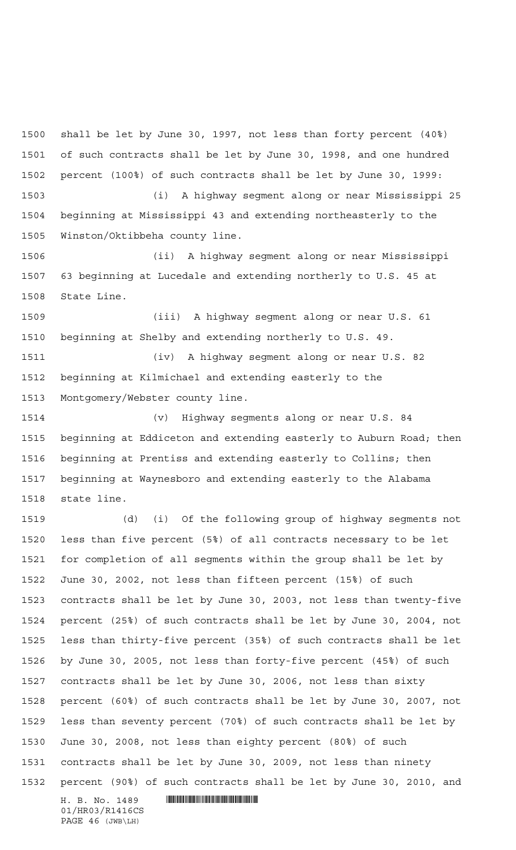shall be let by June 30, 1997, not less than forty percent (40%) of such contracts shall be let by June 30, 1998, and one hundred percent (100%) of such contracts shall be let by June 30, 1999: (i) A highway segment along or near Mississippi 25

 beginning at Mississippi 43 and extending northeasterly to the Winston/Oktibbeha county line.

 (ii) A highway segment along or near Mississippi 63 beginning at Lucedale and extending northerly to U.S. 45 at State Line.

 (iii) A highway segment along or near U.S. 61 beginning at Shelby and extending northerly to U.S. 49.

 (iv) A highway segment along or near U.S. 82 beginning at Kilmichael and extending easterly to the Montgomery/Webster county line.

 (v) Highway segments along or near U.S. 84 beginning at Eddiceton and extending easterly to Auburn Road; then beginning at Prentiss and extending easterly to Collins; then beginning at Waynesboro and extending easterly to the Alabama state line.

 $H. B. No. 1489$  . HENROICE THE SET OF A SET OF A SET OF A SET OF A SET OF A SET OF A SET OF A SET OF A SET OF A SET OF A SET OF A SET OF A SET OF A SET OF A SET OF A SET OF A SET OF A SET OF A SET OF A SET OF A SET OF A SET (d) (i) Of the following group of highway segments not less than five percent (5%) of all contracts necessary to be let for completion of all segments within the group shall be let by June 30, 2002, not less than fifteen percent (15%) of such contracts shall be let by June 30, 2003, not less than twenty-five percent (25%) of such contracts shall be let by June 30, 2004, not less than thirty-five percent (35%) of such contracts shall be let by June 30, 2005, not less than forty-five percent (45%) of such contracts shall be let by June 30, 2006, not less than sixty percent (60%) of such contracts shall be let by June 30, 2007, not less than seventy percent (70%) of such contracts shall be let by June 30, 2008, not less than eighty percent (80%) of such contracts shall be let by June 30, 2009, not less than ninety percent (90%) of such contracts shall be let by June 30, 2010, and

01/HR03/R1416CS PAGE 46 (JWB\LH)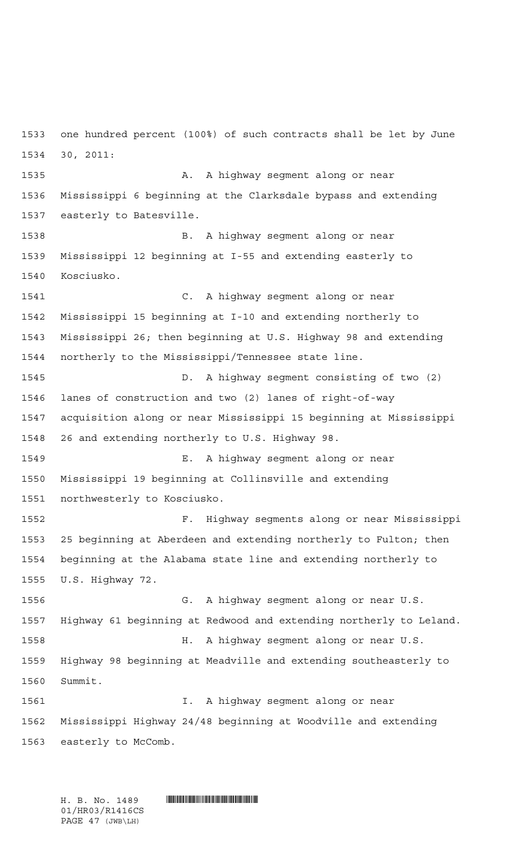one hundred percent (100%) of such contracts shall be let by June 30, 2011: **A.** A highway segment along or near Mississippi 6 beginning at the Clarksdale bypass and extending easterly to Batesville. B. A highway segment along or near Mississippi 12 beginning at I-55 and extending easterly to Kosciusko. C. A highway segment along or near Mississippi 15 beginning at I-10 and extending northerly to Mississippi 26; then beginning at U.S. Highway 98 and extending northerly to the Mississippi/Tennessee state line. D. A highway segment consisting of two (2) lanes of construction and two (2) lanes of right-of-way acquisition along or near Mississippi 15 beginning at Mississippi 26 and extending northerly to U.S. Highway 98. E. A highway segment along or near Mississippi 19 beginning at Collinsville and extending northwesterly to Kosciusko. F. Highway segments along or near Mississippi 25 beginning at Aberdeen and extending northerly to Fulton; then beginning at the Alabama state line and extending northerly to U.S. Highway 72. G. A highway segment along or near U.S. Highway 61 beginning at Redwood and extending northerly to Leland. H. A highway segment along or near U.S. Highway 98 beginning at Meadville and extending southeasterly to Summit. I. A highway segment along or near Mississippi Highway 24/48 beginning at Woodville and extending easterly to McComb.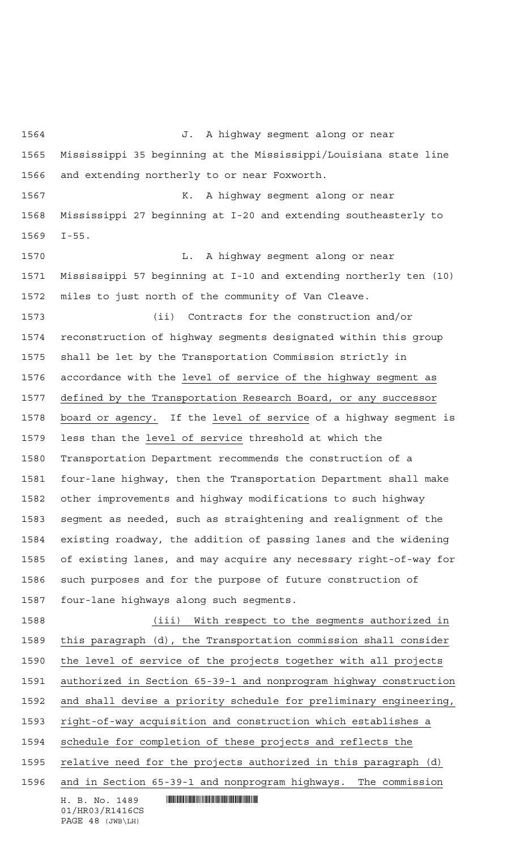$H. B. No. 1489$  . HENDIFFERENTIAL SERVICE SERVICE SERVICE SERVICE SERVICE SERVICE SERVICE SERVICE SERVICE SERVICE SERVICE SERVICE SERVICE SERVICE SERVICE SERVICE SERVICE SERVICE SERVICE SERVICE SERVICE SERVICE SERVICE SERVI 01/HR03/R1416CS PAGE 48 (JWB\LH) J. A highway segment along or near Mississippi 35 beginning at the Mississippi/Louisiana state line and extending northerly to or near Foxworth. K. A highway segment along or near Mississippi 27 beginning at I-20 and extending southeasterly to I-55. **L.** A highway segment along or near Mississippi 57 beginning at I-10 and extending northerly ten (10) miles to just north of the community of Van Cleave. (ii) Contracts for the construction and/or reconstruction of highway segments designated within this group shall be let by the Transportation Commission strictly in accordance with the level of service of the highway segment as defined by the Transportation Research Board, or any successor board or agency. If the level of service of a highway segment is less than the level of service threshold at which the Transportation Department recommends the construction of a four-lane highway, then the Transportation Department shall make other improvements and highway modifications to such highway segment as needed, such as straightening and realignment of the existing roadway, the addition of passing lanes and the widening of existing lanes, and may acquire any necessary right-of-way for such purposes and for the purpose of future construction of four-lane highways along such segments. (iii) With respect to the segments authorized in this paragraph (d), the Transportation commission shall consider the level of service of the projects together with all projects authorized in Section 65-39-1 and nonprogram highway construction and shall devise a priority schedule for preliminary engineering, right-of-way acquisition and construction which establishes a schedule for completion of these projects and reflects the 1595 relative need for the projects authorized in this paragraph (d) and in Section 65-39-1 and nonprogram highways. The commission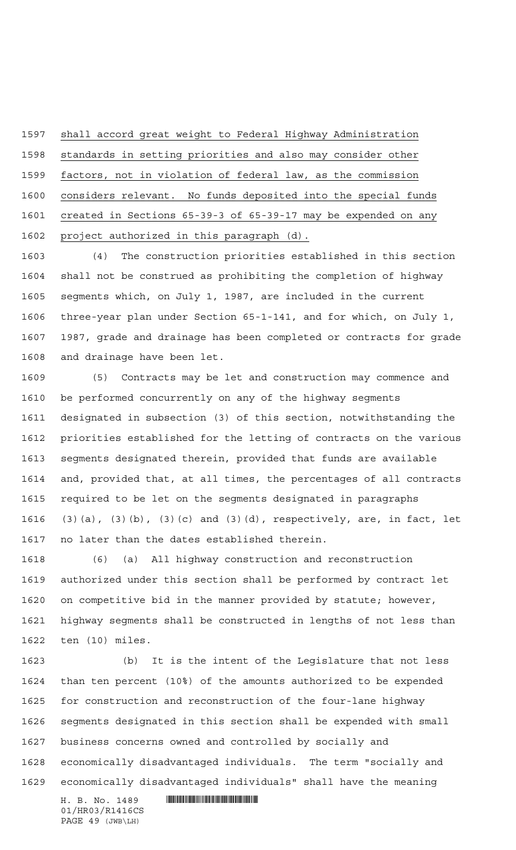shall accord great weight to Federal Highway Administration standards in setting priorities and also may consider other factors, not in violation of federal law, as the commission considers relevant. No funds deposited into the special funds created in Sections 65-39-3 of 65-39-17 may be expended on any project authorized in this paragraph (d).

 (4) The construction priorities established in this section shall not be construed as prohibiting the completion of highway segments which, on July 1, 1987, are included in the current three-year plan under Section 65-1-141, and for which, on July 1, 1987, grade and drainage has been completed or contracts for grade and drainage have been let.

 (5) Contracts may be let and construction may commence and be performed concurrently on any of the highway segments designated in subsection (3) of this section, notwithstanding the priorities established for the letting of contracts on the various segments designated therein, provided that funds are available and, provided that, at all times, the percentages of all contracts required to be let on the segments designated in paragraphs (3)(a), (3)(b), (3)(c) and (3)(d), respectively, are, in fact, let no later than the dates established therein.

 (6) (a) All highway construction and reconstruction authorized under this section shall be performed by contract let on competitive bid in the manner provided by statute; however, highway segments shall be constructed in lengths of not less than ten (10) miles.

 (b) It is the intent of the Legislature that not less than ten percent (10%) of the amounts authorized to be expended for construction and reconstruction of the four-lane highway segments designated in this section shall be expended with small business concerns owned and controlled by socially and economically disadvantaged individuals. The term "socially and economically disadvantaged individuals" shall have the meaning

 $H. B. No. 1489$  . HENDER THE SET OF STATE SET OF STATE SET OF STATE SET OF STATE SET OF STATE SET OF STATE SET OF STATE SET OF STATE SET OF STATE SET OF STATE SET OF STATE SET OF STATE SET OF STATE SET OF STATE SET OF STATE 01/HR03/R1416CS PAGE 49 (JWB\LH)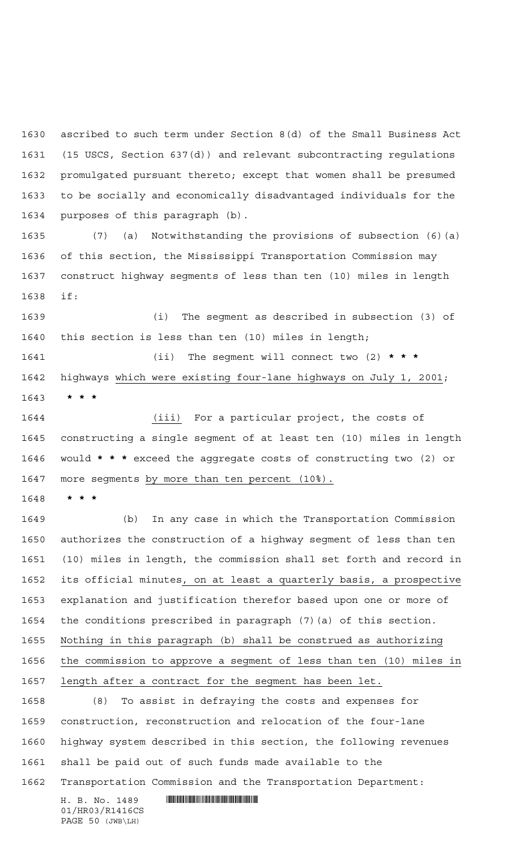ascribed to such term under Section 8(d) of the Small Business Act (15 USCS, Section 637(d)) and relevant subcontracting regulations promulgated pursuant thereto; except that women shall be presumed to be socially and economically disadvantaged individuals for the purposes of this paragraph (b).

 (7) (a) Notwithstanding the provisions of subsection (6)(a) of this section, the Mississippi Transportation Commission may construct highway segments of less than ten (10) miles in length if:

 (i) The segment as described in subsection (3) of this section is less than ten (10) miles in length;

 (ii) The segment will connect two (2) **\*\*\*** highways which were existing four-lane highways on July 1, 2001; **\*\*\***

 (iii) For a particular project, the costs of constructing a single segment of at least ten (10) miles in length would **\*\*\*** exceed the aggregate costs of constructing two (2) or 1647 more segments by more than ten percent (10%).

**\*\*\***

 (b) In any case in which the Transportation Commission authorizes the construction of a highway segment of less than ten (10) miles in length, the commission shall set forth and record in its official minutes, on at least a quarterly basis, a prospective explanation and justification therefor based upon one or more of the conditions prescribed in paragraph (7)(a) of this section. Nothing in this paragraph (b) shall be construed as authorizing the commission to approve a segment of less than ten (10) miles in length after a contract for the segment has been let.

 (8) To assist in defraying the costs and expenses for construction, reconstruction and relocation of the four-lane highway system described in this section, the following revenues shall be paid out of such funds made available to the Transportation Commission and the Transportation Department:

 $H. B. No. 1489$  . HENROICE THE SET OF A SET OF A SET OF A SET OF A SET OF A SET OF A SET OF A SET OF A SET OF A SET OF A SET OF A SET OF A SET OF A SET OF A SET OF A SET OF A SET OF A SET OF A SET OF A SET OF A SET OF A SET 01/HR03/R1416CS PAGE 50 (JWB\LH)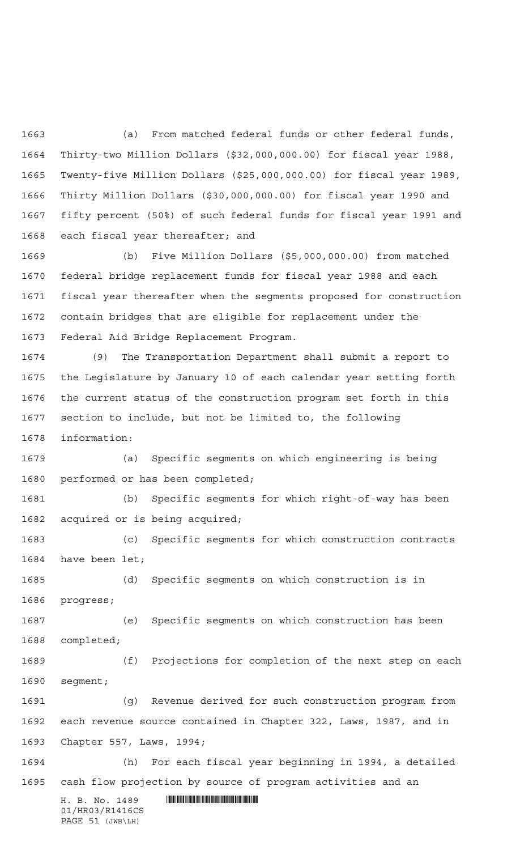(a) From matched federal funds or other federal funds, Thirty-two Million Dollars (\$32,000,000.00) for fiscal year 1988, Twenty-five Million Dollars (\$25,000,000.00) for fiscal year 1989, Thirty Million Dollars (\$30,000,000.00) for fiscal year 1990 and fifty percent (50%) of such federal funds for fiscal year 1991 and each fiscal year thereafter; and

 (b) Five Million Dollars (\$5,000,000.00) from matched federal bridge replacement funds for fiscal year 1988 and each fiscal year thereafter when the segments proposed for construction contain bridges that are eligible for replacement under the Federal Aid Bridge Replacement Program.

 (9) The Transportation Department shall submit a report to the Legislature by January 10 of each calendar year setting forth the current status of the construction program set forth in this section to include, but not be limited to, the following information:

 (a) Specific segments on which engineering is being performed or has been completed;

 (b) Specific segments for which right-of-way has been acquired or is being acquired;

 (c) Specific segments for which construction contracts have been let;

 (d) Specific segments on which construction is in progress;

 (e) Specific segments on which construction has been completed;

 (f) Projections for completion of the next step on each segment;

 (g) Revenue derived for such construction program from each revenue source contained in Chapter 322, Laws, 1987, and in Chapter 557, Laws, 1994;

 (h) For each fiscal year beginning in 1994, a detailed cash flow projection by source of program activities and an

 $H. B. No. 1489$  . HENROICE THE SET OF A SET OF A SET OF A SET OF A SET OF A SET OF A SET OF A SET OF A SET OF A SET OF A SET OF A SET OF A SET OF A SET OF A SET OF A SET OF A SET OF A SET OF A SET OF A SET OF A SET OF A SET 01/HR03/R1416CS PAGE 51 (JWB\LH)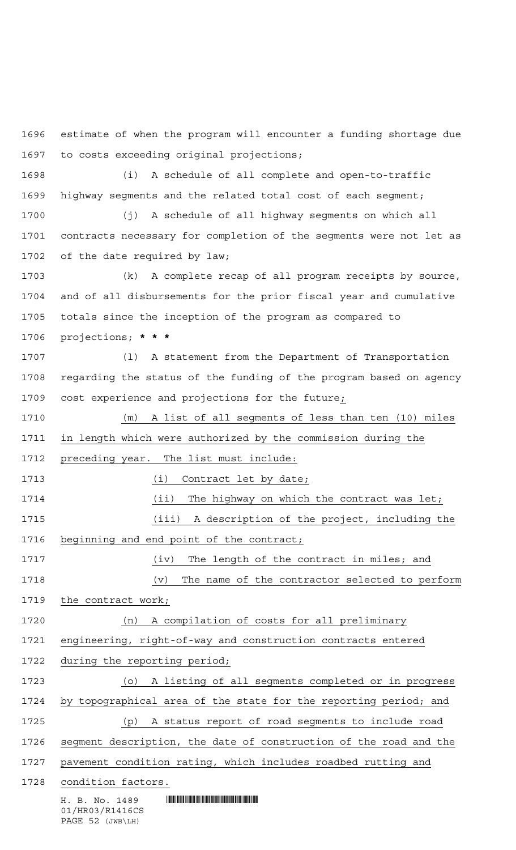estimate of when the program will encounter a funding shortage due to costs exceeding original projections;

 (i) A schedule of all complete and open-to-traffic highway segments and the related total cost of each segment;

 (j) A schedule of all highway segments on which all contracts necessary for completion of the segments were not let as of the date required by law;

 (k) A complete recap of all program receipts by source, and of all disbursements for the prior fiscal year and cumulative totals since the inception of the program as compared to projections; **\*\*\***

 (l) A statement from the Department of Transportation regarding the status of the funding of the program based on agency cost experience and projections for the future;

 $H. B. No. 1489$  . HENROICE THE SET OF A SET OF A SET OF A SET OF A SET OF A SET OF A SET OF A SET OF A SET OF A SET OF A SET OF A SET OF A SET OF A SET OF A SET OF A SET OF A SET OF A SET OF A SET OF A SET OF A SET OF A SET (m) A list of all segments of less than ten (10) miles in length which were authorized by the commission during the preceding year. The list must include: 1713 (i) Contract let by date; 1714 (ii) The highway on which the contract was let; (iii) A description of the project, including the 1716 beginning and end point of the contract; (iv) The length of the contract in miles; and (v) The name of the contractor selected to perform 1719 the contract work; (n) A compilation of costs for all preliminary engineering, right-of-way and construction contracts entered during the reporting period; (o) A listing of all segments completed or in progress by topographical area of the state for the reporting period; and (p) A status report of road segments to include road segment description, the date of construction of the road and the pavement condition rating, which includes roadbed rutting and condition factors.

01/HR03/R1416CS PAGE 52 (JWB\LH)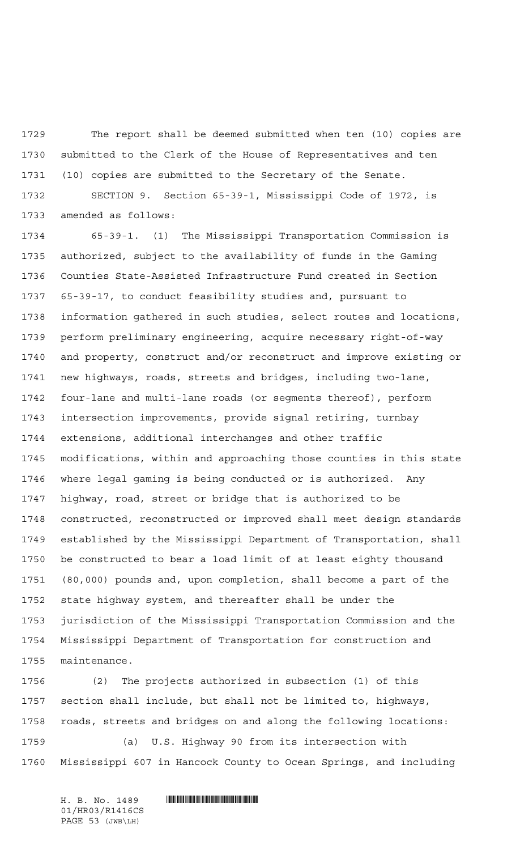The report shall be deemed submitted when ten (10) copies are submitted to the Clerk of the House of Representatives and ten (10) copies are submitted to the Secretary of the Senate.

 SECTION 9. Section 65-39-1, Mississippi Code of 1972, is amended as follows:

 65-39-1. (1) The Mississippi Transportation Commission is authorized, subject to the availability of funds in the Gaming Counties State-Assisted Infrastructure Fund created in Section 65-39-17, to conduct feasibility studies and, pursuant to information gathered in such studies, select routes and locations, perform preliminary engineering, acquire necessary right-of-way and property, construct and/or reconstruct and improve existing or new highways, roads, streets and bridges, including two-lane, four-lane and multi-lane roads (or segments thereof), perform intersection improvements, provide signal retiring, turnbay extensions, additional interchanges and other traffic modifications, within and approaching those counties in this state where legal gaming is being conducted or is authorized. Any highway, road, street or bridge that is authorized to be constructed, reconstructed or improved shall meet design standards established by the Mississippi Department of Transportation, shall be constructed to bear a load limit of at least eighty thousand (80,000) pounds and, upon completion, shall become a part of the state highway system, and thereafter shall be under the jurisdiction of the Mississippi Transportation Commission and the Mississippi Department of Transportation for construction and maintenance.

 (2) The projects authorized in subsection (1) of this section shall include, but shall not be limited to, highways, roads, streets and bridges on and along the following locations: (a) U.S. Highway 90 from its intersection with Mississippi 607 in Hancock County to Ocean Springs, and including

H. B. No. 1489 **. HUNDAN CONSUMINANT ROBERT IN THE RE** 01/HR03/R1416CS PAGE 53 (JWB\LH)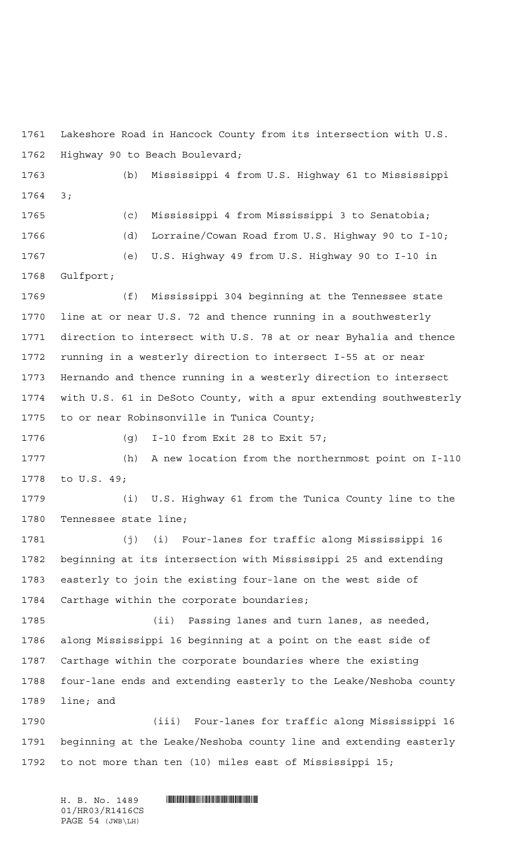Lakeshore Road in Hancock County from its intersection with U.S. Highway 90 to Beach Boulevard;

 (b) Mississippi 4 from U.S. Highway 61 to Mississippi 3; (c) Mississippi 4 from Mississippi 3 to Senatobia;

 (d) Lorraine/Cowan Road from U.S. Highway 90 to I-10; (e) U.S. Highway 49 from U.S. Highway 90 to I-10 in Gulfport;

 (f) Mississippi 304 beginning at the Tennessee state line at or near U.S. 72 and thence running in a southwesterly direction to intersect with U.S. 78 at or near Byhalia and thence running in a westerly direction to intersect I-55 at or near Hernando and thence running in a westerly direction to intersect with U.S. 61 in DeSoto County, with a spur extending southwesterly to or near Robinsonville in Tunica County;

(g) I-10 from Exit 28 to Exit 57;

 (h) A new location from the northernmost point on I-110 to U.S. 49;

 (i) U.S. Highway 61 from the Tunica County line to the Tennessee state line;

 (j) (i) Four-lanes for traffic along Mississippi 16 beginning at its intersection with Mississippi 25 and extending easterly to join the existing four-lane on the west side of Carthage within the corporate boundaries;

 (ii) Passing lanes and turn lanes, as needed, along Mississippi 16 beginning at a point on the east side of Carthage within the corporate boundaries where the existing four-lane ends and extending easterly to the Leake/Neshoba county line; and

 (iii) Four-lanes for traffic along Mississippi 16 beginning at the Leake/Neshoba county line and extending easterly to not more than ten (10) miles east of Mississippi 15;

 $H. B. No. 1489$  . HENDER THE SET OF STATE  $H. B. N \odot$ . 01/HR03/R1416CS PAGE 54 (JWB\LH)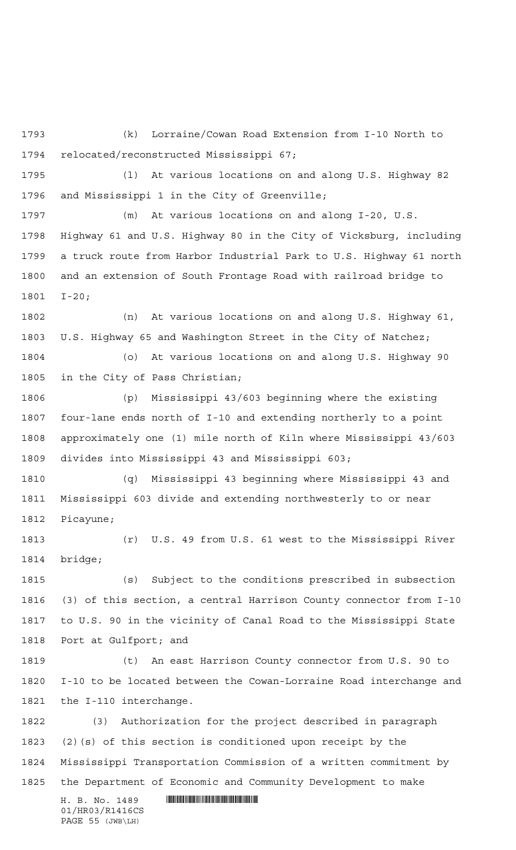(k) Lorraine/Cowan Road Extension from I-10 North to relocated/reconstructed Mississippi 67;

 (l) At various locations on and along U.S. Highway 82 and Mississippi 1 in the City of Greenville;

 (m) At various locations on and along I-20, U.S. Highway 61 and U.S. Highway 80 in the City of Vicksburg, including a truck route from Harbor Industrial Park to U.S. Highway 61 north and an extension of South Frontage Road with railroad bridge to I-20;

 (n) At various locations on and along U.S. Highway 61, U.S. Highway 65 and Washington Street in the City of Natchez; (o) At various locations on and along U.S. Highway 90

in the City of Pass Christian;

 (p) Mississippi 43/603 beginning where the existing four-lane ends north of I-10 and extending northerly to a point approximately one (1) mile north of Kiln where Mississippi 43/603 divides into Mississippi 43 and Mississippi 603;

 (q) Mississippi 43 beginning where Mississippi 43 and Mississippi 603 divide and extending northwesterly to or near Picayune;

 (r) U.S. 49 from U.S. 61 west to the Mississippi River bridge;

 (s) Subject to the conditions prescribed in subsection (3) of this section, a central Harrison County connector from I-10 to U.S. 90 in the vicinity of Canal Road to the Mississippi State Port at Gulfport; and

 (t) An east Harrison County connector from U.S. 90 to I-10 to be located between the Cowan-Lorraine Road interchange and the I-110 interchange.

 (3) Authorization for the project described in paragraph (2)(s) of this section is conditioned upon receipt by the Mississippi Transportation Commission of a written commitment by the Department of Economic and Community Development to make

 $H. B. No. 1489$  . HENDER THE SET OF STATE SET OF STATE SET OF STATE SET OF STATE SET OF STATE SET OF STATE SET OF STATE SET OF STATE SET OF STATE SET OF STATE SET OF STATE SET OF STATE SET OF STATE SET OF STATE SET OF STATE 01/HR03/R1416CS PAGE 55 (JWB\LH)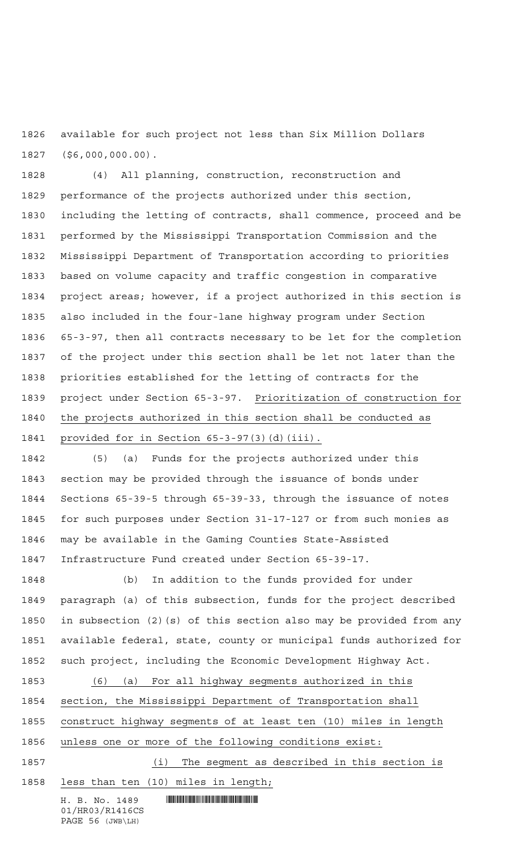available for such project not less than Six Million Dollars (\$6,000,000.00).

 (4) All planning, construction, reconstruction and performance of the projects authorized under this section, including the letting of contracts, shall commence, proceed and be performed by the Mississippi Transportation Commission and the Mississippi Department of Transportation according to priorities based on volume capacity and traffic congestion in comparative project areas; however, if a project authorized in this section is also included in the four-lane highway program under Section 65-3-97, then all contracts necessary to be let for the completion of the project under this section shall be let not later than the priorities established for the letting of contracts for the project under Section 65-3-97. Prioritization of construction for the projects authorized in this section shall be conducted as provided for in Section 65-3-97(3)(d)(iii).

 (5) (a) Funds for the projects authorized under this section may be provided through the issuance of bonds under Sections 65-39-5 through 65-39-33, through the issuance of notes for such purposes under Section 31-17-127 or from such monies as may be available in the Gaming Counties State-Assisted Infrastructure Fund created under Section 65-39-17.

 (b) In addition to the funds provided for under paragraph (a) of this subsection, funds for the project described in subsection (2)(s) of this section also may be provided from any available federal, state, county or municipal funds authorized for such project, including the Economic Development Highway Act.

 (6) (a) For all highway segments authorized in this section, the Mississippi Department of Transportation shall construct highway segments of at least ten (10) miles in length unless one or more of the following conditions exist:

1857 (i) The segment as described in this section is less than ten (10) miles in length;

H. B. No. 1489 **. HUNDAN CONSUMINANT ROBERT IN THE RE** 01/HR03/R1416CS PAGE 56 (JWB\LH)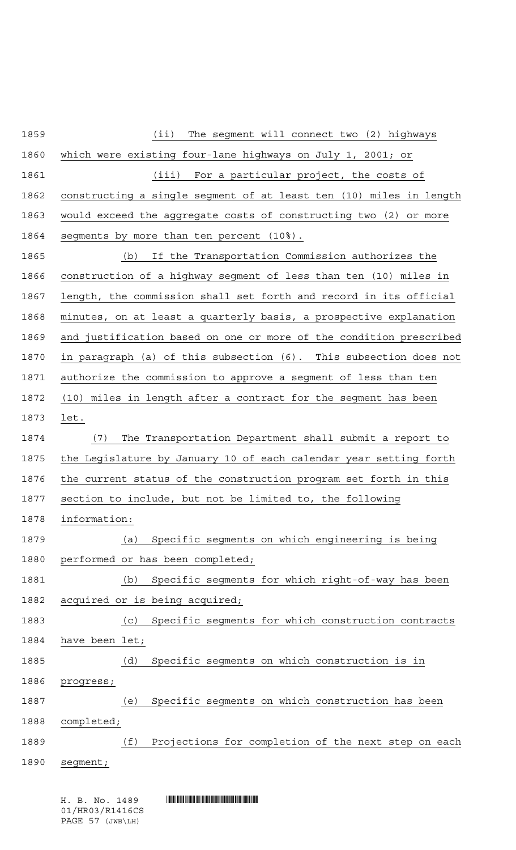| 1859 | $(i$ i)<br>The segment will connect two (2) highways               |
|------|--------------------------------------------------------------------|
| 1860 | which were existing four-lane highways on July 1, 2001; or         |
| 1861 | (iii) For a particular project, the costs of                       |
| 1862 | constructing a single segment of at least ten (10) miles in length |
| 1863 | would exceed the aggregate costs of constructing two (2) or more   |
| 1864 | segments by more than ten percent (10%).                           |
| 1865 | If the Transportation Commission authorizes the<br>(b)             |
| 1866 | construction of a highway segment of less than ten (10) miles in   |
| 1867 | length, the commission shall set forth and record in its official  |
| 1868 | minutes, on at least a quarterly basis, a prospective explanation  |
| 1869 | and justification based on one or more of the condition prescribed |
| 1870 | in paragraph (a) of this subsection (6). This subsection does not  |
| 1871 | authorize the commission to approve a segment of less than ten     |
| 1872 | (10) miles in length after a contract for the segment has been     |
| 1873 | let.                                                               |
| 1874 | The Transportation Department shall submit a report to<br>(7)      |
| 1875 | the Legislature by January 10 of each calendar year setting forth  |
| 1876 | the current status of the construction program set forth in this   |
| 1877 | section to include, but not be limited to, the following           |
| 1878 | information:                                                       |
| 1879 | Specific segments on which engineering is being<br>(a)             |
| 1880 | performed or has been completed;                                   |
| 1881 | Specific segments for which right-of-way has been<br>(b)           |
| 1882 | acquired or is being acquired;                                     |
| 1883 | Specific segments for which construction contracts<br>(C)          |
| 1884 | have been let;                                                     |
| 1885 | Specific segments on which construction is in<br>(d)               |
| 1886 | progress;                                                          |
| 1887 | Specific segments on which construction has been<br>(e)            |
| 1888 | completed;                                                         |
| 1889 | (f)<br>Projections for completion of the next step on each         |
| 1890 | segment;                                                           |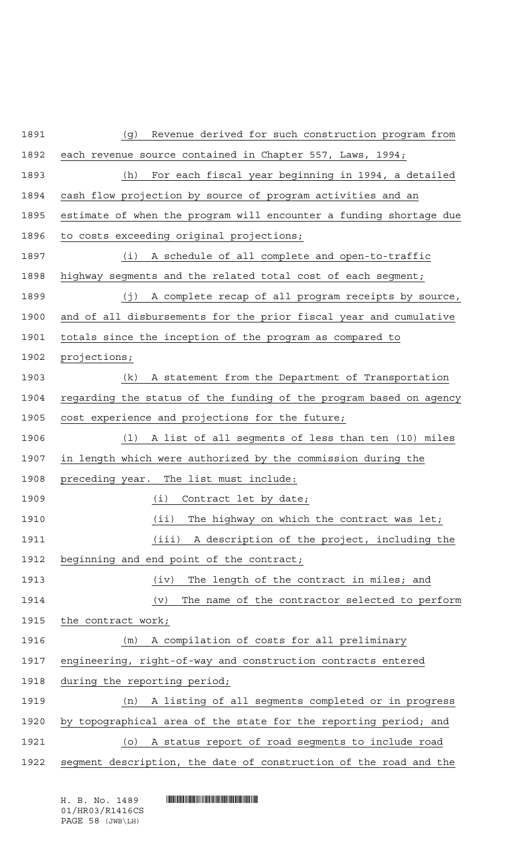| 1891 | Revenue derived for such construction program from<br>(g)          |
|------|--------------------------------------------------------------------|
| 1892 | each revenue source contained in Chapter 557, Laws, 1994;          |
| 1893 | (h)<br>For each fiscal year beginning in 1994, a detailed          |
| 1894 | cash flow projection by source of program activities and an        |
| 1895 | estimate of when the program will encounter a funding shortage due |
| 1896 | to costs exceeding original projections;                           |
| 1897 | (i) A schedule of all complete and open-to-traffic                 |
| 1898 | highway segments and the related total cost of each segment;       |
| 1899 | (j) A complete recap of all program receipts by source,            |
| 1900 | and of all disbursements for the prior fiscal year and cumulative  |
| 1901 | totals since the inception of the program as compared to           |
| 1902 | projections;                                                       |
| 1903 | A statement from the Department of Transportation<br>(k)           |
| 1904 | regarding the status of the funding of the program based on agency |
| 1905 | cost experience and projections for the future;                    |
| 1906 | (1) A list of all segments of less than ten (10) miles             |
| 1907 | in length which were authorized by the commission during the       |
| 1908 | preceding year. The list must include:                             |
| 1909 | (i) Contract let by date;                                          |
| 1910 | The highway on which the contract was let;<br>(iii)                |
| 1911 | (iii)<br>A description of the project, including the               |
| 1912 | beginning and end point of the contract;                           |
| 1913 | The length of the contract in miles; and<br>(iv)                   |
| 1914 | The name of the contractor selected to perform<br>(v)              |
| 1915 | the contract work;                                                 |
| 1916 | A compilation of costs for all preliminary<br>(m)                  |
| 1917 | engineering, right-of-way and construction contracts entered       |
| 1918 | during the reporting period;                                       |
| 1919 | A listing of all segments completed or in progress<br>(n)          |
| 1920 | by topographical area of the state for the reporting period; and   |
| 1921 | A status report of road segments to include road<br>(O)            |
| 1922 | segment description, the date of construction of the road and the  |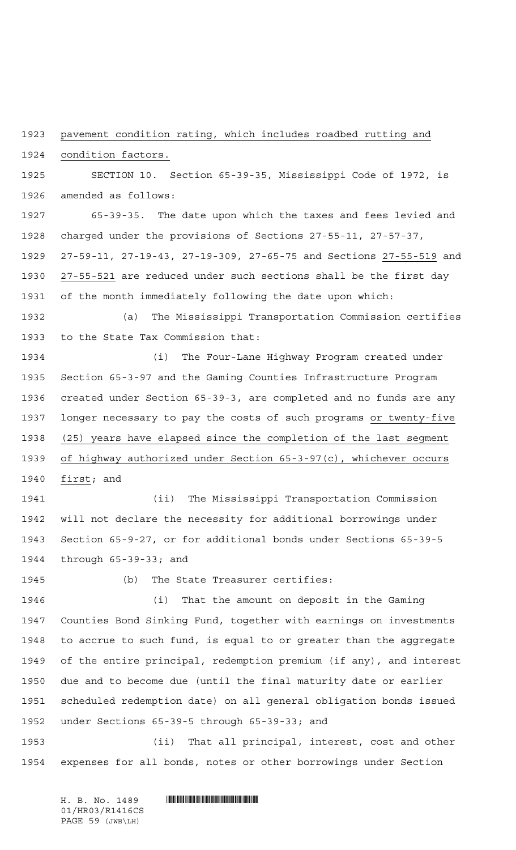pavement condition rating, which includes roadbed rutting and

condition factors.

 SECTION 10. Section 65-39-35, Mississippi Code of 1972, is amended as follows:

 65-39-35. The date upon which the taxes and fees levied and charged under the provisions of Sections 27-55-11, 27-57-37, 27-59-11, 27-19-43, 27-19-309, 27-65-75 and Sections 27-55-519 and 27-55-521 are reduced under such sections shall be the first day of the month immediately following the date upon which:

 (a) The Mississippi Transportation Commission certifies to the State Tax Commission that:

 (i) The Four-Lane Highway Program created under Section 65-3-97 and the Gaming Counties Infrastructure Program created under Section 65-39-3, are completed and no funds are any longer necessary to pay the costs of such programs or twenty-five (25) years have elapsed since the completion of the last segment of highway authorized under Section 65-3-97(c), whichever occurs first; and

 (ii) The Mississippi Transportation Commission will not declare the necessity for additional borrowings under Section 65-9-27, or for additional bonds under Sections 65-39-5 through 65-39-33; and

(b) The State Treasurer certifies:

 (i) That the amount on deposit in the Gaming Counties Bond Sinking Fund, together with earnings on investments to accrue to such fund, is equal to or greater than the aggregate of the entire principal, redemption premium (if any), and interest due and to become due (until the final maturity date or earlier scheduled redemption date) on all general obligation bonds issued under Sections 65-39-5 through 65-39-33; and

 (ii) That all principal, interest, cost and other expenses for all bonds, notes or other borrowings under Section

H. B. No. 1489 **. HUNDAN CONSUMINANT ROBERT IN THE RE** 01/HR03/R1416CS PAGE 59 (JWB\LH)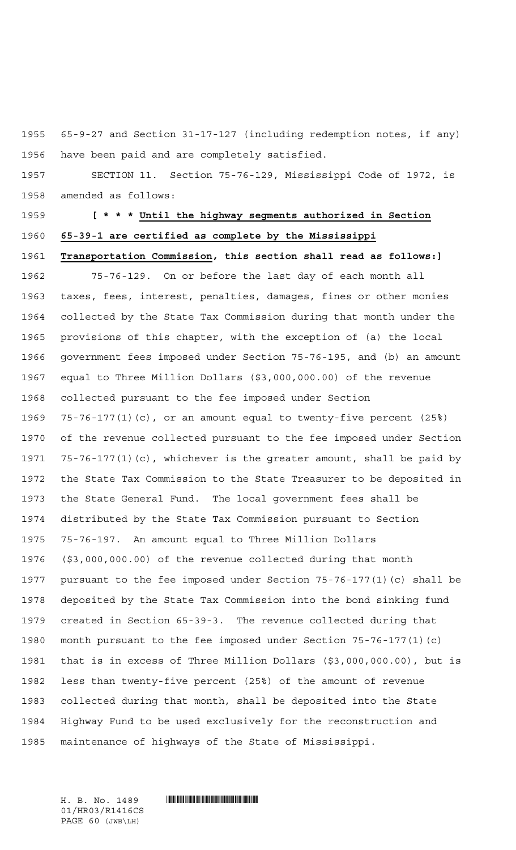65-9-27 and Section 31-17-127 (including redemption notes, if any) have been paid and are completely satisfied.

 SECTION 11. Section 75-76-129, Mississippi Code of 1972, is amended as follows:

## **[\*\*\* Until the highway segments authorized in Section 65-39-1 are certified as complete by the Mississippi Transportation Commission, this section shall read as follows:]**

 75-76-129. On or before the last day of each month all taxes, fees, interest, penalties, damages, fines or other monies collected by the State Tax Commission during that month under the provisions of this chapter, with the exception of (a) the local government fees imposed under Section 75-76-195, and (b) an amount equal to Three Million Dollars (\$3,000,000.00) of the revenue collected pursuant to the fee imposed under Section 75-76-177(1)(c), or an amount equal to twenty-five percent (25%) of the revenue collected pursuant to the fee imposed under Section 75-76-177(1)(c), whichever is the greater amount, shall be paid by the State Tax Commission to the State Treasurer to be deposited in the State General Fund. The local government fees shall be distributed by the State Tax Commission pursuant to Section 75-76-197. An amount equal to Three Million Dollars (\$3,000,000.00) of the revenue collected during that month pursuant to the fee imposed under Section 75-76-177(1)(c) shall be deposited by the State Tax Commission into the bond sinking fund created in Section 65-39-3. The revenue collected during that month pursuant to the fee imposed under Section 75-76-177(1)(c) that is in excess of Three Million Dollars (\$3,000,000.00), but is less than twenty-five percent (25%) of the amount of revenue collected during that month, shall be deposited into the State Highway Fund to be used exclusively for the reconstruction and maintenance of highways of the State of Mississippi.

01/HR03/R1416CS PAGE 60 (JWB\LH)

 $H. B. No. 1489$  . HENDER THE SET OF STATE  $H. B. N \odot$ .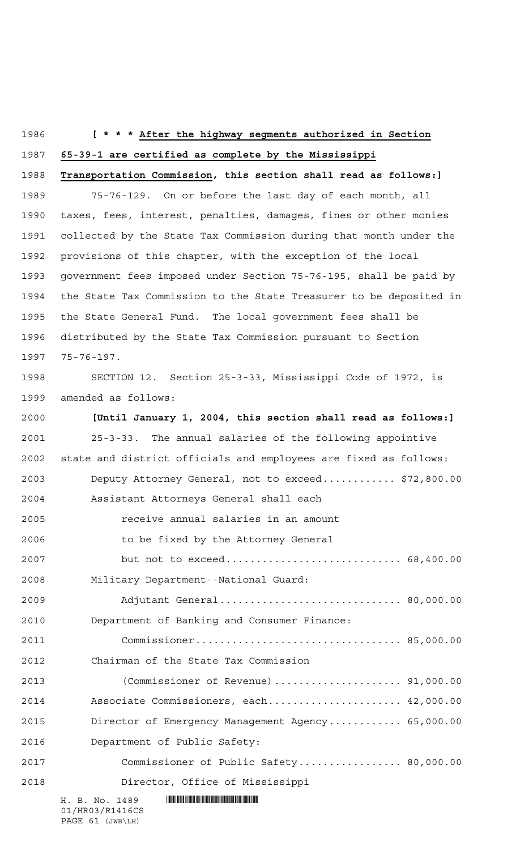### **[\*\*\* After the highway segments authorized in Section**

**65-39-1 are certified as complete by the Mississippi**

**Transportation Commission, this section shall read as follows:]**

 75-76-129. On or before the last day of each month, all taxes, fees, interest, penalties, damages, fines or other monies collected by the State Tax Commission during that month under the provisions of this chapter, with the exception of the local government fees imposed under Section 75-76-195, shall be paid by the State Tax Commission to the State Treasurer to be deposited in the State General Fund. The local government fees shall be distributed by the State Tax Commission pursuant to Section 75-76-197.

 SECTION 12. Section 25-3-33, Mississippi Code of 1972, is amended as follows:

 $H. B. No. 1489$  . HENROICE THE SET OF A SET OF A SET OF A SET OF A SET OF A SET OF A SET OF A SET OF A SET OF A SET OF A SET OF A SET OF A SET OF A SET OF A SET OF A SET OF A SET OF A SET OF A SET OF A SET OF A SET OF A SET 01/HR03/R1416CS **[Until January 1, 2004, this section shall read as follows:]** 25-3-33. The annual salaries of the following appointive state and district officials and employees are fixed as follows: Deputy Attorney General, not to exceed............ \$72,800.00 Assistant Attorneys General shall each receive annual salaries in an amount to be fixed by the Attorney General but not to exceed............................. 68,400.00 Military Department--National Guard: Adjutant General.............................. 80,000.00 Department of Banking and Consumer Finance: Commissioner.................................. 85,000.00 Chairman of the State Tax Commission (Commissioner of Revenue)..................... 91,000.00 Associate Commissioners, each...................... 42,000.00 Director of Emergency Management Agency............ 65,000.00 Department of Public Safety: Commissioner of Public Safety................. 80,000.00 Director, Office of Mississippi

PAGE 61 (JWB\LH)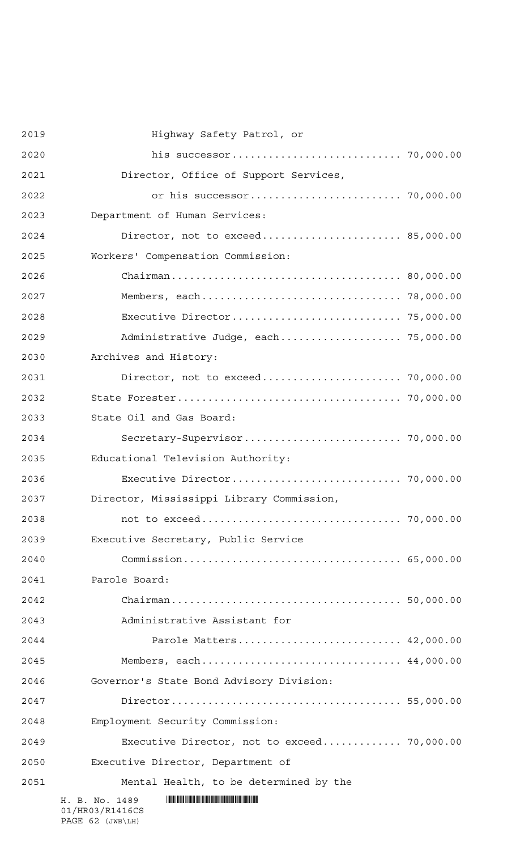| 2019 | Highway Safety Patrol, or                   |  |
|------|---------------------------------------------|--|
| 2020 |                                             |  |
| 2021 | Director, Office of Support Services,       |  |
| 2022 |                                             |  |
| 2023 | Department of Human Services:               |  |
| 2024 | Director, not to exceed 85,000.00           |  |
| 2025 | Workers' Compensation Commission:           |  |
| 2026 |                                             |  |
| 2027 |                                             |  |
| 2028 |                                             |  |
| 2029 | Administrative Judge, each 75,000.00        |  |
| 2030 | Archives and History:                       |  |
| 2031 | Director, not to exceed 70,000.00           |  |
| 2032 |                                             |  |
| 2033 | State Oil and Gas Board:                    |  |
| 2034 |                                             |  |
| 2035 | Educational Television Authority:           |  |
| 2036 |                                             |  |
| 2037 | Director, Mississippi Library Commission,   |  |
| 2038 |                                             |  |
| 2039 | Executive Secretary, Public Service         |  |
| 2040 |                                             |  |
| 2041 | Parole Board:                               |  |
| 2042 |                                             |  |
| 2043 | Administrative Assistant for                |  |
| 2044 | Parole Matters 42,000.00                    |  |
| 2045 | Members, each 44,000.00                     |  |
| 2046 | Governor's State Bond Advisory Division:    |  |
| 2047 |                                             |  |
| 2048 | Employment Security Commission:             |  |
| 2049 | Executive Director, not to exceed 70,000.00 |  |
| 2050 | Executive Director, Department of           |  |
| 2051 | Mental Health, to be determined by the      |  |
|      | H. B. No. 1489<br>01/HR03/R1416CS           |  |

PAGE 62 (JWB\LH)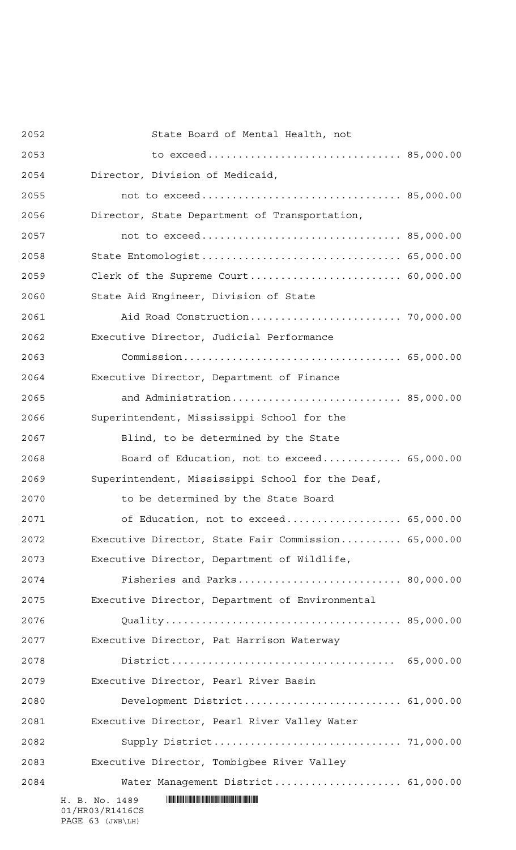| 2052 | State Board of Mental Health, not                   |  |
|------|-----------------------------------------------------|--|
| 2053 |                                                     |  |
| 2054 | Director, Division of Medicaid,                     |  |
| 2055 |                                                     |  |
| 2056 | Director, State Department of Transportation,       |  |
| 2057 | not to exceed 85,000.00                             |  |
| 2058 | State Entomologist 65,000.00                        |  |
| 2059 |                                                     |  |
| 2060 | State Aid Engineer, Division of State               |  |
| 2061 |                                                     |  |
| 2062 | Executive Director, Judicial Performance            |  |
| 2063 |                                                     |  |
| 2064 | Executive Director, Department of Finance           |  |
| 2065 | and Administration 85,000.00                        |  |
| 2066 | Superintendent, Mississippi School for the          |  |
| 2067 | Blind, to be determined by the State                |  |
| 2068 | Board of Education, not to exceed 65,000.00         |  |
| 2069 | Superintendent, Mississippi School for the Deaf,    |  |
| 2070 | to be determined by the State Board                 |  |
| 2071 | of Education, not to exceed 65,000.00               |  |
| 2072 | Executive Director, State Fair Commission 65,000.00 |  |
| 2073 | Executive Director, Department of Wildlife,         |  |
| 2074 | Fisheries and Parks 80,000.00                       |  |
| 2075 | Executive Director, Department of Environmental     |  |
| 2076 |                                                     |  |
| 2077 | Executive Director, Pat Harrison Waterway           |  |
| 2078 |                                                     |  |
| 2079 | Executive Director, Pearl River Basin               |  |
| 2080 | Development District 61,000.00                      |  |
| 2081 | Executive Director, Pearl River Valley Water        |  |
| 2082 |                                                     |  |
| 2083 | Executive Director, Tombigbee River Valley          |  |
| 2084 | Water Management District 61,000.00                 |  |
|      | H. B. No. 1489<br>01/HR03/R1416CS                   |  |

PAGE 63 (JWB\LH)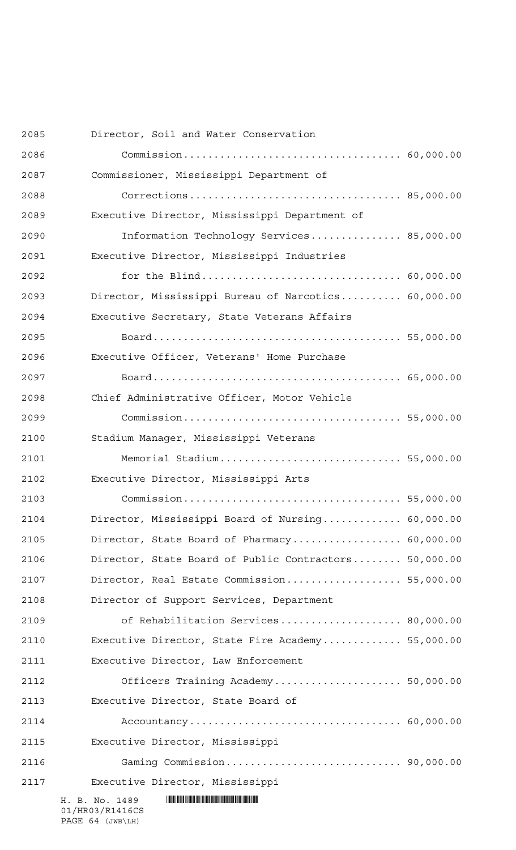| 2085 | Director, Soil and Water Conservation                 |  |
|------|-------------------------------------------------------|--|
| 2086 |                                                       |  |
| 2087 | Commissioner, Mississippi Department of               |  |
| 2088 |                                                       |  |
| 2089 | Executive Director, Mississippi Department of         |  |
| 2090 | Information Technology Services 85,000.00             |  |
| 2091 | Executive Director, Mississippi Industries            |  |
| 2092 |                                                       |  |
| 2093 | Director, Mississippi Bureau of Narcotics 60,000.00   |  |
| 2094 | Executive Secretary, State Veterans Affairs           |  |
| 2095 |                                                       |  |
| 2096 | Executive Officer, Veterans' Home Purchase            |  |
| 2097 |                                                       |  |
| 2098 | Chief Administrative Officer, Motor Vehicle           |  |
| 2099 |                                                       |  |
| 2100 | Stadium Manager, Mississippi Veterans                 |  |
| 2101 | Memorial Stadium 55,000.00                            |  |
| 2102 | Executive Director, Mississippi Arts                  |  |
| 2103 |                                                       |  |
| 2104 | Director, Mississippi Board of Nursing 60,000.00      |  |
| 2105 | Director, State Board of Pharmacy 60,000.00           |  |
| 2106 | Director, State Board of Public Contractors 50,000.00 |  |
| 2107 | Director, Real Estate Commission 55,000.00            |  |
| 2108 | Director of Support Services, Department              |  |
| 2109 | of Rehabilitation Services 80,000.00                  |  |
| 2110 | Executive Director, State Fire Academy 55,000.00      |  |
| 2111 | Executive Director, Law Enforcement                   |  |
| 2112 | Officers Training Academy 50,000.00                   |  |
| 2113 | Executive Director, State Board of                    |  |
| 2114 |                                                       |  |
| 2115 | Executive Director, Mississippi                       |  |
| 2116 |                                                       |  |
| 2117 | Executive Director, Mississippi                       |  |
|      | H. B. No. 1489<br>01/HR03/R1416CS                     |  |

PAGE 64 (JWB\LH)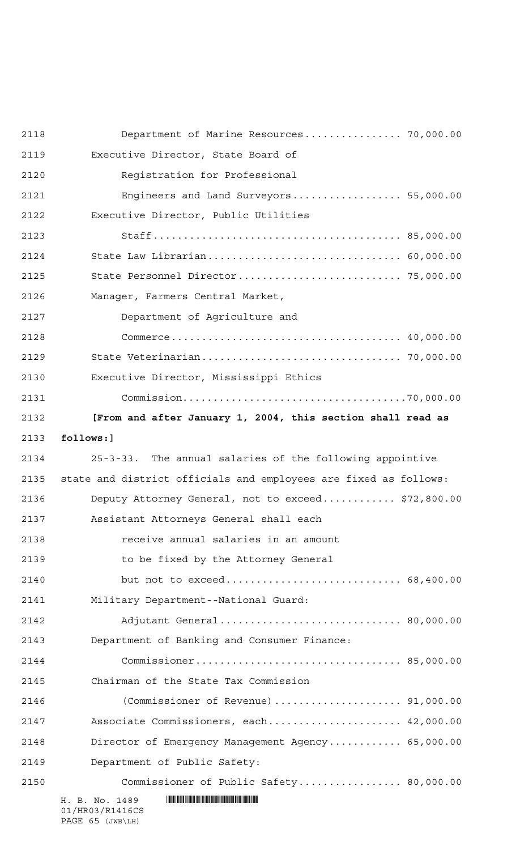| 2118 | Department of Marine Resources 70,000.00                                        |
|------|---------------------------------------------------------------------------------|
| 2119 | Executive Director, State Board of                                              |
| 2120 | Registration for Professional                                                   |
| 2121 | Engineers and Land Surveyors 55,000.00                                          |
| 2122 | Executive Director, Public Utilities                                            |
| 2123 |                                                                                 |
| 2124 | State Law Librarian 60,000.00                                                   |
| 2125 | State Personnel Director 75,000.00                                              |
| 2126 | Manager, Farmers Central Market,                                                |
| 2127 | Department of Agriculture and                                                   |
| 2128 |                                                                                 |
| 2129 |                                                                                 |
| 2130 | Executive Director, Mississippi Ethics                                          |
| 2131 |                                                                                 |
| 2132 | [From and after January 1, 2004, this section shall read as                     |
| 2133 | follows:]                                                                       |
| 2134 | 25-3-33. The annual salaries of the following appointive                        |
| 2135 | state and district officials and employees are fixed as follows:                |
| 2136 | Deputy Attorney General, not to exceed \$72,800.00                              |
| 2137 | Assistant Attorneys General shall each                                          |
| 2138 | receive annual salaries in an amount                                            |
| 2139 | to be fixed by the Attorney General                                             |
| 2140 | but not to exceed 68,400.00                                                     |
| 2141 | Military Department--National Guard:                                            |
| 2142 | Adjutant General 80,000.00                                                      |
| 2143 | Department of Banking and Consumer Finance:                                     |
| 2144 |                                                                                 |
| 2145 | Chairman of the State Tax Commission                                            |
| 2146 | (Commissioner of Revenue) $\ldots \ldots \ldots \ldots \ldots \ldots$ 91,000.00 |
| 2147 | Associate Commissioners, each 42,000.00                                         |
| 2148 | Director of Emergency Management Agency 65,000.00                               |
| 2149 | Department of Public Safety:                                                    |
| 2150 | Commissioner of Public Safety 80,000.00                                         |
|      | H. B. No. 1489<br>01/HR03/R1416CS                                               |

PAGE 65 (JWB\LH)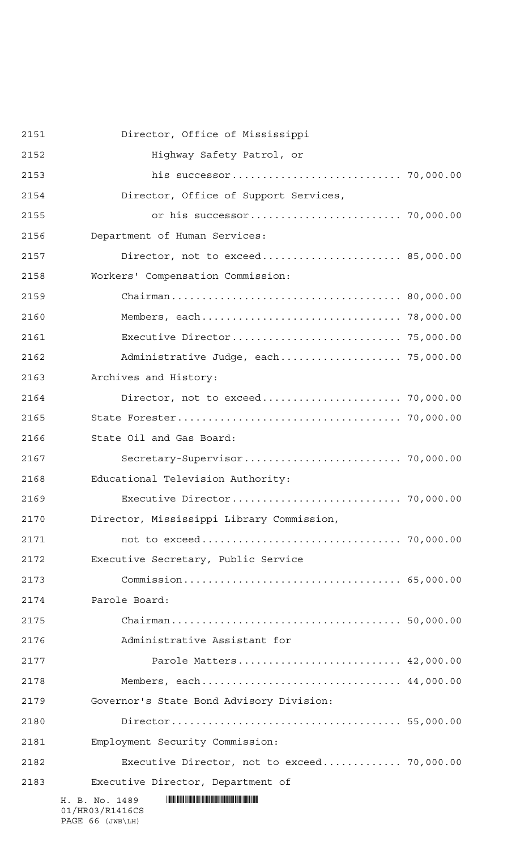| 2151 | Director, Office of Mississippi             |  |
|------|---------------------------------------------|--|
| 2152 | Highway Safety Patrol, or                   |  |
| 2153 |                                             |  |
| 2154 | Director, Office of Support Services,       |  |
| 2155 |                                             |  |
| 2156 | Department of Human Services:               |  |
| 2157 | Director, not to exceed 85,000.00           |  |
| 2158 | Workers' Compensation Commission:           |  |
| 2159 |                                             |  |
| 2160 |                                             |  |
| 2161 |                                             |  |
| 2162 | Administrative Judge, each 75,000.00        |  |
| 2163 | Archives and History:                       |  |
| 2164 | Director, not to exceed 70,000.00           |  |
| 2165 |                                             |  |
| 2166 | State Oil and Gas Board:                    |  |
| 2167 |                                             |  |
| 2168 | Educational Television Authority:           |  |
| 2169 |                                             |  |
| 2170 | Director, Mississippi Library Commission,   |  |
| 2171 |                                             |  |
| 2172 | Executive Secretary, Public Service         |  |
| 2173 |                                             |  |
| 2174 | Parole Board:                               |  |
| 2175 |                                             |  |
| 2176 | Administrative Assistant for                |  |
| 2177 | Parole Matters 42,000.00                    |  |
| 2178 | Members, each 44,000.00                     |  |
| 2179 | Governor's State Bond Advisory Division:    |  |
| 2180 |                                             |  |
| 2181 | Employment Security Commission:             |  |
| 2182 | Executive Director, not to exceed 70,000.00 |  |
| 2183 | Executive Director, Department of           |  |
|      | H. B. No. 1489<br>01/HR03/R1416CS           |  |

PAGE 66 (JWB\LH)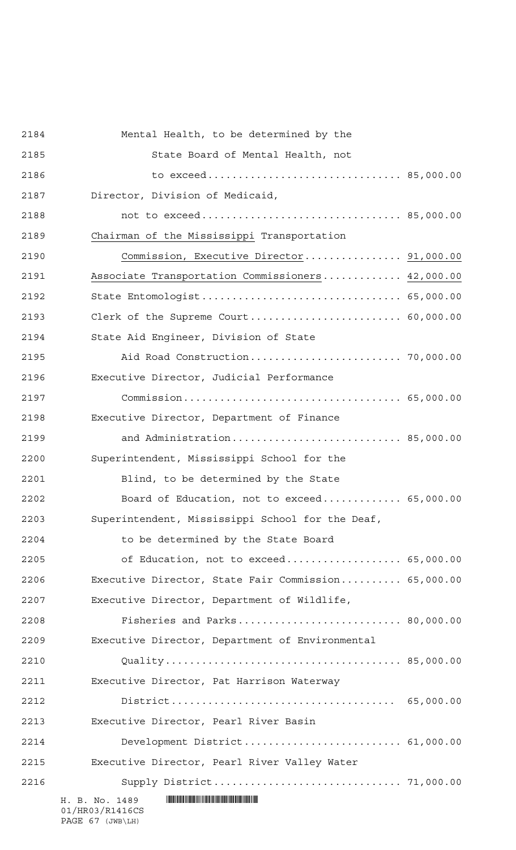| 2184 | Mental Health, to be determined by the              |  |
|------|-----------------------------------------------------|--|
| 2185 | State Board of Mental Health, not                   |  |
| 2186 | to exceed 85,000.00                                 |  |
| 2187 | Director, Division of Medicaid,                     |  |
| 2188 |                                                     |  |
| 2189 | Chairman of the Mississippi Transportation          |  |
| 2190 | Commission, Executive Director 91,000.00            |  |
| 2191 | Associate Transportation Commissioners 42,000.00    |  |
| 2192 | State Entomologist 65,000.00                        |  |
| 2193 | Clerk of the Supreme Court 60,000.00                |  |
| 2194 | State Aid Engineer, Division of State               |  |
| 2195 | Aid Road Construction 70,000.00                     |  |
| 2196 | Executive Director, Judicial Performance            |  |
| 2197 |                                                     |  |
| 2198 | Executive Director, Department of Finance           |  |
| 2199 | and Administration 85,000.00                        |  |
| 2200 | Superintendent, Mississippi School for the          |  |
| 2201 | Blind, to be determined by the State                |  |
| 2202 | Board of Education, not to exceed 65,000.00         |  |
| 2203 | Superintendent, Mississippi School for the Deaf,    |  |
| 2204 | to be determined by the State Board                 |  |
| 2205 | of Education, not to exceed 65,000.00               |  |
| 2206 | Executive Director, State Fair Commission 65,000.00 |  |
| 2207 | Executive Director, Department of Wildlife,         |  |
| 2208 | Fisheries and Parks 80,000.00                       |  |
| 2209 | Executive Director, Department of Environmental     |  |
| 2210 |                                                     |  |
| 2211 | Executive Director, Pat Harrison Waterway           |  |
| 2212 |                                                     |  |
| 2213 | Executive Director, Pearl River Basin               |  |
| 2214 |                                                     |  |
| 2215 | Executive Director, Pearl River Valley Water        |  |
| 2216 |                                                     |  |
|      | H. B. No. 1489<br>01/HR03/R1416CS                   |  |

PAGE 67 (JWB\LH)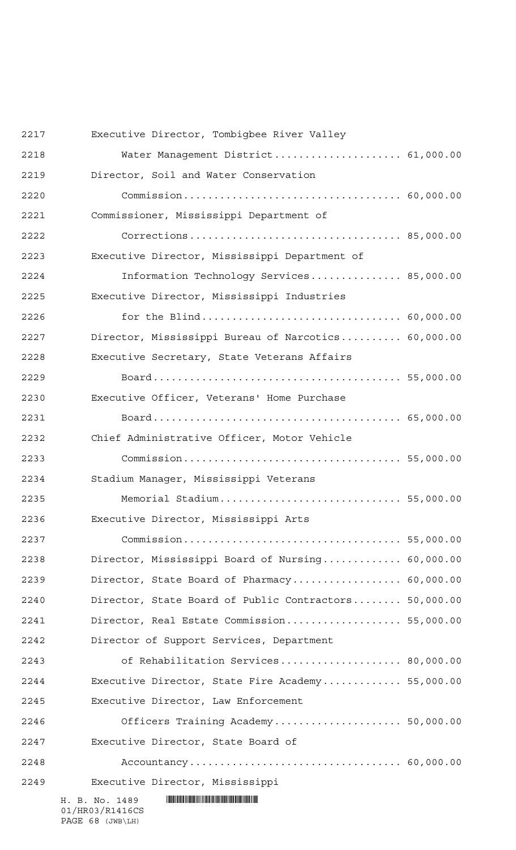| 2217 | Executive Director, Tombigbee River Valley            |  |
|------|-------------------------------------------------------|--|
| 2218 | Water Management District 61,000.00                   |  |
| 2219 | Director, Soil and Water Conservation                 |  |
| 2220 |                                                       |  |
| 2221 | Commissioner, Mississippi Department of               |  |
| 2222 |                                                       |  |
| 2223 | Executive Director, Mississippi Department of         |  |
| 2224 | Information Technology Services 85,000.00             |  |
| 2225 | Executive Director, Mississippi Industries            |  |
| 2226 |                                                       |  |
| 2227 | Director, Mississippi Bureau of Narcotics 60,000.00   |  |
| 2228 | Executive Secretary, State Veterans Affairs           |  |
| 2229 |                                                       |  |
| 2230 | Executive Officer, Veterans' Home Purchase            |  |
| 2231 |                                                       |  |
| 2232 | Chief Administrative Officer, Motor Vehicle           |  |
| 2233 |                                                       |  |
| 2234 | Stadium Manager, Mississippi Veterans                 |  |
| 2235 | Memorial Stadium 55,000.00                            |  |
| 2236 | Executive Director, Mississippi Arts                  |  |
| 2237 |                                                       |  |
| 2238 | Director, Mississippi Board of Nursing 60,000.00      |  |
| 2239 | Director, State Board of Pharmacy 60,000.00           |  |
| 2240 | Director, State Board of Public Contractors 50,000.00 |  |
| 2241 | Director, Real Estate Commission 55,000.00            |  |
| 2242 | Director of Support Services, Department              |  |
| 2243 | of Rehabilitation Services 80,000.00                  |  |
| 2244 | Executive Director, State Fire Academy 55,000.00      |  |
| 2245 | Executive Director, Law Enforcement                   |  |
| 2246 | Officers Training Academy 50,000.00                   |  |
| 2247 | Executive Director, State Board of                    |  |
| 2248 |                                                       |  |
| 2249 | Executive Director, Mississippi                       |  |
|      | H. B. No. 1489<br>01/HR03/R1416CS                     |  |

PAGE 68 (JWB\LH)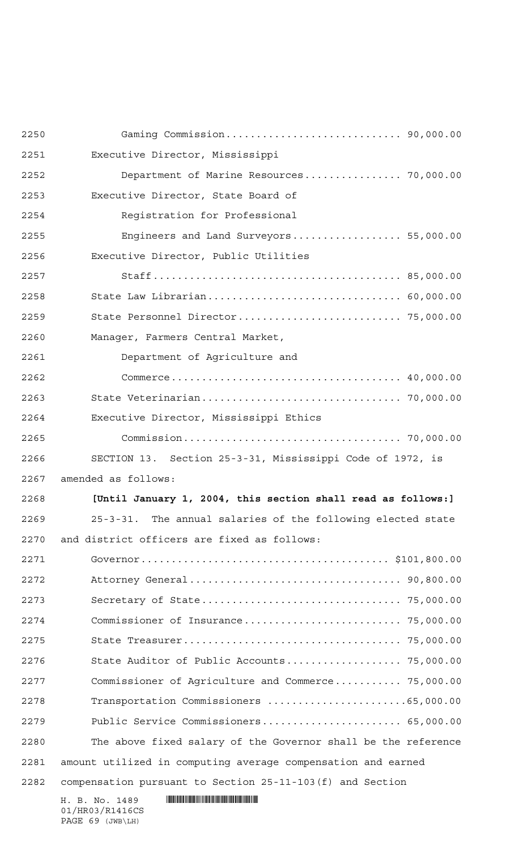| 2250 |                                                               |
|------|---------------------------------------------------------------|
| 2251 | Executive Director, Mississippi                               |
| 2252 | Department of Marine Resources 70,000.00                      |
| 2253 | Executive Director, State Board of                            |
| 2254 | Reqistration for Professional                                 |
| 2255 | Engineers and Land Surveyors 55,000.00                        |
| 2256 | Executive Director, Public Utilities                          |
| 2257 |                                                               |
| 2258 |                                                               |
| 2259 |                                                               |
| 2260 | Manager, Farmers Central Market,                              |
| 2261 | Department of Agriculture and                                 |
| 2262 |                                                               |
| 2263 |                                                               |
| 2264 | Executive Director, Mississippi Ethics                        |
| 2265 |                                                               |
| 2266 | SECTION 13. Section 25-3-31, Mississippi Code of 1972, is     |
| 2267 | amended as follows:                                           |
| 2268 | [Until January 1, 2004, this section shall read as follows:]  |
| 2269 | 25-3-31. The annual salaries of the following elected state   |
|      |                                                               |
| 2270 | and district officers are fixed as follows:                   |
| 2271 |                                                               |
| 2272 |                                                               |
| 2273 |                                                               |
| 2274 |                                                               |
| 2275 |                                                               |
| 2276 | State Auditor of Public Accounts 75,000.00                    |
| 2277 | Commissioner of Agriculture and Commerce 75,000.00            |
| 2278 | Transportation Commissioners 65,000.00                        |
| 2279 | Public Service Commissioners 65,000.00                        |
| 2280 | The above fixed salary of the Governor shall be the reference |
| 2281 | amount utilized in computing average compensation and earned  |
| 2282 | compensation pursuant to Section 25-11-103 (f) and Section    |

01/HR03/R1416CS PAGE 69 (JWB\LH)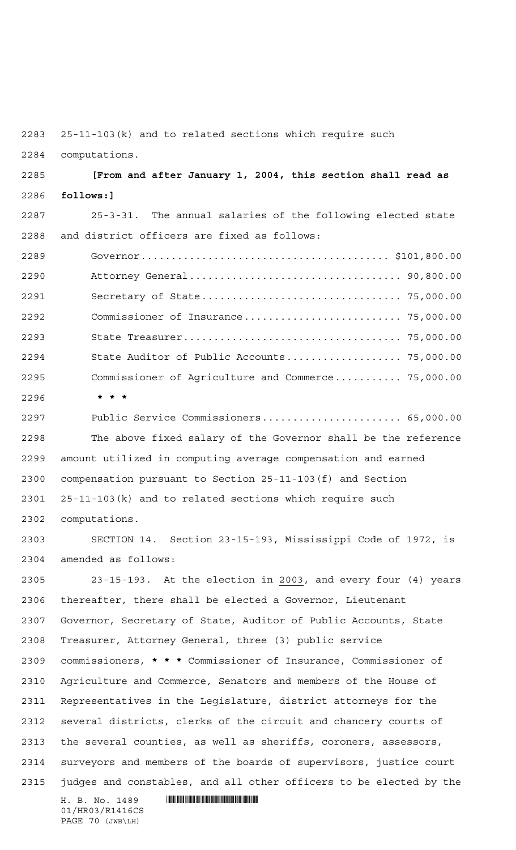25-11-103(k) and to related sections which require such

computations.

 **[From and after January 1, 2004, this section shall read as follows:]**

 25-3-31. The annual salaries of the following elected state and district officers are fixed as follows:

 Governor......................................... \$101,800.00 Attorney General................................... 90,800.00 Secretary of State................................. 75,000.00 Commissioner of Insurance.......................... 75,000.00 State Treasurer.................................... 75,000.00 State Auditor of Public Accounts................... 75,000.00 Commissioner of Agriculture and Commerce........... 75,000.00 **\*\*\***

 Public Service Commissioners....................... 65,000.00 The above fixed salary of the Governor shall be the reference amount utilized in computing average compensation and earned compensation pursuant to Section 25-11-103(f) and Section 25-11-103(k) and to related sections which require such computations.

 SECTION 14. Section 23-15-193, Mississippi Code of 1972, is amended as follows:

 23-15-193. At the election in 2003, and every four (4) years thereafter, there shall be elected a Governor, Lieutenant Governor, Secretary of State, Auditor of Public Accounts, State Treasurer, Attorney General, three (3) public service commissioners, **\*\*\*** Commissioner of Insurance, Commissioner of Agriculture and Commerce, Senators and members of the House of Representatives in the Legislature, district attorneys for the several districts, clerks of the circuit and chancery courts of the several counties, as well as sheriffs, coroners, assessors, surveyors and members of the boards of supervisors, justice court judges and constables, and all other officers to be elected by the

 $H. B. No. 1489$  . HENDER THE SET OF STATE SET OF STATE SET OF STATE SET OF STATE SET OF STATE SET OF STATE SET OF STATE SET OF STATE SET OF STATE SET OF STATE SET OF STATE SET OF STATE SET OF STATE SET OF STATE SET OF STATE 01/HR03/R1416CS PAGE 70 (JWB\LH)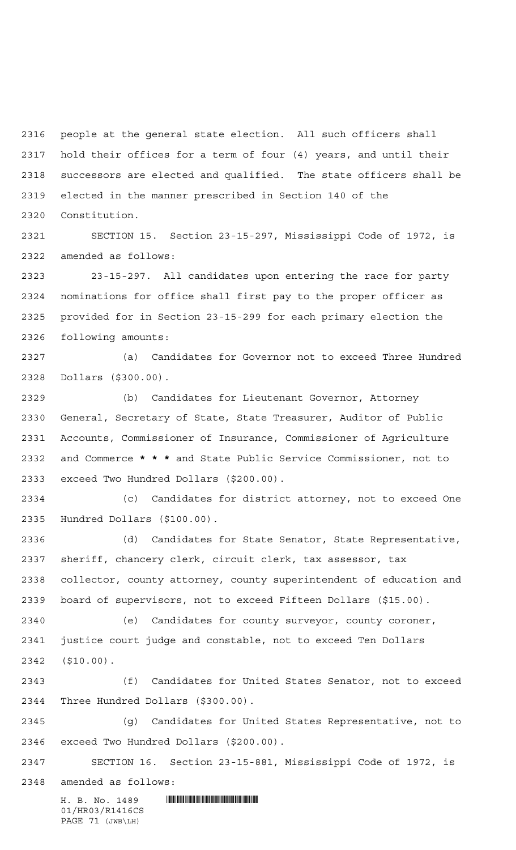people at the general state election. All such officers shall hold their offices for a term of four (4) years, and until their successors are elected and qualified. The state officers shall be elected in the manner prescribed in Section 140 of the Constitution.

 SECTION 15. Section 23-15-297, Mississippi Code of 1972, is amended as follows:

 23-15-297. All candidates upon entering the race for party nominations for office shall first pay to the proper officer as provided for in Section 23-15-299 for each primary election the following amounts:

 (a) Candidates for Governor not to exceed Three Hundred Dollars (\$300.00).

 (b) Candidates for Lieutenant Governor, Attorney General, Secretary of State, State Treasurer, Auditor of Public Accounts, Commissioner of Insurance, Commissioner of Agriculture and Commerce **\*\*\*** and State Public Service Commissioner, not to exceed Two Hundred Dollars (\$200.00).

 (c) Candidates for district attorney, not to exceed One Hundred Dollars (\$100.00).

 (d) Candidates for State Senator, State Representative, sheriff, chancery clerk, circuit clerk, tax assessor, tax collector, county attorney, county superintendent of education and board of supervisors, not to exceed Fifteen Dollars (\$15.00).

 (e) Candidates for county surveyor, county coroner, justice court judge and constable, not to exceed Ten Dollars (\$10.00).

 (f) Candidates for United States Senator, not to exceed Three Hundred Dollars (\$300.00).

 (g) Candidates for United States Representative, not to exceed Two Hundred Dollars (\$200.00).

 SECTION 16. Section 23-15-881, Mississippi Code of 1972, is amended as follows:

 $H. B. No. 1489$  . HENROICE THE SET OF A SET OF A SET OF A SET OF A SET OF A SET OF A SET OF A SET OF A SET OF A SET OF A SET OF A SET OF A SET OF A SET OF A SET OF A SET OF A SET OF A SET OF A SET OF A SET OF A SET OF A SET 01/HR03/R1416CS PAGE 71 (JWB\LH)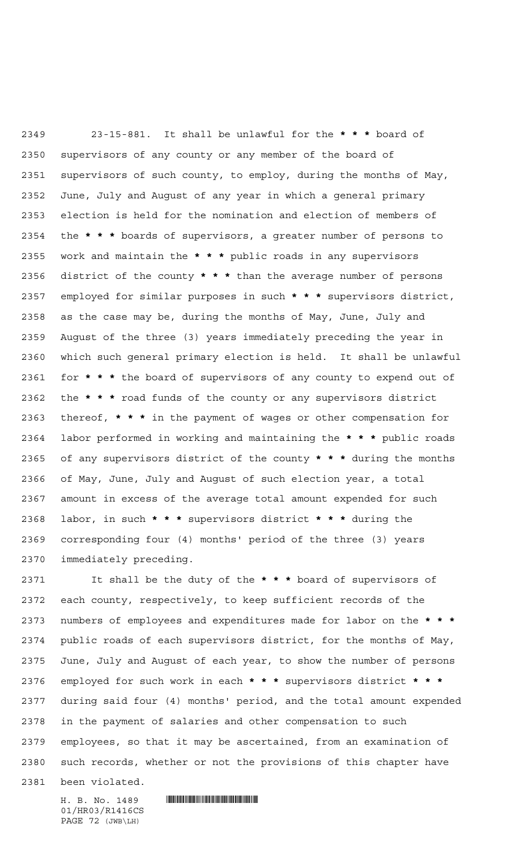23-15-881. It shall be unlawful for the **\*\*\*** board of supervisors of any county or any member of the board of supervisors of such county, to employ, during the months of May, June, July and August of any year in which a general primary election is held for the nomination and election of members of the **\*\*\*** boards of supervisors, a greater number of persons to work and maintain the **\*\*\*** public roads in any supervisors district of the county **\*\*\*** than the average number of persons employed for similar purposes in such **\*\*\*** supervisors district, as the case may be, during the months of May, June, July and August of the three (3) years immediately preceding the year in which such general primary election is held. It shall be unlawful for **\*\*\*** the board of supervisors of any county to expend out of the **\*\*\*** road funds of the county or any supervisors district thereof, **\*\*\*** in the payment of wages or other compensation for labor performed in working and maintaining the **\*\*\*** public roads of any supervisors district of the county **\*\*\*** during the months of May, June, July and August of such election year, a total amount in excess of the average total amount expended for such labor, in such **\*\*\*** supervisors district **\*\*\*** during the corresponding four (4) months' period of the three (3) years immediately preceding.

 It shall be the duty of the **\*\*\*** board of supervisors of each county, respectively, to keep sufficient records of the numbers of employees and expenditures made for labor on the **\*\*\*** public roads of each supervisors district, for the months of May, June, July and August of each year, to show the number of persons employed for such work in each **\*\*\*** supervisors district **\*\*\*** during said four (4) months' period, and the total amount expended in the payment of salaries and other compensation to such employees, so that it may be ascertained, from an examination of such records, whether or not the provisions of this chapter have

been violated.

 $H. B. No. 1489$  . HENROICE THE SET OF A SET OF A SET OF A SET OF A SET OF A SET OF A SET OF A SET OF A SET OF A SET OF A SET OF A SET OF A SET OF A SET OF A SET OF A SET OF A SET OF A SET OF A SET OF A SET OF A SET OF A SET

01/HR03/R1416CS PAGE 72 (JWB\LH)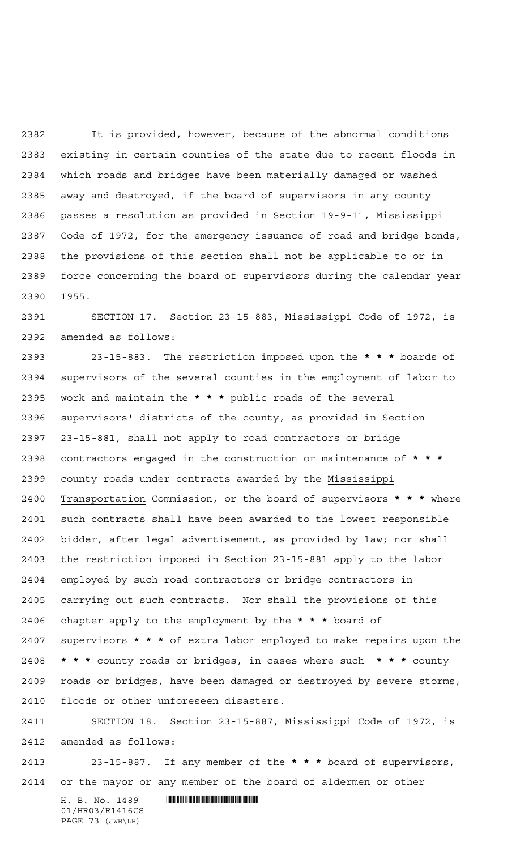It is provided, however, because of the abnormal conditions existing in certain counties of the state due to recent floods in which roads and bridges have been materially damaged or washed away and destroyed, if the board of supervisors in any county passes a resolution as provided in Section 19-9-11, Mississippi Code of 1972, for the emergency issuance of road and bridge bonds, the provisions of this section shall not be applicable to or in force concerning the board of supervisors during the calendar year 1955.

 SECTION 17. Section 23-15-883, Mississippi Code of 1972, is amended as follows:

 23-15-883. The restriction imposed upon the **\*\*\*** boards of supervisors of the several counties in the employment of labor to work and maintain the **\*\*\*** public roads of the several supervisors' districts of the county, as provided in Section 23-15-881, shall not apply to road contractors or bridge contractors engaged in the construction or maintenance of **\*\*\*** county roads under contracts awarded by the Mississippi Transportation Commission, or the board of supervisors **\*\*\*** where such contracts shall have been awarded to the lowest responsible bidder, after legal advertisement, as provided by law; nor shall the restriction imposed in Section 23-15-881 apply to the labor employed by such road contractors or bridge contractors in carrying out such contracts. Nor shall the provisions of this chapter apply to the employment by the **\*\*\*** board of supervisors **\*\*\*** of extra labor employed to make repairs upon the **\*\*\*** county roads or bridges, in cases where such **\*\*\*** county roads or bridges, have been damaged or destroyed by severe storms, floods or other unforeseen disasters.

 SECTION 18. Section 23-15-887, Mississippi Code of 1972, is amended as follows:

 23-15-887. If any member of the **\*\*\*** board of supervisors, or the mayor or any member of the board of aldermen or other

 $H. B. No. 1489$  . HENDER THE SET OF STATE SET OF STATE SET OF STATE SET OF STATE SET OF STATE SET OF STATE SET OF STATE SET OF STATE SET OF STATE SET OF STATE SET OF STATE SET OF STATE SET OF STATE SET OF STATE SET OF STATE 01/HR03/R1416CS PAGE 73 (JWB\LH)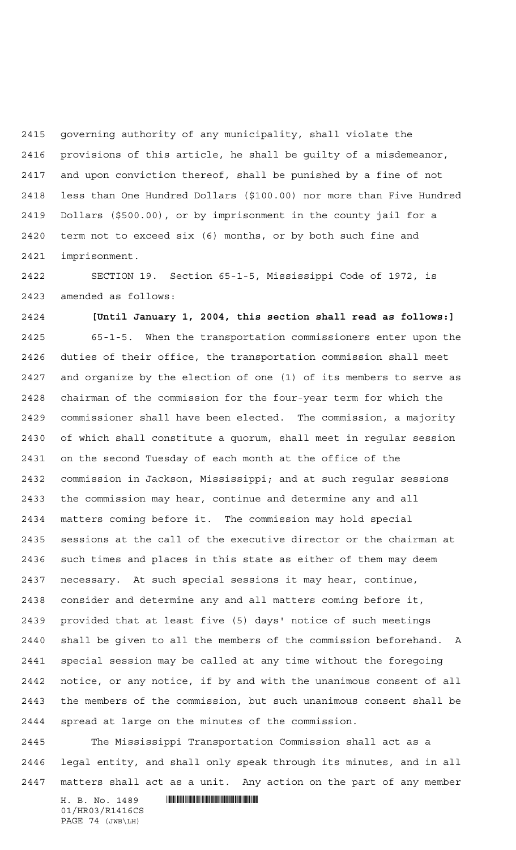governing authority of any municipality, shall violate the provisions of this article, he shall be guilty of a misdemeanor, and upon conviction thereof, shall be punished by a fine of not less than One Hundred Dollars (\$100.00) nor more than Five Hundred Dollars (\$500.00), or by imprisonment in the county jail for a term not to exceed six (6) months, or by both such fine and imprisonment.

 SECTION 19. Section 65-1-5, Mississippi Code of 1972, is amended as follows:

**[Until January 1, 2004, this section shall read as follows:]**

 65-1-5. When the transportation commissioners enter upon the duties of their office, the transportation commission shall meet and organize by the election of one (1) of its members to serve as chairman of the commission for the four-year term for which the commissioner shall have been elected. The commission, a majority of which shall constitute a quorum, shall meet in regular session on the second Tuesday of each month at the office of the commission in Jackson, Mississippi; and at such regular sessions the commission may hear, continue and determine any and all matters coming before it. The commission may hold special sessions at the call of the executive director or the chairman at such times and places in this state as either of them may deem necessary. At such special sessions it may hear, continue, consider and determine any and all matters coming before it, provided that at least five (5) days' notice of such meetings shall be given to all the members of the commission beforehand. A special session may be called at any time without the foregoing notice, or any notice, if by and with the unanimous consent of all the members of the commission, but such unanimous consent shall be spread at large on the minutes of the commission.

 The Mississippi Transportation Commission shall act as a legal entity, and shall only speak through its minutes, and in all matters shall act as a unit. Any action on the part of any member

 $H. B. No. 1489$  . HENDER THE SET OF STATE SET OF STATE SET OF STATE SET OF STATE SET OF STATE SET OF STATE SET OF STATE SET OF STATE SET OF STATE SET OF STATE SET OF STATE SET OF STATE SET OF STATE SET OF STATE SET OF STATE 01/HR03/R1416CS PAGE 74 (JWB\LH)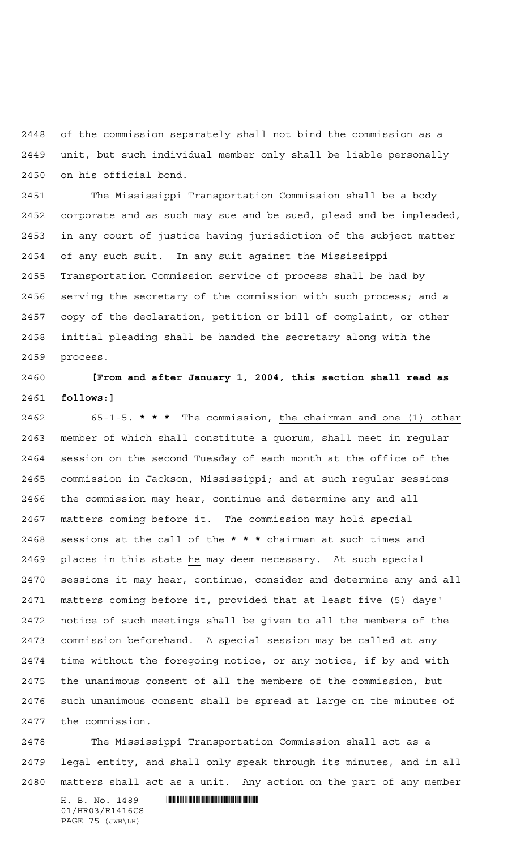of the commission separately shall not bind the commission as a unit, but such individual member only shall be liable personally on his official bond.

 The Mississippi Transportation Commission shall be a body corporate and as such may sue and be sued, plead and be impleaded, in any court of justice having jurisdiction of the subject matter of any such suit. In any suit against the Mississippi Transportation Commission service of process shall be had by serving the secretary of the commission with such process; and a copy of the declaration, petition or bill of complaint, or other initial pleading shall be handed the secretary along with the process.

 **[From and after January 1, 2004, this section shall read as follows:]**

 65-1-5. **\*\*\*** The commission, the chairman and one (1) other member of which shall constitute a quorum, shall meet in regular session on the second Tuesday of each month at the office of the commission in Jackson, Mississippi; and at such regular sessions the commission may hear, continue and determine any and all matters coming before it. The commission may hold special sessions at the call of the **\*\*\*** chairman at such times and places in this state he may deem necessary. At such special sessions it may hear, continue, consider and determine any and all matters coming before it, provided that at least five (5) days' notice of such meetings shall be given to all the members of the commission beforehand. A special session may be called at any time without the foregoing notice, or any notice, if by and with the unanimous consent of all the members of the commission, but such unanimous consent shall be spread at large on the minutes of the commission.

 The Mississippi Transportation Commission shall act as a legal entity, and shall only speak through its minutes, and in all matters shall act as a unit. Any action on the part of any member

 $H. B. No. 1489$  . HENDER THE SET OF STATE SET OF STATE SET OF STATE SET OF STATE SET OF STATE SET OF STATE SET OF STATE SET OF STATE SET OF STATE SET OF STATE SET OF STATE SET OF STATE SET OF STATE SET OF STATE SET OF STATE 01/HR03/R1416CS PAGE 75 (JWB\LH)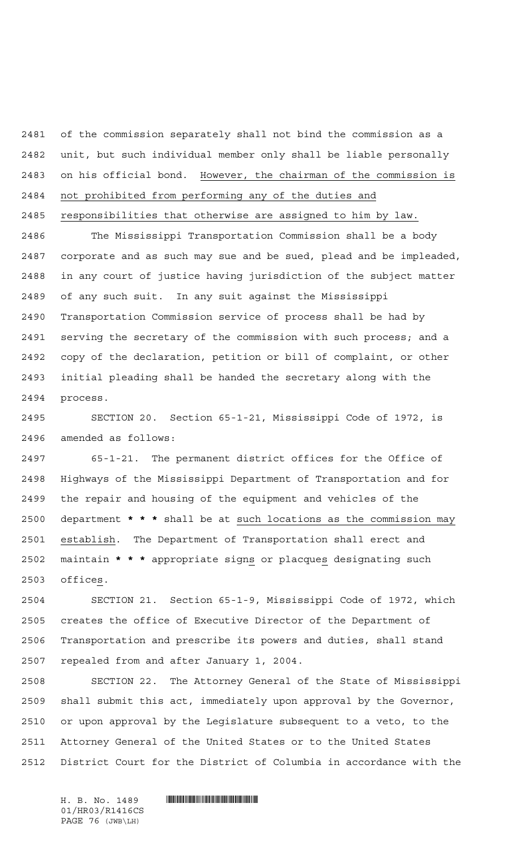of the commission separately shall not bind the commission as a unit, but such individual member only shall be liable personally on his official bond. However, the chairman of the commission is not prohibited from performing any of the duties and

responsibilities that otherwise are assigned to him by law.

 The Mississippi Transportation Commission shall be a body corporate and as such may sue and be sued, plead and be impleaded, in any court of justice having jurisdiction of the subject matter of any such suit. In any suit against the Mississippi Transportation Commission service of process shall be had by serving the secretary of the commission with such process; and a copy of the declaration, petition or bill of complaint, or other initial pleading shall be handed the secretary along with the process.

 SECTION 20. Section 65-1-21, Mississippi Code of 1972, is amended as follows:

 65-1-21. The permanent district offices for the Office of Highways of the Mississippi Department of Transportation and for the repair and housing of the equipment and vehicles of the department **\*\*\*** shall be at such locations as the commission may establish. The Department of Transportation shall erect and maintain **\*\*\*** appropriate signs or placques designating such offices.

 SECTION 21. Section 65-1-9, Mississippi Code of 1972, which creates the office of Executive Director of the Department of Transportation and prescribe its powers and duties, shall stand repealed from and after January 1, 2004.

 SECTION 22. The Attorney General of the State of Mississippi shall submit this act, immediately upon approval by the Governor, or upon approval by the Legislature subsequent to a veto, to the Attorney General of the United States or to the United States District Court for the District of Columbia in accordance with the

01/HR03/R1416CS PAGE 76 (JWB\LH)

 $H. B. No. 1489$  . HENDER THE SET OF A SET OF A SET OF A SET OF A SET OF A SET OF A SET OF A SET OF A SET OF A SET OF A SET OF A SET OF A SET OF A SET OF A SET OF A SET OF A SET OF A SET OF A SET OF A SET OF A SET OF A SET O